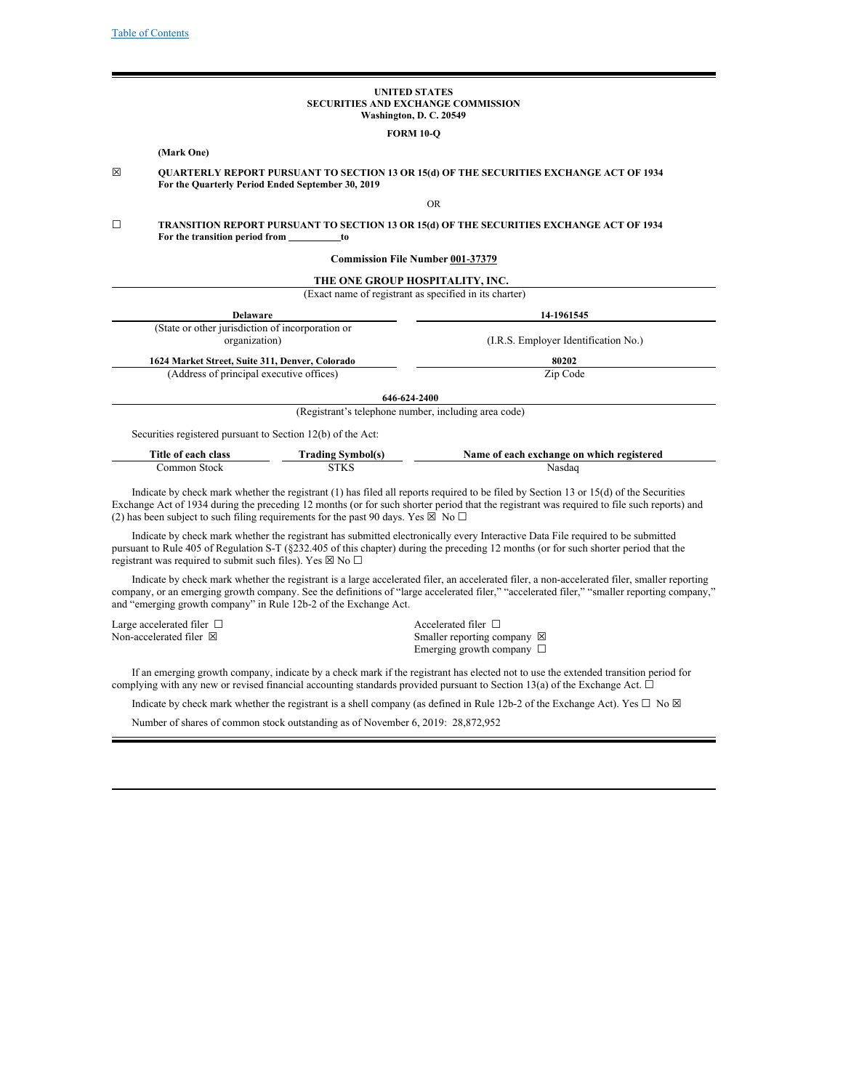## **UNITED STATES SECURITIES AND EXCHANGE COMMISSION Washington, D. C. 20549**

### **FORM 10-Q**

# **(Mark One)**

☒ **QUARTERLY REPORT PURSUANT TO SECTION 13 OR 15(d) OF THE SECURITIES EXCHANGE ACT OF 1934 For the Quarterly Period Ended September 30, 2019**

# OR

☐ **TRANSITION REPORT PURSUANT TO SECTION 13 OR 15(d) OF THE SECURITIES EXCHANGE ACT OF 1934 For the transition period from to**

### **Commission File Number 001‑37379**

| (Exact name of registrant as specified in its charter) |                                      |  |
|--------------------------------------------------------|--------------------------------------|--|
| <b>Delaware</b>                                        | 14-1961545                           |  |
| (State or other jurisdiction of incorporation or       |                                      |  |
| organization)                                          | (I.R.S. Employer Identification No.) |  |
| 1624 Market Street, Suite 311, Denver, Colorado        | 80202                                |  |
| (Address of principal executive offices)               | Zip Code                             |  |
| 646-624-2400                                           |                                      |  |
| (Registrant's telephone number, including area code)   |                                      |  |

| Title of each class | rading | Name of each exchange on which registered |
|---------------------|--------|-------------------------------------------|
| Stock<br>`ommon-    | TK.    | Nasdao                                    |

Indicate by check mark whether the registrant (1) has filed all reports required to be filed by Section 13 or 15(d) of the Securities Exchange Act of 1934 during the preceding 12 months (or for such shorter period that the registrant was required to file such reports) and (2) has been subject to such filing requirements for the past 90 days. Yes  $\boxtimes \overline{\otimes}$  No  $\Box$ 

Indicate by check mark whether the registrant has submitted electronically every Interactive Data File required to be submitted pursuant to Rule 405 of Regulation S-T (§232.405 of this chapter) during the preceding 12 months (or for such shorter period that the registrant was required to submit such files). Yes  $\boxtimes$  No  $\Box$ 

Indicate by check mark whether the registrant is a large accelerated filer, an accelerated filer, a non-accelerated filer, smaller reporting company, or an emerging growth company. See the definitions of "large accelerated filer," "accelerated filer," "smaller reporting company," and "emerging growth company" in Rule 12b-2 of the Exchange Act.

| Large accelerated filer $\Box$ | Accelerated filer $\Box$              |
|--------------------------------|---------------------------------------|
| Non-accelerated filer ⊠        | Smaller reporting company $\boxtimes$ |
|                                | Emerging growth company $\Box$        |

If an emerging growth company, indicate by a check mark if the registrant has elected not to use the extended transition period for complying with any new or revised financial accounting standards provided pursuant to Section 13(a) of the Exchange Act.  $\Box$ 

Indicate by check mark whether the registrant is a shell company (as defined in Rule 12b-2 of the Exchange Act). Yes  $\Box$  No  $\boxtimes$ 

Number of shares of common stock outstanding as of November 6, 2019: 28,872,952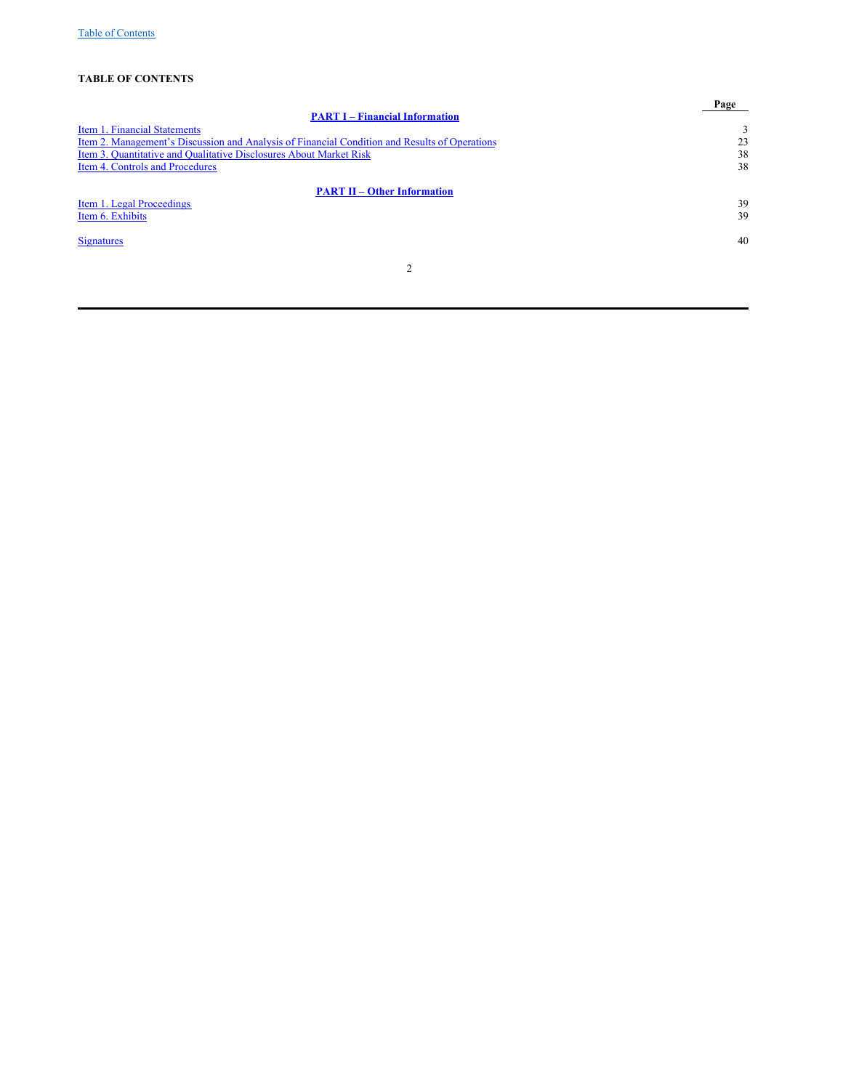# <span id="page-1-0"></span>**TABLE OF CONTENTS**

|                                                                                                      | Page |
|------------------------------------------------------------------------------------------------------|------|
| <b>PART I - Financial Information</b>                                                                |      |
| Item 1. Financial Statements                                                                         | 3    |
| <u>Item 2. Management's Discussion and Analysis of Financial Condition and Results of Operations</u> | 23   |
| Item 3. Quantitative and Qualitative Disclosures About Market Risk                                   | 38   |
| Item 4. Controls and Procedures                                                                      | 38   |
| <b>PART II – Other Information</b>                                                                   |      |
| Item 1. Legal Proceedings                                                                            | 39   |
| Item 6. Exhibits                                                                                     | 39   |
| <b>Signatures</b>                                                                                    | 40   |
| 2                                                                                                    |      |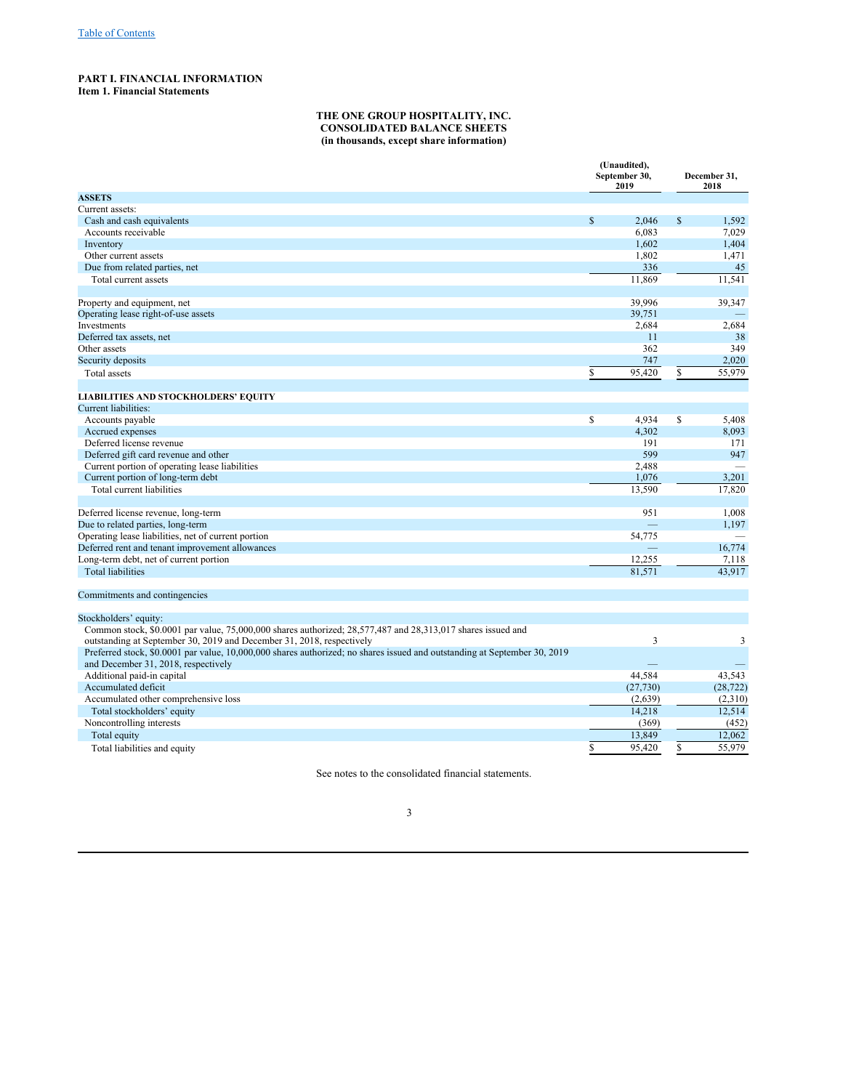# **PART I. FINANCIAL INFORMATION Item 1. Financial Statements**

# <span id="page-2-1"></span><span id="page-2-0"></span>**THE ONE GROUP HOSPITALITY, INC. CONSOLIDATED BALANCE SHEETS (in thousands, except share information)**

|                                                                                                                           |              | (Unaudited),<br>September 30,<br>2019 | December 31,<br>2018 |           |  |
|---------------------------------------------------------------------------------------------------------------------------|--------------|---------------------------------------|----------------------|-----------|--|
| <b>ASSETS</b>                                                                                                             |              |                                       |                      |           |  |
| Current assets:                                                                                                           | $\mathbb{S}$ | 2.046                                 | \$                   |           |  |
| Cash and cash equivalents                                                                                                 |              |                                       |                      | 1,592     |  |
| Accounts receivable                                                                                                       |              | 6,083                                 |                      | 7,029     |  |
| Inventory                                                                                                                 |              | 1,602                                 |                      | 1,404     |  |
| Other current assets                                                                                                      |              | 1,802                                 |                      | 1,471     |  |
| Due from related parties, net                                                                                             |              | 336                                   |                      | 45        |  |
| Total current assets                                                                                                      |              | 11.869                                |                      | 11,541    |  |
| Property and equipment, net                                                                                               |              | 39,996                                |                      | 39,347    |  |
| Operating lease right-of-use assets                                                                                       |              | 39,751                                |                      |           |  |
| Investments                                                                                                               |              | 2,684                                 |                      | 2,684     |  |
| Deferred tax assets, net                                                                                                  |              | 11                                    |                      | 38        |  |
| Other assets                                                                                                              |              | 362                                   |                      | 349       |  |
| Security deposits                                                                                                         |              | 747                                   |                      | 2,020     |  |
| Total assets                                                                                                              | Ŝ.           | 95,420                                | \$                   | 55,979    |  |
| <b>LIABILITIES AND STOCKHOLDERS' EQUITY</b>                                                                               |              |                                       |                      |           |  |
| Current liabilities:                                                                                                      |              |                                       |                      |           |  |
| Accounts payable                                                                                                          | $\mathbb{S}$ | 4,934                                 | \$                   | 5,408     |  |
| Accrued expenses                                                                                                          |              | 4,302                                 |                      | 8,093     |  |
| Deferred license revenue                                                                                                  |              | 191                                   |                      | 171       |  |
| Deferred gift card revenue and other                                                                                      |              | 599                                   |                      | 947       |  |
| Current portion of operating lease liabilities                                                                            |              | 2,488                                 |                      | $\sim$    |  |
| Current portion of long-term debt                                                                                         |              | 1,076                                 |                      | 3,201     |  |
| Total current liabilities                                                                                                 |              | 13,590                                |                      | 17,820    |  |
| Deferred license revenue, long-term                                                                                       |              | 951                                   |                      | 1.008     |  |
| Due to related parties, long-term                                                                                         |              |                                       |                      | 1,197     |  |
| Operating lease liabilities, net of current portion                                                                       |              | 54,775                                |                      |           |  |
| Deferred rent and tenant improvement allowances                                                                           |              |                                       |                      | 16,774    |  |
| Long-term debt, net of current portion                                                                                    |              | 12,255                                |                      | 7,118     |  |
| <b>Total liabilities</b>                                                                                                  |              | 81,571                                |                      | 43,917    |  |
| Commitments and contingencies                                                                                             |              |                                       |                      |           |  |
| Stockholders' equity:                                                                                                     |              |                                       |                      |           |  |
| Common stock, \$0.0001 par value, 75,000,000 shares authorized; 28,577,487 and 28,313,017 shares issued and               |              |                                       |                      |           |  |
| outstanding at September 30, 2019 and December 31, 2018, respectively                                                     |              | 3                                     |                      | 3         |  |
| Preferred stock, \$0.0001 par value, 10,000,000 shares authorized; no shares issued and outstanding at September 30, 2019 |              |                                       |                      |           |  |
| and December 31, 2018, respectively                                                                                       |              |                                       |                      |           |  |
| Additional paid-in capital                                                                                                |              | 44,584                                |                      | 43,543    |  |
| Accumulated deficit                                                                                                       |              | (27,730)                              |                      | (28, 722) |  |
| Accumulated other comprehensive loss                                                                                      |              | (2,639)                               |                      | (2,310)   |  |
| Total stockholders' equity                                                                                                |              | 14,218                                |                      | 12,514    |  |
| Noncontrolling interests                                                                                                  |              | (369)                                 |                      | (452)     |  |
| Total equity                                                                                                              |              | 13,849                                |                      | 12,062    |  |
| Total liabilities and equity                                                                                              | \$           | 95,420                                | \$                   | 55,979    |  |
|                                                                                                                           |              |                                       |                      |           |  |

See notes to the consolidated financial statements.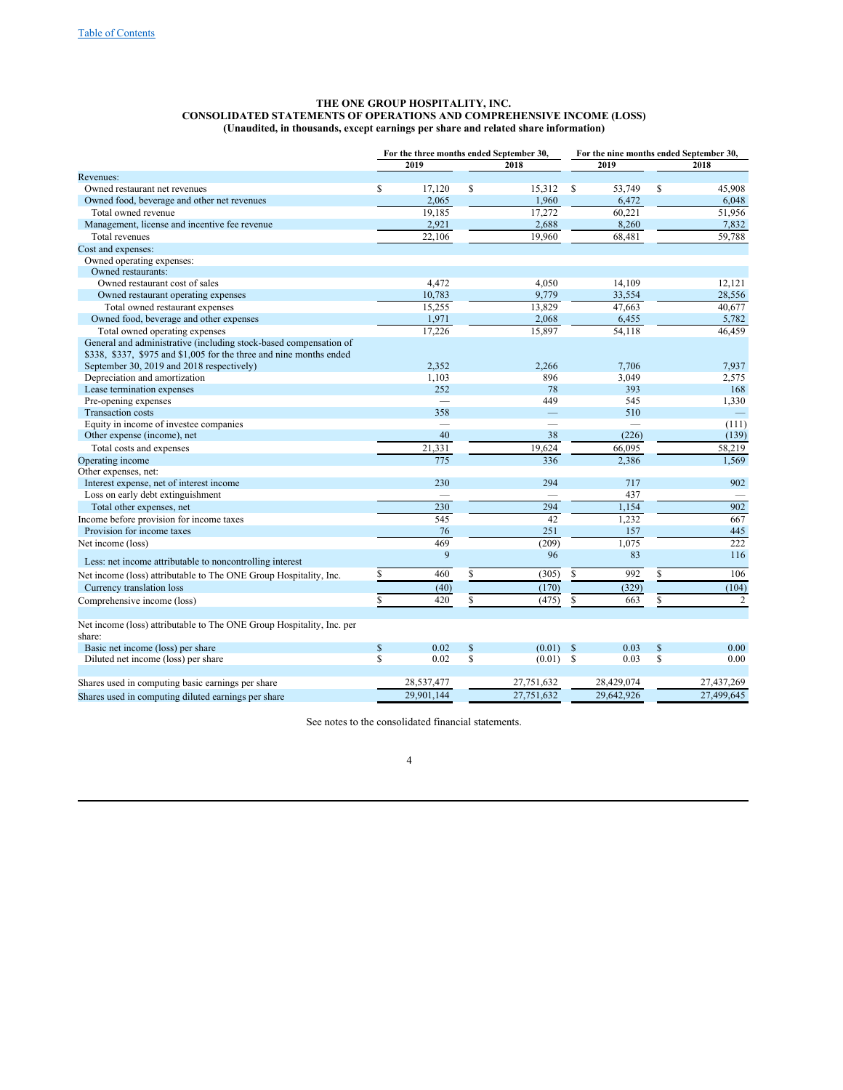### **THE ONE GROUP HOSPITALITY, INC. CONSOLIDATED STATEMENTS OF OPERATIONS AND COMPREHENSIVE INCOME (LOSS) (Unaudited, in thousands, except earnings per share and related share information)**

|                                                                       | For the three months ended September 30, |               |    | For the nine months ended September 30, |              |            |              |            |  |
|-----------------------------------------------------------------------|------------------------------------------|---------------|----|-----------------------------------------|--------------|------------|--------------|------------|--|
|                                                                       |                                          | 2019          |    | 2018                                    |              | 2019       |              | 2018       |  |
| Revenues:                                                             |                                          |               |    |                                         |              |            |              |            |  |
| Owned restaurant net revenues                                         | S                                        | 17.120        | \$ | 15,312                                  | S            | 53,749     | S            | 45,908     |  |
| Owned food, beverage and other net revenues                           |                                          | 2,065         |    | 1,960                                   |              | 6,472      |              | 6,048      |  |
| Total owned revenue                                                   |                                          | 19,185        |    | 17,272                                  |              | 60,221     |              | 51,956     |  |
| Management, license and incentive fee revenue                         |                                          | 2,921         |    | 2,688                                   |              | 8,260      |              | 7,832      |  |
| Total revenues                                                        |                                          | 22,106        |    | 19,960                                  |              | 68,481     |              | 59,788     |  |
| Cost and expenses:                                                    |                                          |               |    |                                         |              |            |              |            |  |
| Owned operating expenses:                                             |                                          |               |    |                                         |              |            |              |            |  |
| Owned restaurants:                                                    |                                          |               |    |                                         |              |            |              |            |  |
| Owned restaurant cost of sales                                        |                                          | 4,472         |    | 4.050                                   |              | 14,109     |              | 12,121     |  |
| Owned restaurant operating expenses                                   |                                          | 10,783        |    | 9,779                                   |              | 33,554     |              | 28,556     |  |
| Total owned restaurant expenses                                       |                                          | 15,255        |    | 13,829                                  |              | 47,663     |              | 40,677     |  |
| Owned food, beverage and other expenses                               |                                          | 1,971         |    | 2,068                                   |              | 6,455      |              | 5,782      |  |
| Total owned operating expenses                                        |                                          | 17,226        |    | 15,897                                  |              | 54,118     |              | 46,459     |  |
| General and administrative (including stock-based compensation of     |                                          |               |    |                                         |              |            |              |            |  |
| \$338, \$337, \$975 and \$1,005 for the three and nine months ended   |                                          |               |    |                                         |              |            |              |            |  |
| September 30, 2019 and 2018 respectively)                             |                                          | 2.352         |    | 2.266                                   |              | 7,706      |              | 7,937      |  |
| Depreciation and amortization                                         |                                          | 1,103         |    | 896                                     |              | 3,049      |              | 2,575      |  |
| Lease termination expenses                                            |                                          | 252           |    | 78                                      |              | 393        |              | 168        |  |
| Pre-opening expenses                                                  |                                          | $\frac{1}{2}$ |    | 449                                     |              | 545        |              | 1,330      |  |
| <b>Transaction costs</b>                                              |                                          | 358           |    | $\frac{1}{2}$                           |              | 510        |              | $\equiv$   |  |
| Equity in income of investee companies                                |                                          |               |    | $\sim$                                  |              |            |              | (111)      |  |
| Other expense (income), net                                           |                                          | 40            |    | 38                                      |              | (226)      |              | (139)      |  |
| Total costs and expenses                                              |                                          | 21,331        |    | 19,624                                  |              | 66,095     |              | 58,219     |  |
| Operating income                                                      |                                          | 775           |    | 336                                     |              | 2,386      |              | 1,569      |  |
| Other expenses, net:                                                  |                                          |               |    |                                         |              |            |              |            |  |
| Interest expense, net of interest income                              |                                          | 230           |    | 294                                     |              | 717        |              | 902        |  |
| Loss on early debt extinguishment                                     |                                          |               |    |                                         |              | 437        |              |            |  |
| Total other expenses, net                                             |                                          | 230           |    | 294                                     |              | 1,154      |              | 902        |  |
| Income before provision for income taxes                              |                                          | 545           |    | 42                                      |              | 1,232      |              | 667        |  |
| Provision for income taxes                                            |                                          | 76            |    | 251                                     |              | 157        |              | 445        |  |
| Net income (loss)                                                     |                                          | 469           |    | (209)                                   |              | 1,075      |              | 222        |  |
| Less: net income attributable to noncontrolling interest              |                                          | 9             |    | 96                                      |              | 83         |              | 116        |  |
| Net income (loss) attributable to The ONE Group Hospitality, Inc.     | $\mathbb{S}$                             | 460           | \$ | (305)                                   | $\mathbb{S}$ | 992        | $\mathbf S$  | 106        |  |
| Currency translation loss                                             |                                          | (40)          |    | (170)                                   |              | (329)      |              | (104)      |  |
| Comprehensive income (loss)                                           | \$                                       | 420           | \$ | (475)                                   | \$           | 663        | \$           | 2          |  |
|                                                                       |                                          |               |    |                                         |              |            |              |            |  |
| Net income (loss) attributable to The ONE Group Hospitality, Inc. per |                                          |               |    |                                         |              |            |              |            |  |
| share:                                                                |                                          |               |    |                                         |              |            |              |            |  |
| Basic net income (loss) per share                                     | $\mathbb{S}$                             | 0.02          | \$ | (0.01)                                  | $\mathbb{S}$ | 0.03       | $\mathbb{S}$ | 0.00       |  |
| Diluted net income (loss) per share                                   | \$                                       | 0.02          | \$ | (0.01)                                  | <b>S</b>     | 0.03       | \$           | 0.00       |  |
| Shares used in computing basic earnings per share                     |                                          | 28,537,477    |    | 27,751,632                              |              | 28,429,074 |              | 27,437,269 |  |
| Shares used in computing diluted earnings per share                   |                                          | 29.901.144    |    | 27,751,632                              |              | 29,642,926 |              | 27.499.645 |  |

See notes to the consolidated financial statements.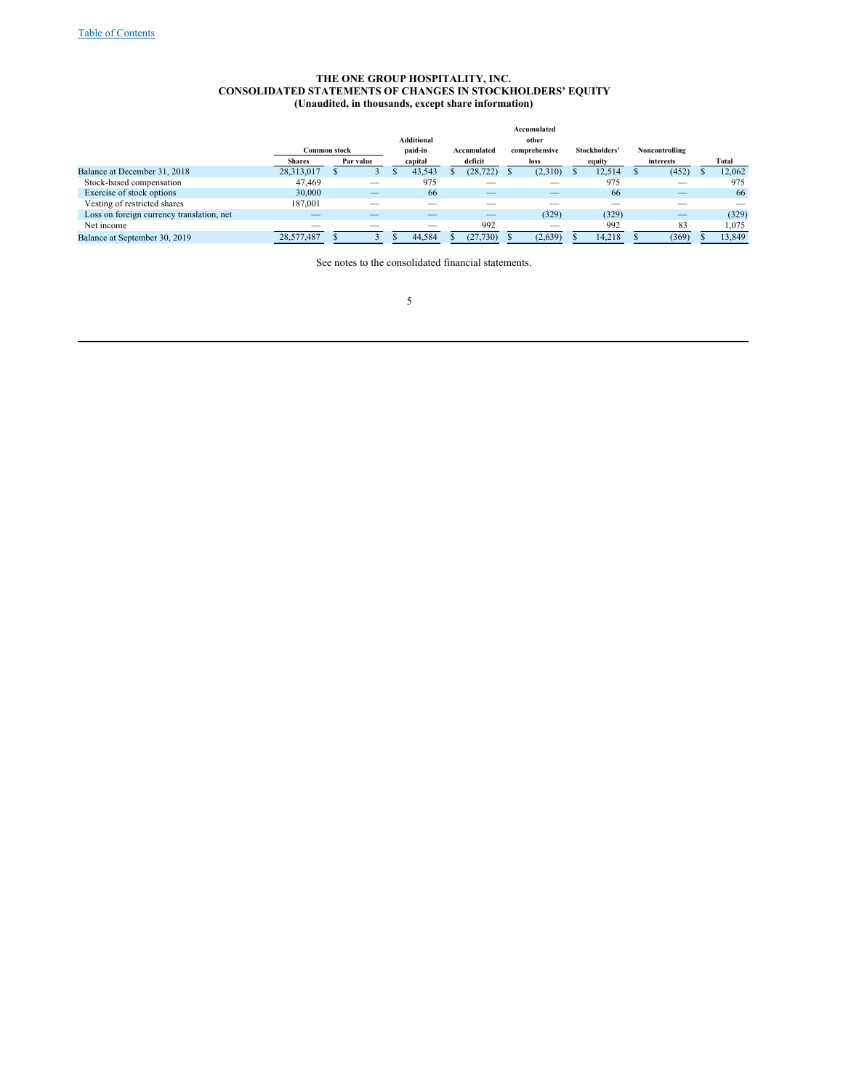#### **THE ONE GROUP HOSPITALITY, INC. CONSOLIDATED STATEMENTS OF CHANGES IN STOCKHOLDERS' EQUITY (Unaudited, in thousands, except share information)**

|                                           |               |                     |           |         |                   |             |           |               | Accumulated |               |        |                |           |        |
|-------------------------------------------|---------------|---------------------|-----------|---------|-------------------|-------------|-----------|---------------|-------------|---------------|--------|----------------|-----------|--------|
|                                           |               |                     |           |         | <b>Additional</b> |             |           |               | other       |               |        |                |           |        |
|                                           |               | <b>Common stock</b> |           | paid-in |                   | Accumulated |           | comprehensive |             | Stockholders' |        | Noncontrolling |           |        |
|                                           | <b>Shares</b> |                     | Par value |         | capital           |             | deficit   |               | loss        |               | equity |                | interests | Total  |
| Balance at December 31, 2018              | 28,313,017    |                     |           |         | 43,543            |             | (28, 722) |               | (2,310)     |               | 12,514 |                | (452)     | 12,062 |
| Stock-based compensation                  | 47.469        |                     |           |         | 975               |             |           |               |             |               | 975    |                |           | 975    |
| Exercise of stock options                 | 30,000        |                     |           |         | 66                |             |           |               |             |               | 66     |                |           | 66     |
| Vesting of restricted shares              | 187,001       |                     |           |         |                   |             |           |               |             |               |        |                |           |        |
| Loss on foreign currency translation, net | __            |                     |           |         | __                |             | __        |               | (329)       |               | (329)  |                |           | (329)  |
| Net income                                |               |                     |           |         |                   |             | 992       |               |             |               | 992    |                | 83        | 1,075  |
| Balance at September 30, 2019             | 28,577,487    |                     |           |         | 44,584            |             | (27, 730) |               | (2,639)     |               | 14,218 |                | (369)     | 13,849 |

See notes to the consolidated financial statements.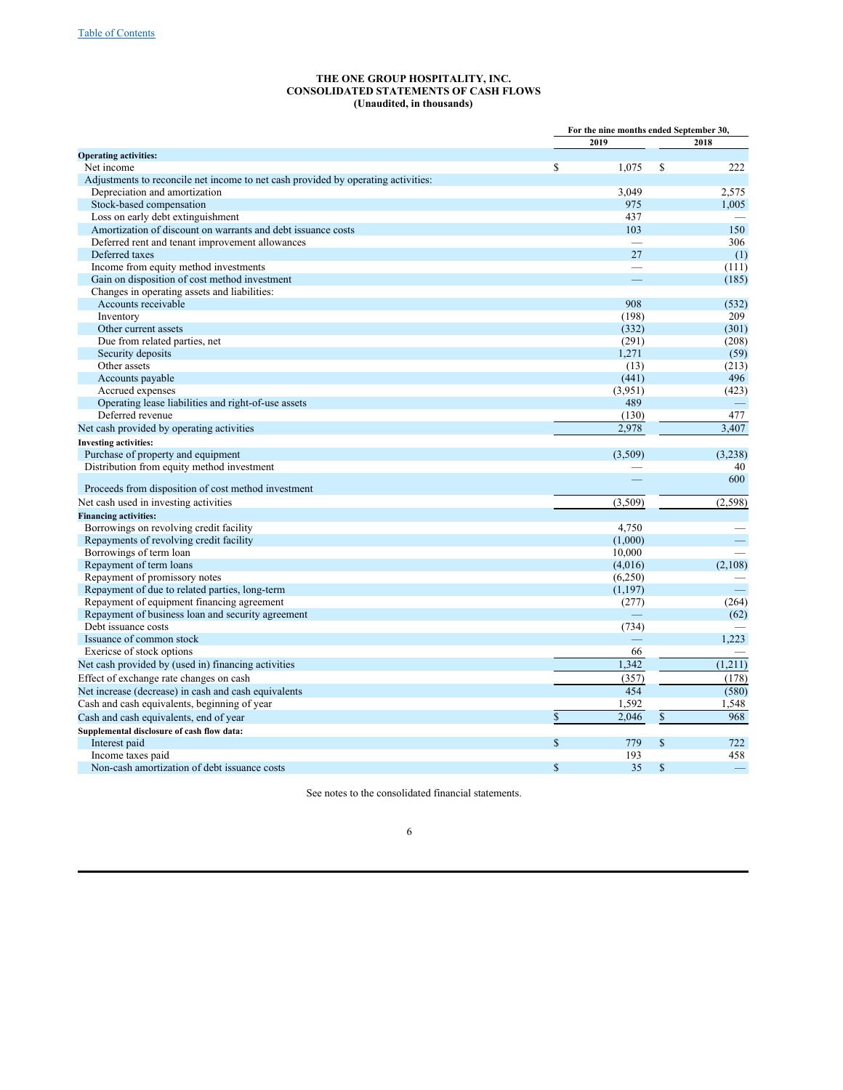### **THE ONE GROUP HOSPITALITY, INC. CONSOLIDATED STATEMENTS OF CASH FLOWS (Unaudited, in thousands)**

|                                                                                   |             | For the nine months ended September 30, |               |         |  |
|-----------------------------------------------------------------------------------|-------------|-----------------------------------------|---------------|---------|--|
|                                                                                   |             | 2019                                    |               | 2018    |  |
| <b>Operating activities:</b>                                                      |             |                                         |               |         |  |
| Net income                                                                        | \$          | 1,075                                   | \$            | 222     |  |
| Adjustments to reconcile net income to net cash provided by operating activities: |             |                                         |               |         |  |
| Depreciation and amortization                                                     |             | 3,049                                   |               | 2.575   |  |
| Stock-based compensation                                                          |             | 975                                     |               | 1,005   |  |
| Loss on early debt extinguishment                                                 |             | 437                                     |               |         |  |
| Amortization of discount on warrants and debt issuance costs                      |             | 103                                     |               | 150     |  |
| Deferred rent and tenant improvement allowances                                   |             |                                         |               | 306     |  |
| Deferred taxes                                                                    |             | 27                                      |               | (1)     |  |
| Income from equity method investments                                             |             |                                         |               | (111)   |  |
| Gain on disposition of cost method investment                                     |             |                                         |               | (185)   |  |
| Changes in operating assets and liabilities:                                      |             |                                         |               |         |  |
| Accounts receivable                                                               |             | 908                                     |               | (532)   |  |
| Inventory                                                                         |             | (198)                                   |               | 209     |  |
| Other current assets                                                              |             | (332)                                   |               | (301)   |  |
| Due from related parties, net                                                     |             | (291)                                   |               | (208)   |  |
| Security deposits                                                                 |             | 1,271                                   |               | (59)    |  |
| Other assets                                                                      |             | (13)                                    |               | (213)   |  |
| Accounts payable                                                                  |             | (441)                                   |               | 496     |  |
| Accrued expenses                                                                  |             | (3,951)                                 |               | (423)   |  |
| Operating lease liabilities and right-of-use assets                               |             | 489                                     |               |         |  |
| Deferred revenue                                                                  |             | (130)                                   |               | 477     |  |
| Net cash provided by operating activities                                         |             | 2,978                                   |               | 3,407   |  |
| <b>Investing activities:</b>                                                      |             |                                         |               |         |  |
| Purchase of property and equipment                                                |             | (3,509)                                 |               | (3,238) |  |
| Distribution from equity method investment                                        |             |                                         |               | 40      |  |
|                                                                                   |             |                                         |               | 600     |  |
| Proceeds from disposition of cost method investment                               |             |                                         |               |         |  |
| Net cash used in investing activities                                             |             | (3,509)                                 |               | (2,598) |  |
| <b>Financing activities:</b>                                                      |             |                                         |               |         |  |
| Borrowings on revolving credit facility                                           |             | 4,750                                   |               |         |  |
| Repayments of revolving credit facility                                           |             | (1,000)                                 |               |         |  |
| Borrowings of term loan                                                           |             | 10,000                                  |               |         |  |
| Repayment of term loans                                                           |             | (4,016)                                 |               | (2,108) |  |
| Repayment of promissory notes                                                     |             | (6,250)                                 |               |         |  |
| Repayment of due to related parties, long-term                                    |             | (1, 197)                                |               |         |  |
| Repayment of equipment financing agreement                                        |             | (277)                                   |               | (264)   |  |
| Repayment of business loan and security agreement                                 |             |                                         |               | (62)    |  |
| Debt issuance costs                                                               |             | (734)                                   |               |         |  |
| Issuance of common stock                                                          |             |                                         |               | 1,223   |  |
| Exericse of stock options                                                         |             | 66                                      |               |         |  |
| Net cash provided by (used in) financing activities                               |             | 1,342                                   |               | (1,211) |  |
| Effect of exchange rate changes on cash                                           |             | (357)                                   |               | (178)   |  |
| Net increase (decrease) in cash and cash equivalents                              |             | 454                                     |               | (580)   |  |
| Cash and cash equivalents, beginning of year                                      |             | 1,592                                   |               | 1,548   |  |
|                                                                                   | \$          |                                         |               | 968     |  |
| Cash and cash equivalents, end of year                                            |             | 2,046                                   | \$            |         |  |
| Supplemental disclosure of cash flow data:                                        |             |                                         |               |         |  |
| Interest paid                                                                     | $\mathbf S$ | 779                                     | <sup>\$</sup> | 722     |  |
| Income taxes paid                                                                 |             | 193                                     |               | 458     |  |
| Non-cash amortization of debt issuance costs                                      | \$          | 35                                      | $\mathbf S$   |         |  |

See notes to the consolidated financial statements.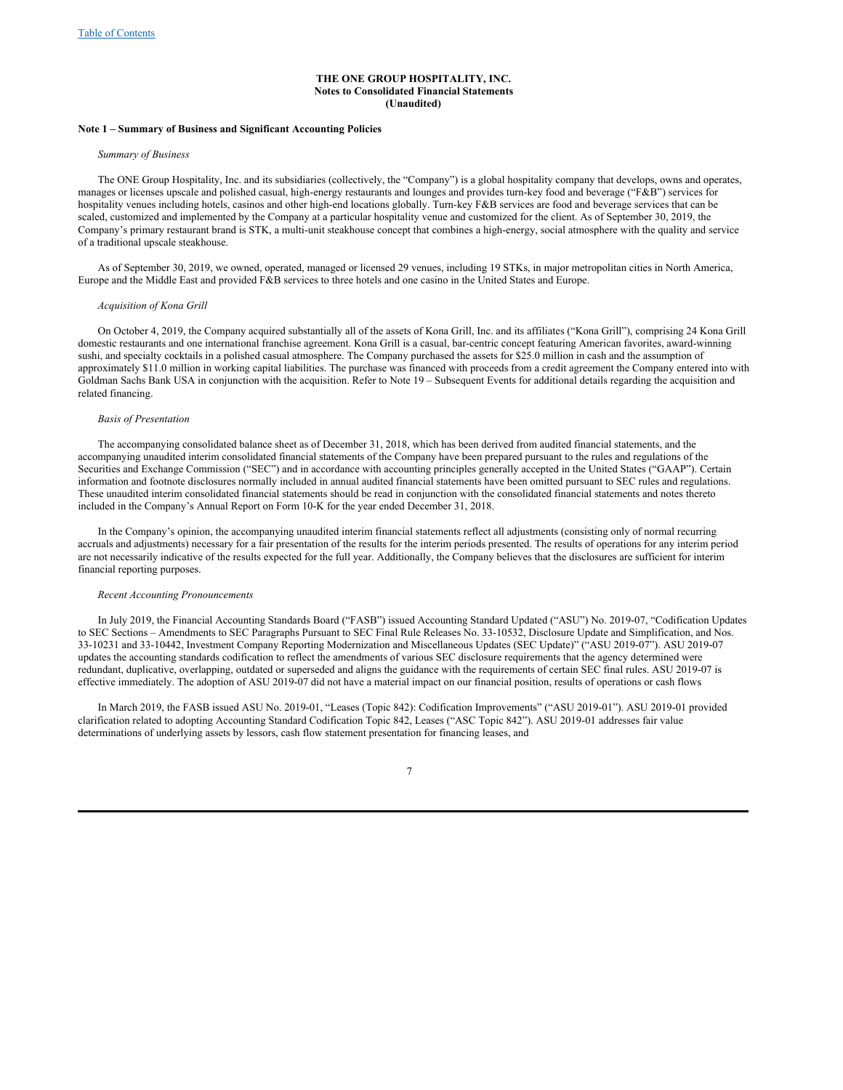### **THE ONE GROUP HOSPITALITY, INC. Notes to Consolidated Financial Statements (Unaudited)**

### **Note 1 – Summary of Business and Significant Accounting Policies**

#### *Summary of Business*

The ONE Group Hospitality, Inc. and its subsidiaries (collectively, the "Company") is a global hospitality company that develops, owns and operates, manages or licenses upscale and polished casual, high-energy restaurants and lounges and provides turn-key food and beverage ("F&B") services for hospitality venues including hotels, casinos and other high-end locations globally. Turn-key F&B services are food and beverage services that can be scaled, customized and implemented by the Company at a particular hospitality venue and customized for the client. As of September 30, 2019, the Company's primary restaurant brand is STK, a multi-unit steakhouse concept that combines a high-energy, social atmosphere with the quality and service of a traditional upscale steakhouse.

As of September 30, 2019, we owned, operated, managed or licensed 29 venues, including 19 STKs, in major metropolitan cities in North America, Europe and the Middle East and provided F&B services to three hotels and one casino in the United States and Europe.

#### *Acquisition of Kona Grill*

On October 4, 2019, the Company acquired substantially all of the assets of Kona Grill, Inc. and its affiliates ("Kona Grill"), comprising 24 Kona Grill domestic restaurants and one international franchise agreement. Kona Grill is a casual, bar-centric concept featuring American favorites, award-winning sushi, and specialty cocktails in a polished casual atmosphere. The Company purchased the assets for \$25.0 million in cash and the assumption of approximately \$11.0 million in working capital liabilities. The purchase was financed with proceeds from a credit agreement the Company entered into with Goldman Sachs Bank USA in conjunction with the acquisition. Refer to Note 19 – Subsequent Events for additional details regarding the acquisition and related financing.

# *Basis of Presentation*

The accompanying consolidated balance sheet as of December 31, 2018, which has been derived from audited financial statements, and the accompanying unaudited interim consolidated financial statements of the Company have been prepared pursuant to the rules and regulations of the Securities and Exchange Commission ("SEC") and in accordance with accounting principles generally accepted in the United States ("GAAP"). Certain information and footnote disclosures normally included in annual audited financial statements have been omitted pursuant to SEC rules and regulations. These unaudited interim consolidated financial statements should be read in conjunction with the consolidated financial statements and notes thereto included in the Company's Annual Report on Form 10‑K for the year ended December 31, 2018.

In the Company's opinion, the accompanying unaudited interim financial statements reflect all adjustments (consisting only of normal recurring accruals and adjustments) necessary for a fair presentation of the results for the interim periods presented. The results of operations for any interim period are not necessarily indicative of the results expected for the full year. Additionally, the Company believes that the disclosures are sufficient for interim financial reporting purposes.

### *Recent Accounting Pronouncements*

In July 2019, the Financial Accounting Standards Board ("FASB") issued Accounting Standard Updated ("ASU") No. 2019‑07, "Codification Updates to SEC Sections – Amendments to SEC Paragraphs Pursuant to SEC Final Rule Releases No. 33-10532, Disclosure Update and Simplification, and Nos. 33-10231 and 33-10442, Investment Company Reporting Modernization and Miscellaneous Updates (SEC Update)" ("ASU 2019-07"). ASU 2019-07 updates the accounting standards codification to reflect the amendments of various SEC disclosure requirements that the agency determined were redundant, duplicative, overlapping, outdated or superseded and aligns the guidance with the requirements of certain SEC final rules. ASU 2019-07 is effective immediately. The adoption of ASU 2019-07 did not have a material impact on our financial position, results of operations or cash flows.

In March 2019, the FASB issued ASU No. 2019‑01, "Leases (Topic 842): Codification Improvements" ("ASU 2019‑01"). ASU 2019‑01 provided clarification related to adopting Accounting Standard Codification Topic 842, Leases ("ASC Topic 842"). ASU 2019‑01 addresses fair value determinations of underlying assets by lessors, cash flow statement presentation for financing leases, and

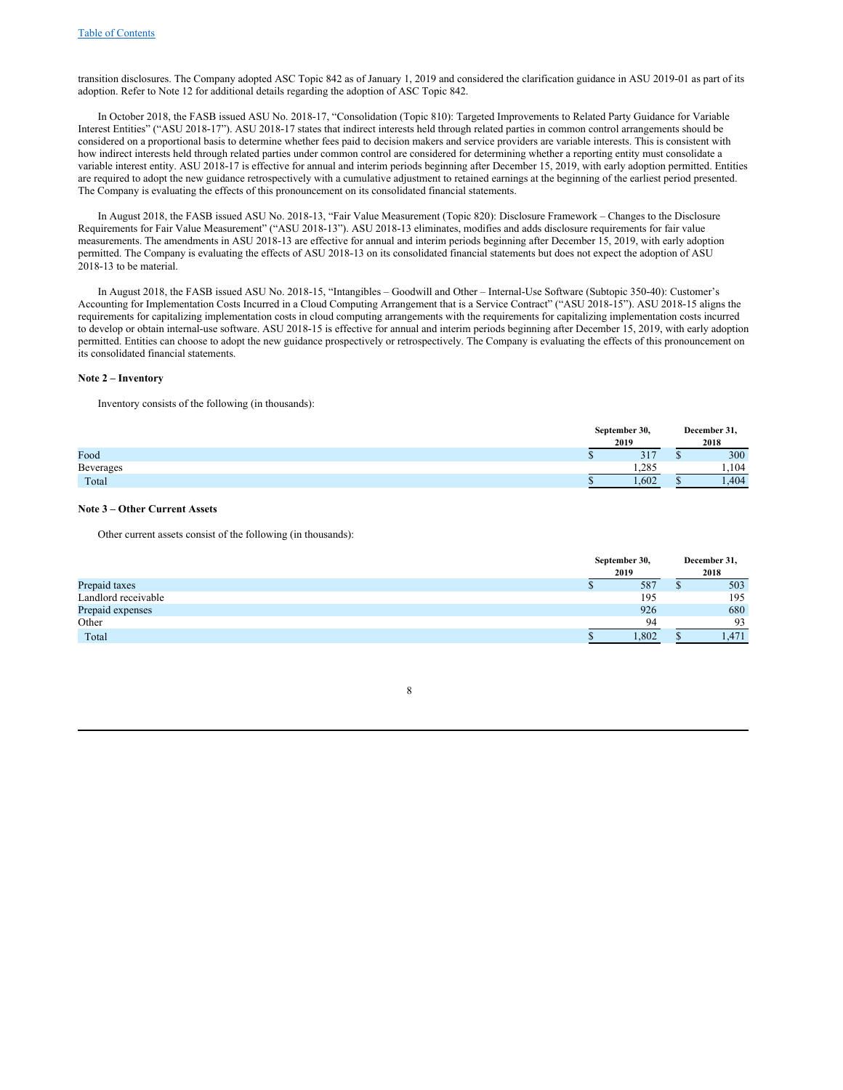transition disclosures. The Company adopted ASC Topic 842 as of January 1, 2019 and considered the clarification guidance in ASU 2019‑01 as part of its adoption. Refer to Note 12 for additional details regarding the adoption of ASC Topic 842.

In October 2018, the FASB issued ASU No. 2018‑17, "Consolidation (Topic 810): Targeted Improvements to Related Party Guidance for Variable Interest Entities" ("ASU 2018-17"). ASU 2018-17 states that indirect interests held through related parties in common control arrangements should be considered on a proportional basis to determine whether fees paid to decision makers and service providers are variable interests. This is consistent with how indirect interests held through related parties under common control are considered for determining whether a reporting entity must consolidate a variable interest entity. ASU 2018-17 is effective for annual and interim periods beginning after December 15, 2019, with early adoption permitted. Entities are required to adopt the new guidance retrospectively with a cumulative adjustment to retained earnings at the beginning of the earliest period presented. The Company is evaluating the effects of this pronouncement on its consolidated financial statements.

In August 2018, the FASB issued ASU No. 2018‑13, "Fair Value Measurement (Topic 820): Disclosure Framework – Changes to the Disclosure Requirements for Fair Value Measurement" ("ASU 2018‑13"). ASU 2018‑13 eliminates, modifies and adds disclosure requirements for fair value measurements. The amendments in ASU 2018-13 are effective for annual and interim periods beginning after December 15, 2019, with early adoption permitted. The Company is evaluating the effects of ASU 2018‑13 on its consolidated financial statements but does not expect the adoption of ASU 2018‑13 to be material.

In August 2018, the FASB issued ASU No. 2018‑15, "Intangibles – Goodwill and Other – Internal-Use Software (Subtopic 350‑40): Customer's Accounting for Implementation Costs Incurred in a Cloud Computing Arrangement that is a Service Contract" ("ASU 2018‑15"). ASU 2018‑15 aligns the requirements for capitalizing implementation costs in cloud computing arrangements with the requirements for capitalizing implementation costs incurred to develop or obtain internal-use software. ASU 2018-15 is effective for annual and interim periods beginning after December 15, 2019, with early adoption permitted. Entities can choose to adopt the new guidance prospectively or retrospectively. The Company is evaluating the effects of this pronouncement on its consolidated financial statements.

## **Note 2 – Inventory**

Inventory consists of the following (in thousands):

|                  | September 30, | December 31. |  |  |
|------------------|---------------|--------------|--|--|
|                  | 2019          | 2018         |  |  |
| Food             | 217<br>◡      | 300          |  |  |
| <b>Beverages</b> | 1.285         | ,104         |  |  |
| Total            | 1,602         | 1,404        |  |  |

## **Note 3 – Other Current Assets**

Other current assets consist of the following (in thousands):

|                     |      | September 30, | December 31, |       |  |
|---------------------|------|---------------|--------------|-------|--|
|                     | 2019 |               |              | 2018  |  |
| Prepaid taxes       |      | 587           |              | 503   |  |
| Landlord receivable |      | 195           |              | 195   |  |
| Prepaid expenses    |      | 926           |              | 680   |  |
| Other               |      | 94            |              | 93    |  |
| Total               |      | 1.802         |              | 1.471 |  |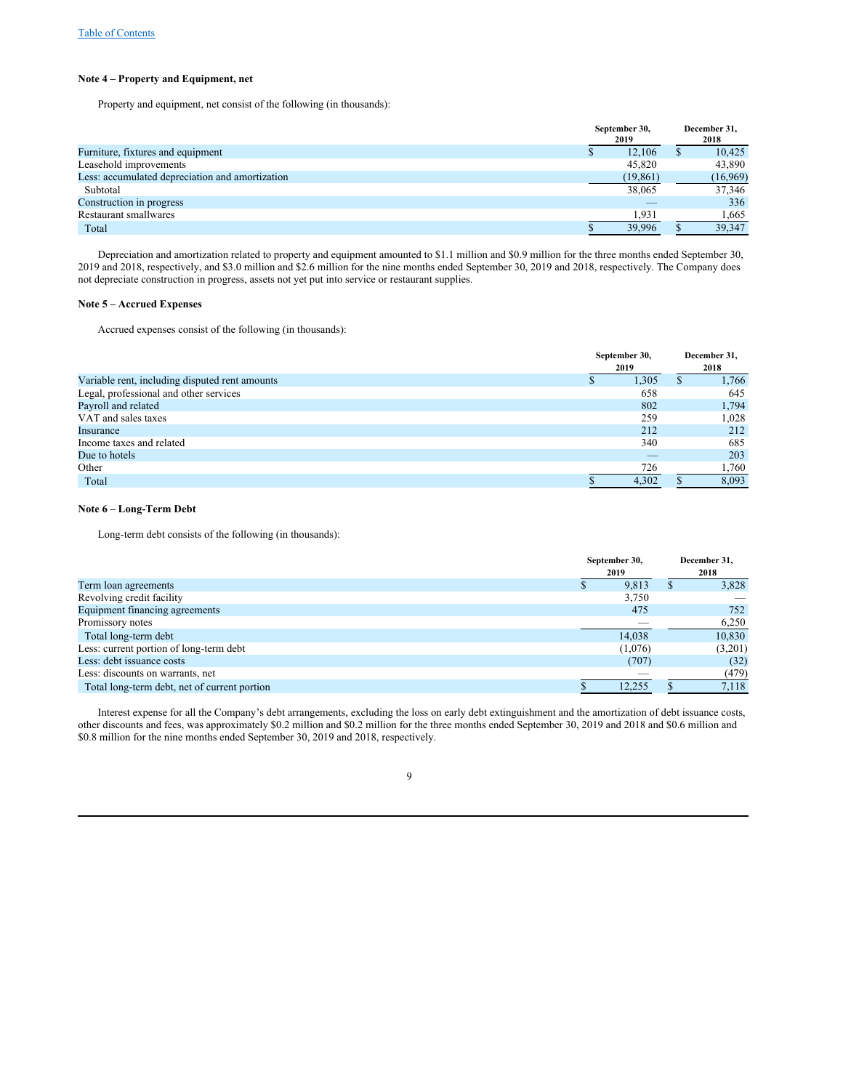# **Note 4 – Property and Equipment, net**

Property and equipment, net consist of the following (in thousands):

|                                                 | September 30,<br>2019 | December 31,<br>2018 |  |
|-------------------------------------------------|-----------------------|----------------------|--|
| Furniture, fixtures and equipment               | 12,106                | 10.425               |  |
| Leasehold improvements                          | 45,820                | 43,890               |  |
| Less: accumulated depreciation and amortization | (19, 861)             | (16,969)             |  |
| Subtotal                                        | 38,065                | 37.346               |  |
| Construction in progress                        |                       | 336                  |  |
| Restaurant smallwares                           | 1.931                 | 1,665                |  |
| Total                                           | 39,996                | 39,347               |  |

Depreciation and amortization related to property and equipment amounted to \$1.1 million and \$0.9 million for the three months ended September 30, 2019 and 2018, respectively, and \$3.0 million and \$2.6 million for the nine months ended September 30, 2019 and 2018, respectively. The Company does not depreciate construction in progress, assets not yet put into service or restaurant supplies.

# **Note 5 – Accrued Expenses**

Accrued expenses consist of the following (in thousands):

|                                                |      | September 30,            |   | December 31, |
|------------------------------------------------|------|--------------------------|---|--------------|
|                                                | 2019 |                          |   | 2018         |
| Variable rent, including disputed rent amounts |      | 1,305                    | æ | 1,766        |
| Legal, professional and other services         |      | 658                      |   | 645          |
| Payroll and related                            |      | 802                      |   | 1,794        |
| VAT and sales taxes                            |      | 259                      |   | 1,028        |
| Insurance                                      |      | 212                      |   | 212          |
| Income taxes and related                       |      | 340                      |   | 685          |
| Due to hotels                                  |      | $\overline{\phantom{a}}$ |   | 203          |
| Other                                          |      | 726                      |   | 1,760        |
| Total                                          |      | 4,302                    |   | 8,093        |

# **Note 6 – Long-Term Debt**

Long-term debt consists of the following (in thousands):

|                                              | September 30, | December 31, |
|----------------------------------------------|---------------|--------------|
|                                              | 2019          | 2018         |
| Term loan agreements                         | 9,813         | 3,828<br>D   |
| Revolving credit facility                    | 3,750         |              |
| Equipment financing agreements               | 475           | 752          |
| Promissory notes                             |               | 6,250        |
| Total long-term debt                         | 14,038        | 10,830       |
| Less: current portion of long-term debt      | (1,076)       | (3,201)      |
| Less: debt issuance costs                    | (707)         | (32)         |
| Less: discounts on warrants, net             |               | (479)        |
| Total long-term debt, net of current portion | 12,255        | 7,118        |

Interest expense for all the Company's debt arrangements, excluding the loss on early debt extinguishment and the amortization of debt issuance costs, other discounts and fees, was approximately \$0.2 million and \$0.2 million for the three months ended September 30, 2019 and 2018 and \$0.6 million and \$0.8 million for the nine months ended September 30, 2019 and 2018, respectively.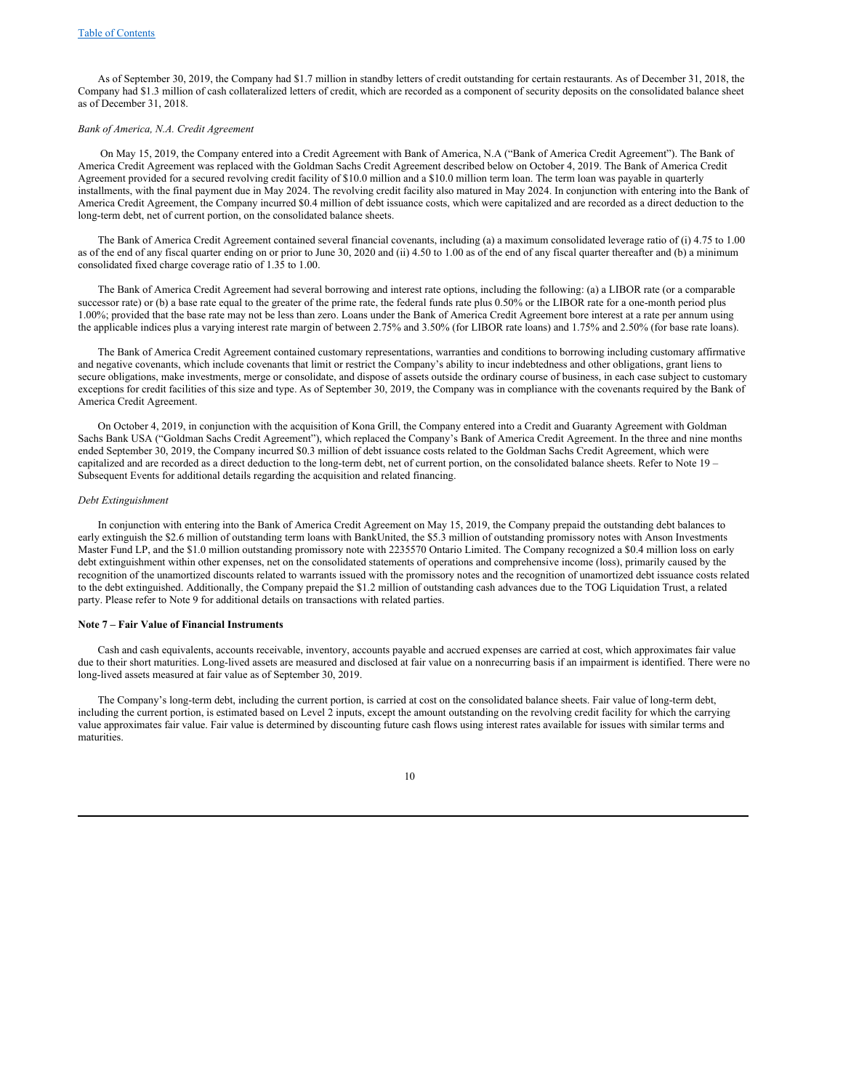As of September 30, 2019, the Company had \$1.7 million in standby letters of credit outstanding for certain restaurants. As of December 31, 2018, the Company had \$1.3 million of cash collateralized letters of credit, which are recorded as a component of security deposits on the consolidated balance sheet as of December 31, 2018.

# *Bank of America, N.A. Credit Agreement*

On May 15, 2019, the Company entered into a Credit Agreement with Bank of America, N.A ("Bank of America Credit Agreement"). The Bank of America Credit Agreement was replaced with the Goldman Sachs Credit Agreement described below on October 4, 2019. The Bank of America Credit Agreement provided for a secured revolving credit facility of \$10.0 million and a \$10.0 million term loan. The term loan was payable in quarterly installments, with the final payment due in May 2024. The revolving credit facility also matured in May 2024. In conjunction with entering into the Bank of America Credit Agreement, the Company incurred \$0.4 million of debt issuance costs, which were capitalized and are recorded as a direct deduction to the long-term debt, net of current portion, on the consolidated balance sheets.

The Bank of America Credit Agreement contained several financial covenants, including (a) a maximum consolidated leverage ratio of (i) 4.75 to 1.00 as of the end of any fiscal quarter ending on or prior to June 30, 2020 and (ii) 4.50 to 1.00 as of the end of any fiscal quarter thereafter and (b) a minimum consolidated fixed charge coverage ratio of 1.35 to 1.00.

The Bank of America Credit Agreement had several borrowing and interest rate options, including the following: (a) a LIBOR rate (or a comparable successor rate) or (b) a base rate equal to the greater of the prime rate, the federal funds rate plus 0.50% or the LIBOR rate for a one-month period plus 1.00%; provided that the base rate may not be less than zero. Loans under the Bank of America Credit Agreement bore interest at a rate per annum using the applicable indices plus a varying interest rate margin of between 2.75% and 3.50% (for LIBOR rate loans) and 1.75% and 2.50% (for base rate loans).

The Bank of America Credit Agreement contained customary representations, warranties and conditions to borrowing including customary affirmative and negative covenants, which include covenants that limit or restrict the Company's ability to incur indebtedness and other obligations, grant liens to secure obligations, make investments, merge or consolidate, and dispose of assets outside the ordinary course of business, in each case subject to customary exceptions for credit facilities of this size and type. As of September 30, 2019, the Company was in compliance with the covenants required by the Bank of America Credit Agreement.

On October 4, 2019, in conjunction with the acquisition of Kona Grill, the Company entered into a Credit and Guaranty Agreement with Goldman Sachs Bank USA ("Goldman Sachs Credit Agreement"), which replaced the Company's Bank of America Credit Agreement. In the three and nine months ended September 30, 2019, the Company incurred \$0.3 million of debt issuance costs related to the Goldman Sachs Credit Agreement, which were capitalized and are recorded as a direct deduction to the long-term debt, net of current portion, on the consolidated balance sheets. Refer to Note 19 – Subsequent Events for additional details regarding the acquisition and related financing.

#### *Debt Extinguishment*

In conjunction with entering into the Bank of America Credit Agreement on May 15, 2019, the Company prepaid the outstanding debt balances to early extinguish the \$2.6 million of outstanding term loans with BankUnited, the \$5.3 million of outstanding promissory notes with Anson Investments Master Fund LP, and the \$1.0 million outstanding promissory note with 2235570 Ontario Limited. The Company recognized a \$0.4 million loss on early debt extinguishment within other expenses, net on the consolidated statements of operations and comprehensive income (loss), primarily caused by the recognition of the unamortized discounts related to warrants issued with the promissory notes and the recognition of unamortized debt issuance costs related to the debt extinguished. Additionally, the Company prepaid the \$1.2 million of outstanding cash advances due to the TOG Liquidation Trust, a related party. Please refer to Note 9 for additional details on transactions with related parties.

#### **Note 7 – Fair Value of Financial Instruments**

Cash and cash equivalents, accounts receivable, inventory, accounts payable and accrued expenses are carried at cost, which approximates fair value due to their short maturities. Long-lived assets are measured and disclosed at fair value on a nonrecurring basis if an impairment is identified. There were no long-lived assets measured at fair value as of September 30, 2019.

The Company's long-term debt, including the current portion, is carried at cost on the consolidated balance sheets. Fair value of long-term debt, including the current portion, is estimated based on Level 2 inputs, except the amount outstanding on the revolving credit facility for which the carrying value approximates fair value. Fair value is determined by discounting future cash flows using interest rates available for issues with similar terms and maturities.

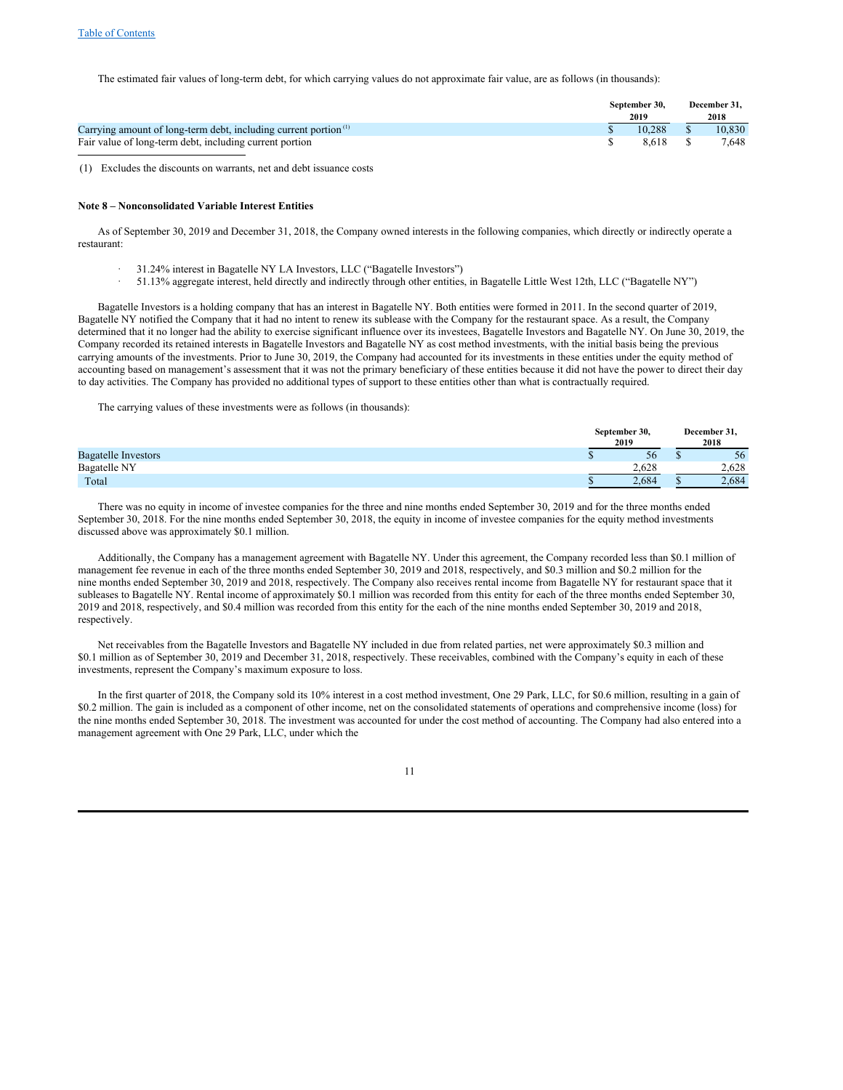The estimated fair values of long-term debt, for which carrying values do not approximate fair value, are as follows (in thousands):

|                                                                             | September 30. |          | December 31. |
|-----------------------------------------------------------------------------|---------------|----------|--------------|
|                                                                             |               | 2019     | 2018         |
| Carrying amount of long-term debt, including current portion <sup>(1)</sup> |               | 10.288   | 10.830       |
| Fair value of long-term debt, including current portion                     |               | 8.618 \$ | 7.648        |

(1) Excludes the discounts on warrants, net and debt issuance costs

#### **Note 8 – Nonconsolidated Variable Interest Entities**

As of September 30, 2019 and December 31, 2018, the Company owned interests in the following companies, which directly or indirectly operate a restaurant:

- · 31.24% interest in Bagatelle NY LA Investors, LLC ("Bagatelle Investors")
- · 51.13% aggregate interest, held directly and indirectly through other entities, in Bagatelle Little West 12th, LLC ("Bagatelle NY")

Bagatelle Investors is a holding company that has an interest in Bagatelle NY. Both entities were formed in 2011. In the second quarter of 2019, Bagatelle NY notified the Company that it had no intent to renew its sublease with the Company for the restaurant space. As a result, the Company determined that it no longer had the ability to exercise significant influence over its investees, Bagatelle Investors and Bagatelle NY. On June 30, 2019, the Company recorded its retained interests in Bagatelle Investors and Bagatelle NY as cost method investments, with the initial basis being the previous carrying amounts of the investments. Prior to June 30, 2019, the Company had accounted for its investments in these entities under the equity method of accounting based on management's assessment that it was not the primary beneficiary of these entities because it did not have the power to direct their day to day activities. The Company has provided no additional types of support to these entities other than what is contractually required.

The carrying values of these investments were as follows (in thousands):

|                            | September 30,<br>2019 | December 31,<br>2018 |  |  |
|----------------------------|-----------------------|----------------------|--|--|
| <b>Bagatelle Investors</b> | э6                    | 56                   |  |  |
| <b>Bagatelle NY</b>        | 2.628                 | 2.628                |  |  |
| Total                      | 2.684                 | 2,684                |  |  |

There was no equity in income of investee companies for the three and nine months ended September 30, 2019 and for the three months ended September 30, 2018. For the nine months ended September 30, 2018, the equity in income of investee companies for the equity method investments discussed above was approximately \$0.1 million.

Additionally, the Company has a management agreement with Bagatelle NY. Under this agreement, the Company recorded less than \$0.1 million of management fee revenue in each of the three months ended September 30, 2019 and 2018, respectively, and \$0.3 million and \$0.2 million for the nine months ended September 30, 2019 and 2018, respectively. The Company also receives rental income from Bagatelle NY for restaurant space that it subleases to Bagatelle NY. Rental income of approximately \$0.1 million was recorded from this entity for each of the three months ended September 30, 2019 and 2018, respectively, and \$0.4 million was recorded from this entity for the each of the nine months ended September 30, 2019 and 2018, respectively.

Net receivables from the Bagatelle Investors and Bagatelle NY included in due from related parties, net were approximately \$0.3 million and \$0.1 million as of September 30, 2019 and December 31, 2018, respectively. These receivables, combined with the Company's equity in each of these investments, represent the Company's maximum exposure to loss.

In the first quarter of 2018, the Company sold its 10% interest in a cost method investment, One 29 Park, LLC, for \$0.6 million, resulting in a gain of \$0.2 million. The gain is included as a component of other income, net on the consolidated statements of operations and comprehensive income (loss) for the nine months ended September 30, 2018. The investment was accounted for under the cost method of accounting. The Company had also entered into a management agreement with One 29 Park, LLC, under which the

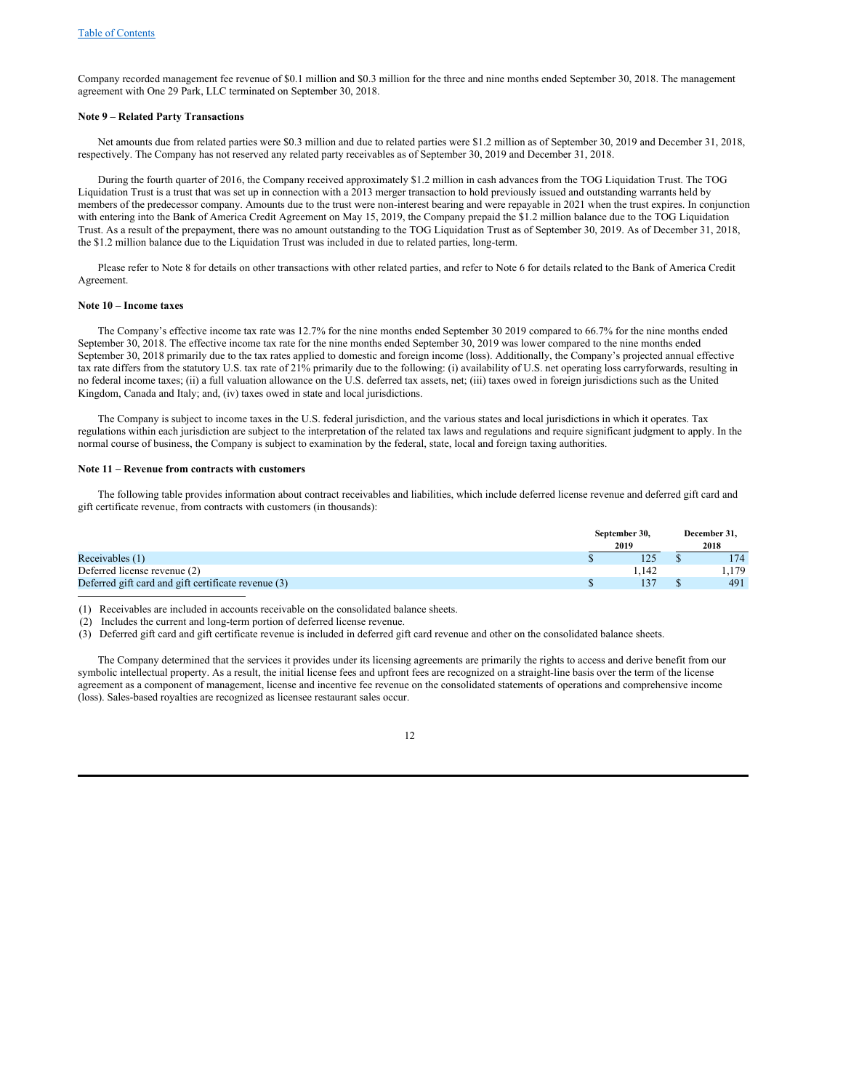Company recorded management fee revenue of \$0.1 million and \$0.3 million for the three and nine months ended September 30, 2018. The management agreement with One 29 Park, LLC terminated on September 30, 2018.

### **Note 9 – Related Party Transactions**

Net amounts due from related parties were \$0.3 million and due to related parties were \$1.2 million as of September 30, 2019 and December 31, 2018, respectively. The Company has not reserved any related party receivables as of September 30, 2019 and December 31, 2018.

During the fourth quarter of 2016, the Company received approximately \$1.2 million in cash advances from the TOG Liquidation Trust. The TOG Liquidation Trust is a trust that was set up in connection with a 2013 merger transaction to hold previously issued and outstanding warrants held by members of the predecessor company. Amounts due to the trust were non-interest bearing and were repayable in 2021 when the trust expires. In conjunction with entering into the Bank of America Credit Agreement on May 15, 2019, the Company prepaid the \$1.2 million balance due to the TOG Liquidation Trust. As a result of the prepayment, there was no amount outstanding to the TOG Liquidation Trust as of September 30, 2019. As of December 31, 2018, the \$1.2 million balance due to the Liquidation Trust was included in due to related parties, long-term.

Please refer to Note 8 for details on other transactions with other related parties, and refer to Note 6 for details related to the Bank of America Credit Agreement.

### **Note 10 – Income taxes**

The Company's effective income tax rate was 12.7% for the nine months ended September 30 2019 compared to 66.7% for the nine months ended September 30, 2018. The effective income tax rate for the nine months ended September 30, 2019 was lower compared to the nine months ended September 30, 2018 primarily due to the tax rates applied to domestic and foreign income (loss). Additionally, the Company's projected annual effective tax rate differs from the statutory U.S. tax rate of 21% primarily due to the following: (i) availability of U.S. net operating loss carryforwards, resulting in no federal income taxes; (ii) a full valuation allowance on the U.S. deferred tax assets, net; (iii) taxes owed in foreign jurisdictions such as the United Kingdom, Canada and Italy; and, (iv) taxes owed in state and local jurisdictions.

The Company is subject to income taxes in the U.S. federal jurisdiction, and the various states and local jurisdictions in which it operates. Tax regulations within each jurisdiction are subject to the interpretation of the related tax laws and regulations and require significant judgment to apply. In the normal course of business, the Company is subject to examination by the federal, state, local and foreign taxing authorities.

## **Note 11 – Revenue from contracts with customers**

The following table provides information about contract receivables and liabilities, which include deferred license revenue and deferred gift card and gift certificate revenue, from contracts with customers (in thousands):

|                                                     | September 30, | December 31. |       |  |
|-----------------------------------------------------|---------------|--------------|-------|--|
|                                                     | 2019          |              | 2018  |  |
| Receivables (1)                                     |               |              | 174   |  |
| Deferred license revenue (2)                        | .142          |              | 1,179 |  |
| Deferred gift card and gift certificate revenue (3) |               |              | 491   |  |

(1) Receivables are included in accounts receivable on the consolidated balance sheets.

(2) Includes the current and long-term portion of deferred license revenue.

(3) Deferred gift card and gift certificate revenue is included in deferred gift card revenue and other on the consolidated balance sheets.

The Company determined that the services it provides under its licensing agreements are primarily the rights to access and derive benefit from our symbolic intellectual property. As a result, the initial license fees and upfront fees are recognized on a straight-line basis over the term of the license agreement as a component of management, license and incentive fee revenue on the consolidated statements of operations and comprehensive income (loss). Sales-based royalties are recognized as licensee restaurant sales occur.

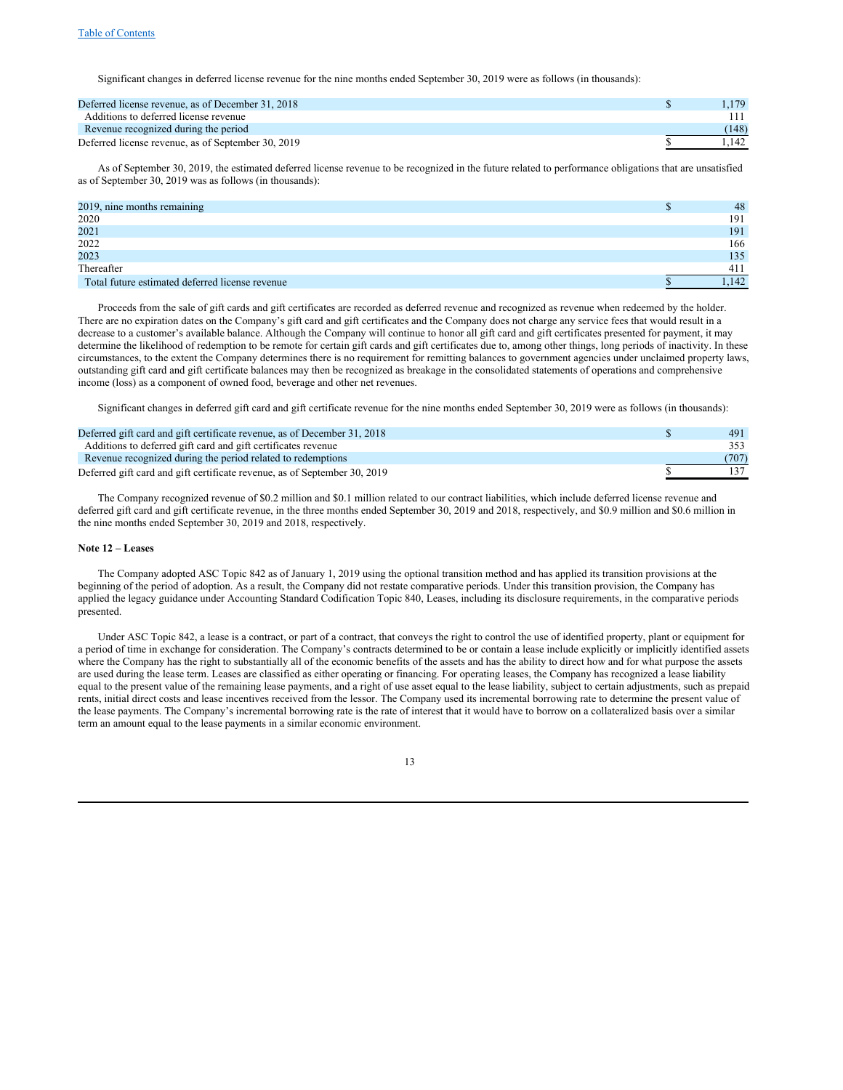Significant changes in deferred license revenue for the nine months ended September 30, 2019 were as follows (in thousands):

| Deferred license revenue, as of December 31, 2018  | l.179 |
|----------------------------------------------------|-------|
| Additions to deferred license revenue              |       |
| Revenue recognized during the period               | (148) |
| Deferred license revenue, as of September 30, 2019 |       |

As of September 30, 2019, the estimated deferred license revenue to be recognized in the future related to performance obligations that are unsatisfied as of September 30, 2019 was as follows (in thousands):

| 2019, nine months remaining                     | 48  |
|-------------------------------------------------|-----|
| 2020                                            | 191 |
| 2021                                            | 191 |
| 2022                                            | 166 |
| 2023                                            | 135 |
| Thereafter                                      | 411 |
| Total future estimated deferred license revenue | 142 |

Proceeds from the sale of gift cards and gift certificates are recorded as deferred revenue and recognized as revenue when redeemed by the holder. There are no expiration dates on the Company's gift card and gift certificates and the Company does not charge any service fees that would result in a decrease to a customer's available balance. Although the Company will continue to honor all gift card and gift certificates presented for payment, it may determine the likelihood of redemption to be remote for certain gift cards and gift certificates due to, among other things, long periods of inactivity. In these circumstances, to the extent the Company determines there is no requirement for remitting balances to government agencies under unclaimed property laws, outstanding gift card and gift certificate balances may then be recognized as breakage in the consolidated statements of operations and comprehensive income (loss) as a component of owned food, beverage and other net revenues.

Significant changes in deferred gift card and gift certificate revenue for the nine months ended September 30, 2019 were as follows (in thousands):

| Deferred gift card and gift certificate revenue, as of December 31, 2018  | 491   |
|---------------------------------------------------------------------------|-------|
| Additions to deferred gift card and gift certificates revenue             |       |
| Revenue recognized during the period related to redemptions               | (707) |
| Deferred gift card and gift certificate revenue, as of September 30, 2019 |       |

The Company recognized revenue of \$0.2 million and \$0.1 million related to our contract liabilities, which include deferred license revenue and deferred gift card and gift certificate revenue, in the three months ended September 30, 2019 and 2018, respectively, and \$0.9 million and \$0.6 million in the nine months ended September 30, 2019 and 2018, respectively.

#### **Note 12 – Leases**

The Company adopted ASC Topic 842 as of January 1, 2019 using the optional transition method and has applied its transition provisions at the beginning of the period of adoption. As a result, the Company did not restate comparative periods. Under this transition provision, the Company has applied the legacy guidance under Accounting Standard Codification Topic 840, Leases, including its disclosure requirements, in the comparative periods presented.

Under ASC Topic 842, a lease is a contract, or part of a contract, that conveys the right to control the use of identified property, plant or equipment for a period of time in exchange for consideration. The Company's contracts determined to be or contain a lease include explicitly or implicitly identified assets where the Company has the right to substantially all of the economic benefits of the assets and has the ability to direct how and for what purpose the assets are used during the lease term. Leases are classified as either operating or financing. For operating leases, the Company has recognized a lease liability equal to the present value of the remaining lease payments, and a right of use asset equal to the lease liability, subject to certain adjustments, such as prepaid rents, initial direct costs and lease incentives received from the lessor. The Company used its incremental borrowing rate to determine the present value of the lease payments. The Company's incremental borrowing rate is the rate of interest that it would have to borrow on a collateralized basis over a similar term an amount equal to the lease payments in a similar economic environment.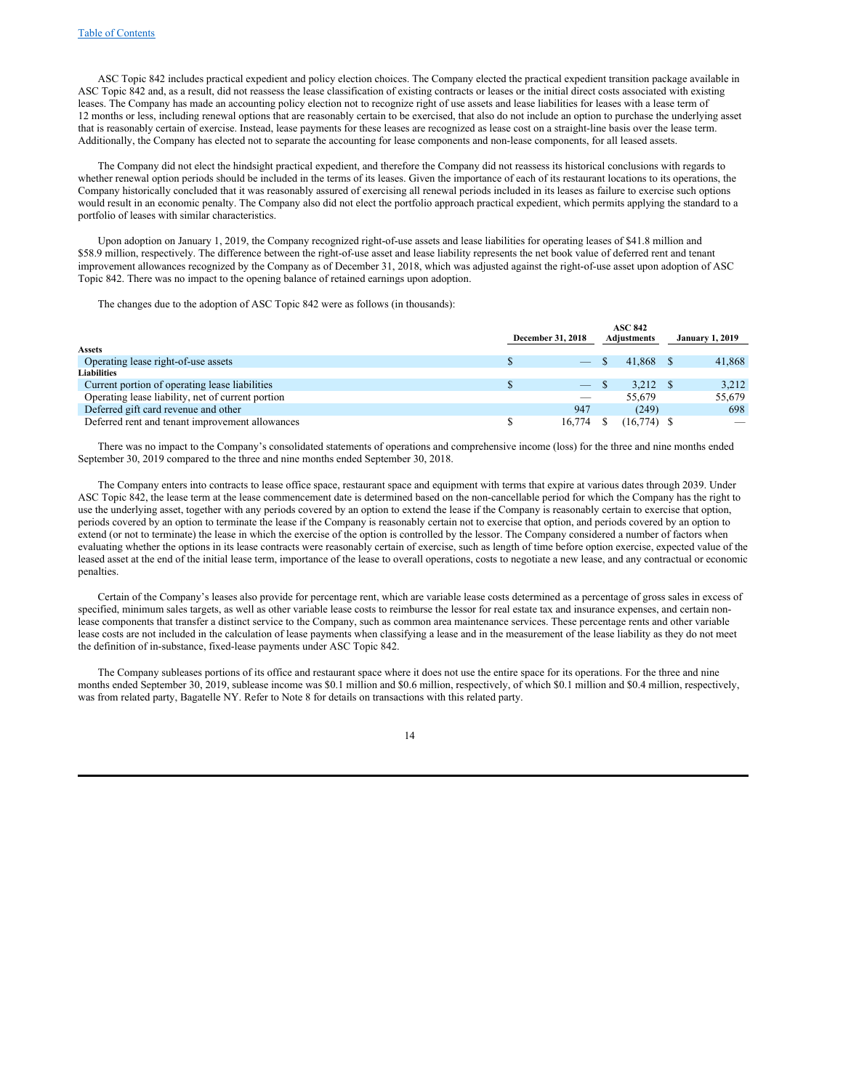ASC Topic 842 includes practical expedient and policy election choices. The Company elected the practical expedient transition package available in ASC Topic 842 and, as a result, did not reassess the lease classification of existing contracts or leases or the initial direct costs associated with existing leases. The Company has made an accounting policy election not to recognize right of use assets and lease liabilities for leases with a lease term of 12 months or less, including renewal options that are reasonably certain to be exercised, that also do not include an option to purchase the underlying asset that is reasonably certain of exercise. Instead, lease payments for these leases are recognized as lease cost on a straight-line basis over the lease term. Additionally, the Company has elected not to separate the accounting for lease components and non-lease components, for all leased assets.

The Company did not elect the hindsight practical expedient, and therefore the Company did not reassess its historical conclusions with regards to whether renewal option periods should be included in the terms of its leases. Given the importance of each of its restaurant locations to its operations, the Company historically concluded that it was reasonably assured of exercising all renewal periods included in its leases as failure to exercise such options would result in an economic penalty. The Company also did not elect the portfolio approach practical expedient, which permits applying the standard to a portfolio of leases with similar characteristics.

Upon adoption on January 1, 2019, the Company recognized right-of-use assets and lease liabilities for operating leases of \$41.8 million and \$58.9 million, respectively. The difference between the right-of-use asset and lease liability represents the net book value of deferred rent and tenant improvement allowances recognized by the Company as of December 31, 2018, which was adjusted against the right-of-use asset upon adoption of ASC Topic 842. There was no impact to the opening balance of retained earnings upon adoption.

The changes due to the adoption of ASC Topic 842 were as follows (in thousands):

| <b>Assets</b>                                     | <b>December 31, 2018</b> |                          |  | <b>ASC 842</b><br>Adjustments |  | <b>January 1, 2019</b> |
|---------------------------------------------------|--------------------------|--------------------------|--|-------------------------------|--|------------------------|
| Operating lease right-of-use assets               |                          |                          |  | 41.868 \$                     |  | 41,868                 |
| <b>Liabilities</b>                                |                          |                          |  |                               |  |                        |
| Current portion of operating lease liabilities    |                          | $\overline{\phantom{0}}$ |  | 3.212 S                       |  | 3,212                  |
| Operating lease liability, net of current portion |                          | $\overline{\phantom{a}}$ |  | 55,679                        |  | 55,679                 |
| Deferred gift card revenue and other              |                          | 947                      |  | (249)                         |  | 698                    |
| Deferred rent and tenant improvement allowances   |                          | 16,774                   |  | $(16,774)$ \$                 |  | __                     |

There was no impact to the Company's consolidated statements of operations and comprehensive income (loss) for the three and nine months ended September 30, 2019 compared to the three and nine months ended September 30, 2018.

The Company enters into contracts to lease office space, restaurant space and equipment with terms that expire at various dates through 2039. Under ASC Topic 842, the lease term at the lease commencement date is determined based on the non-cancellable period for which the Company has the right to use the underlying asset, together with any periods covered by an option to extend the lease if the Company is reasonably certain to exercise that option, periods covered by an option to terminate the lease if the Company is reasonably certain not to exercise that option, and periods covered by an option to extend (or not to terminate) the lease in which the exercise of the option is controlled by the lessor. The Company considered a number of factors when evaluating whether the options in its lease contracts were reasonably certain of exercise, such as length of time before option exercise, expected value of the leased asset at the end of the initial lease term, importance of the lease to overall operations, costs to negotiate a new lease, and any contractual or economic penalties.

Certain of the Company's leases also provide for percentage rent, which are variable lease costs determined as a percentage of gross sales in excess of specified, minimum sales targets, as well as other variable lease costs to reimburse the lessor for real estate tax and insurance expenses, and certain nonlease components that transfer a distinct service to the Company, such as common area maintenance services. These percentage rents and other variable lease costs are not included in the calculation of lease payments when classifying a lease and in the measurement of the lease liability as they do not meet the definition of in-substance, fixed-lease payments under ASC Topic 842.

The Company subleases portions of its office and restaurant space where it does not use the entire space for its operations. For the three and nine months ended September 30, 2019, sublease income was \$0.1 million and \$0.6 million, respectively, of which \$0.1 million and \$0.4 million, respectively, was from related party, Bagatelle NY. Refer to Note 8 for details on transactions with this related party.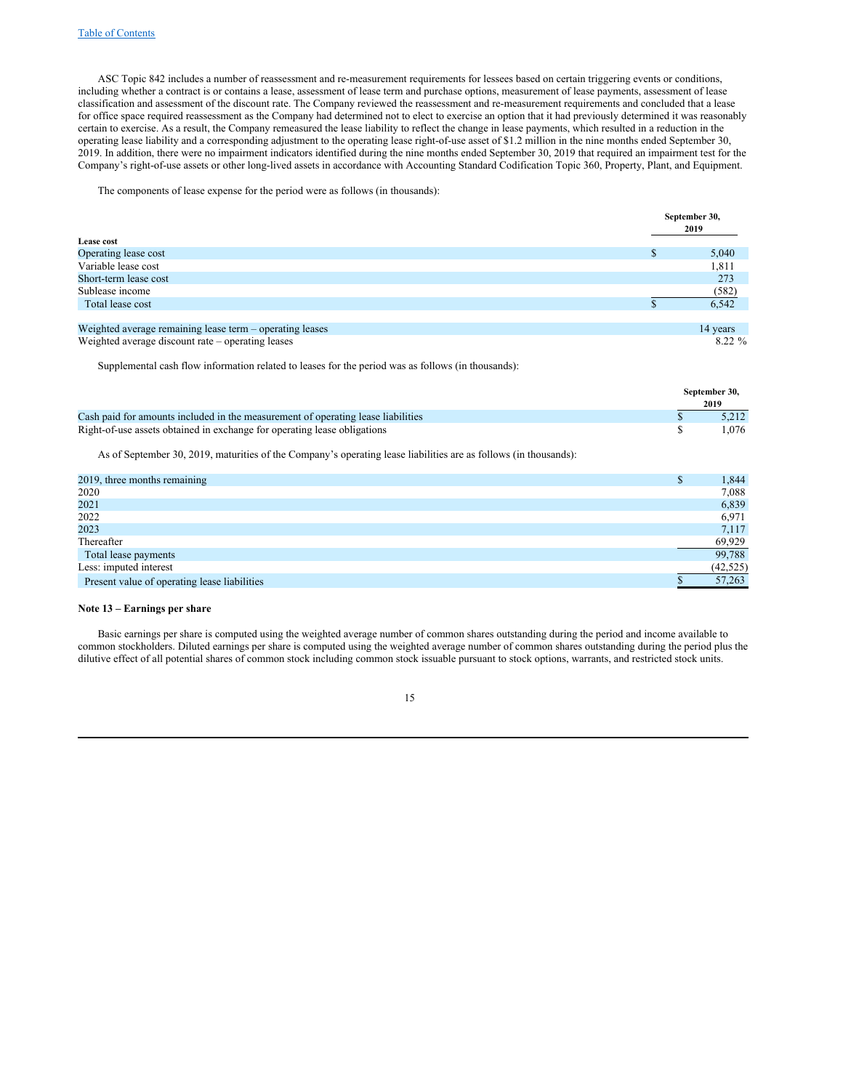ASC Topic 842 includes a number of reassessment and re-measurement requirements for lessees based on certain triggering events or conditions, including whether a contract is or contains a lease, assessment of lease term and purchase options, measurement of lease payments, assessment of lease classification and assessment of the discount rate. The Company reviewed the reassessment and re-measurement requirements and concluded that a lease for office space required reassessment as the Company had determined not to elect to exercise an option that it had previously determined it was reasonably certain to exercise. As a result, the Company remeasured the lease liability to reflect the change in lease payments, which resulted in a reduction in the operating lease liability and a corresponding adjustment to the operating lease right-of-use asset of \$1.2 million in the nine months ended September 30, 2019. In addition, there were no impairment indicators identified during the nine months ended September 30, 2019 that required an impairment test for the Company's right-of-use assets or other long-lived assets in accordance with Accounting Standard Codification Topic 360, Property, Plant, and Equipment.

The components of lease expense for the period were as follows (in thousands):

| Lease cost                                               |  | September 30,<br>2019 |  |  |
|----------------------------------------------------------|--|-----------------------|--|--|
| Operating lease cost                                     |  | 5,040                 |  |  |
| Variable lease cost                                      |  | 1,811                 |  |  |
| Short-term lease cost                                    |  | 273                   |  |  |
| Sublease income                                          |  | (582)                 |  |  |
| Total lease cost                                         |  | 6,542                 |  |  |
|                                                          |  |                       |  |  |
| Weighted average remaining lease term – operating leases |  | 14 years              |  |  |
| Weighted average discount rate – operating leases        |  | $8.22 \%$             |  |  |

Weighted average discount rate – operating leases

Supplemental cash flow information related to leases for the period was as follows (in thousands):

|                                                                                  | September 30. |       |  |
|----------------------------------------------------------------------------------|---------------|-------|--|
|                                                                                  |               | 2019  |  |
| Cash paid for amounts included in the measurement of operating lease liabilities |               | 5.212 |  |
| Right-of-use assets obtained in exchange for operating lease obligations         |               | 1.076 |  |

As of September 30, 2019, maturities of the Company's operating lease liabilities are as follows (in thousands):

| 2019, three months remaining                 | 1,844     |
|----------------------------------------------|-----------|
| 2020                                         | 7,088     |
| 2021                                         | 6,839     |
| 2022                                         | 6,971     |
| 2023                                         | 7,117     |
| Thereafter                                   | 69,929    |
| Total lease payments                         | 99,788    |
| Less: imputed interest                       | (42, 525) |
| Present value of operating lease liabilities | 57,263    |

#### **Note 13 – Earnings per share**

Basic earnings per share is computed using the weighted average number of common shares outstanding during the period and income available to common stockholders. Diluted earnings per share is computed using the weighted average number of common shares outstanding during the period plus the dilutive effect of all potential shares of common stock including common stock issuable pursuant to stock options, warrants, and restricted stock units.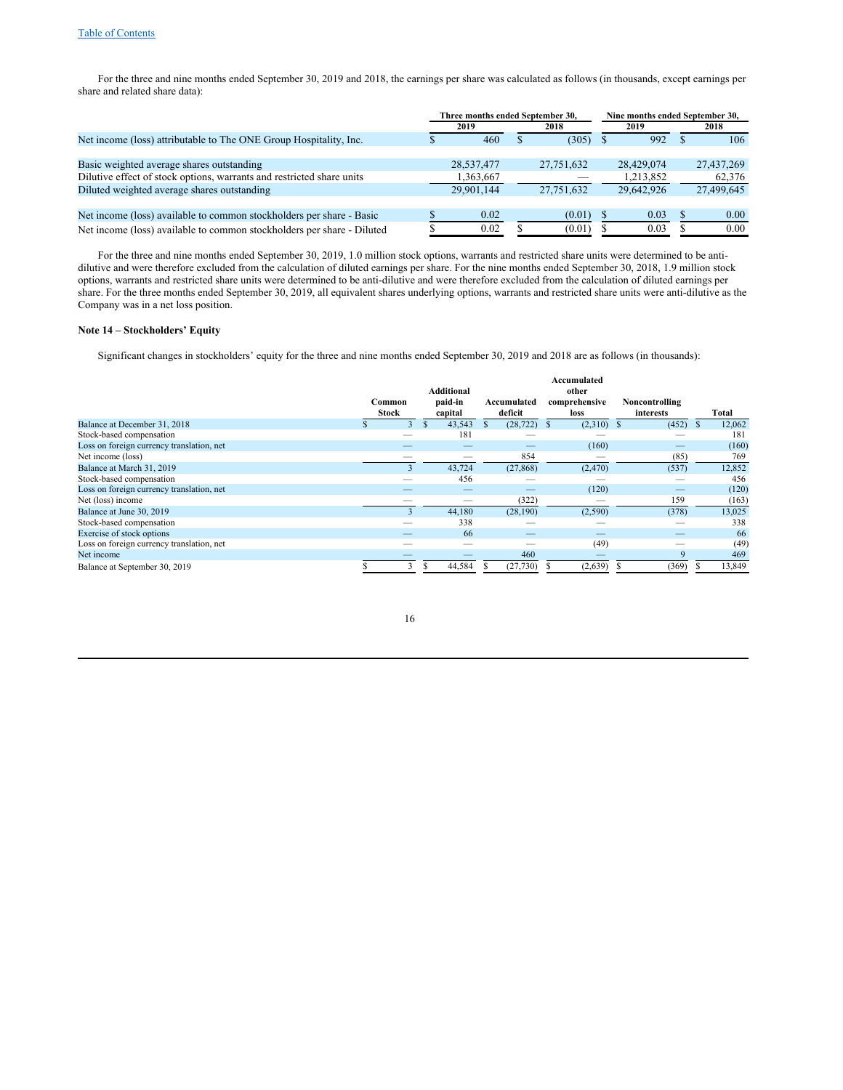For the three and nine months ended September 30, 2019 and 2018, the earnings per share was calculated as follows (in thousands, except earnings per share and related share data):

|                                                                        | Three months ended September 30. |  |            | Nine months ended September 30, |            |      |                   |
|------------------------------------------------------------------------|----------------------------------|--|------------|---------------------------------|------------|------|-------------------|
|                                                                        | 2019<br>2018                     |  |            | 2019                            |            | 2018 |                   |
| Net income (loss) attributable to The ONE Group Hospitality, Inc.      | 460                              |  | (305)      |                                 | 992        |      | 106               |
|                                                                        |                                  |  |            |                                 |            |      |                   |
| Basic weighted average shares outstanding                              | 28,537,477                       |  | 27.751.632 |                                 | 28,429,074 |      | 27,437,269        |
| Dilutive effect of stock options, warrants and restricted share units  | 1,363,667                        |  |            |                                 | 1,213,852  |      | 62,376            |
| Diluted weighted average shares outstanding                            | 29.901.144                       |  | 27.751.632 |                                 | 29,642,926 |      | 27,499,645        |
|                                                                        |                                  |  |            |                                 |            |      |                   |
| Net income (loss) available to common stockholders per share - Basic   | 0.02                             |  | (0.01)     |                                 | 0.03       |      | 0.00 <sub>1</sub> |
| Net income (loss) available to common stockholders per share - Diluted | 0.02                             |  | (0.01)     |                                 | 0.03       |      | 0.00              |

For the three and nine months ended September 30, 2019, 1.0 million stock options, warrants and restricted share units were determined to be antidilutive and were therefore excluded from the calculation of diluted earnings per share. For the nine months ended September 30, 2018, 1.9 million stock options, warrants and restricted share units were determined to be anti-dilutive and were therefore excluded from the calculation of diluted earnings per share. For the three months ended September 30, 2019, all equivalent shares underlying options, warrants and restricted share units were anti-dilutive as the Company was in a net loss position.

## **Note 14 – Stockholders' Equity**

Significant changes in stockholders' equity for the three and nine months ended September 30, 2019 and 2018 are as follows (in thousands):

|                                           | <b>Additional</b> |         |         |             |                          | <b>Accumulated</b><br>other  |  |                |              |        |
|-------------------------------------------|-------------------|---------|---------|-------------|--------------------------|------------------------------|--|----------------|--------------|--------|
|                                           | Common            | paid-in |         | Accumulated |                          | comprehensive                |  | Noncontrolling |              |        |
|                                           | <b>Stock</b>      |         | capital |             | deficit                  | loss                         |  | interests      |              | Total  |
| Balance at December 31, 2018              |                   | S       | 43,543  |             | (28, 722)                | $(2,310)$ \$<br><sup>S</sup> |  | (452)          | <sup>S</sup> | 12,062 |
| Stock-based compensation                  |                   |         | 181     |             | $\overline{\phantom{a}}$ |                              |  |                |              | 181    |
| Loss on foreign currency translation, net |                   |         |         |             |                          | (160)                        |  |                |              | (160)  |
| Net income (loss)                         |                   |         |         |             | 854                      | _                            |  | (85)           |              | 769    |
| Balance at March 31, 2019                 |                   |         | 43,724  |             | (27, 868)                | (2,470)                      |  | (537)          |              | 12,852 |
| Stock-based compensation                  |                   |         | 456     |             |                          |                              |  |                |              | 456    |
| Loss on foreign currency translation, net |                   |         |         |             |                          | (120)                        |  |                |              | (120)  |
| Net (loss) income                         |                   |         |         |             | (322)                    |                              |  | 159            |              | (163)  |
| Balance at June 30, 2019                  |                   |         | 44,180  |             | (28, 190)                | (2,590)                      |  | (378)          |              | 13,025 |
| Stock-based compensation                  |                   |         | 338     |             | --                       |                              |  |                |              | 338    |
| Exercise of stock options                 |                   |         | 66      |             |                          |                              |  |                |              | 66     |
| Loss on foreign currency translation, net |                   |         |         |             |                          | (49)                         |  |                |              | (49)   |
| Net income                                |                   |         |         |             | 460                      | $\overline{\phantom{a}}$     |  | 9              |              | 469    |
| Balance at September 30, 2019             | 3                 | ъ       | 44,584  |             | (27, 730)                | (2,639)                      |  | (369)          |              | 13,849 |

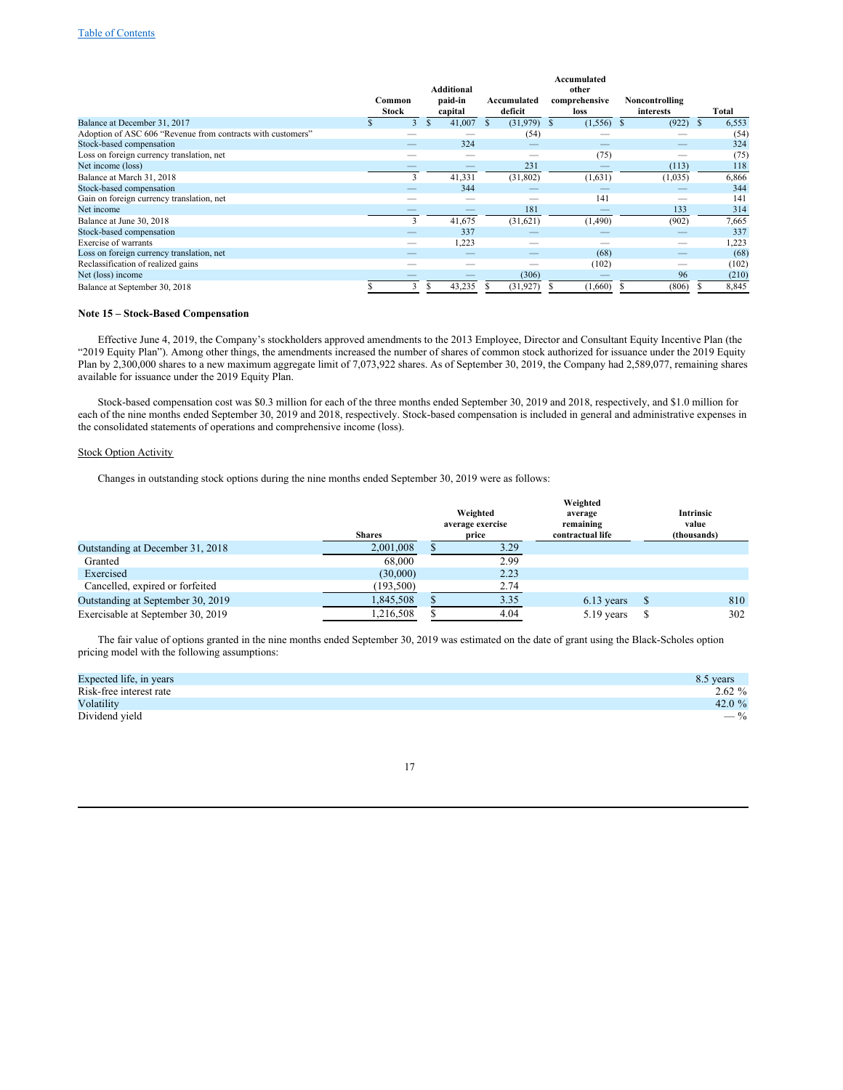### Table of [Contents](#page-1-0)

|                                                             |                        | <b>Additional</b>  |                               | Accumulated<br>other     |                             |                       |
|-------------------------------------------------------------|------------------------|--------------------|-------------------------------|--------------------------|-----------------------------|-----------------------|
|                                                             | Common<br><b>Stock</b> | paid-in<br>capital | Accumulated<br>deficit        | comprehensive<br>loss    | Noncontrolling<br>interests | Total                 |
| Balance at December 31, 2017                                | $\overline{3}$<br>S    | 41,007<br>S        | $(31,979)$ \$<br><sup>S</sup> | $(1,556)$ \$             | (922)                       | <sup>S</sup><br>6,553 |
| Adoption of ASC 606 "Revenue from contracts with customers" |                        |                    | (54)                          |                          |                             | (54)                  |
| Stock-based compensation                                    |                        | 324                |                               |                          |                             | 324                   |
| Loss on foreign currency translation, net                   |                        |                    |                               | (75)                     |                             | (75)                  |
| Net income (loss)                                           |                        |                    | 231                           | $\overline{\phantom{a}}$ | (113)                       | 118                   |
| Balance at March 31, 2018                                   |                        | 41,331             | (31,802)                      | (1,631)                  | (1,035)                     | 6,866                 |
| Stock-based compensation                                    |                        | 344                |                               |                          |                             | 344                   |
| Gain on foreign currency translation, net                   |                        |                    |                               | 141                      |                             | 141                   |
| Net income                                                  |                        |                    | 181                           | $\overline{\phantom{a}}$ | 133                         | 314                   |
| Balance at June 30, 2018                                    |                        | 41,675             | (31,621)                      | (1,490)                  | (902)                       | 7,665                 |
| Stock-based compensation                                    |                        | 337                |                               |                          |                             | 337                   |
| Exercise of warrants                                        |                        | 1,223              |                               |                          |                             | 1,223                 |
| Loss on foreign currency translation, net                   |                        |                    |                               | (68)                     |                             | (68)                  |
| Reclassification of realized gains                          |                        |                    |                               | (102)                    | _                           | (102)                 |
| Net (loss) income                                           |                        |                    | (306)                         |                          | 96                          | (210)                 |
| Balance at September 30, 2018                               | 3                      | 43,235<br>\$.      | (31,927)                      | (1,660)                  | (806)                       | 8,845                 |

### **Note 15 – Stock-Based Compensation**

Effective June 4, 2019, the Company's stockholders approved amendments to the 2013 Employee, Director and Consultant Equity Incentive Plan (the "2019 Equity Plan"). Among other things, the amendments increased the number of shares of common stock authorized for issuance under the 2019 Equity Plan by 2,300,000 shares to a new maximum aggregate limit of 7,073,922 shares. As of September 30, 2019, the Company had 2,589,077, remaining shares available for issuance under the 2019 Equity Plan.

Stock-based compensation cost was \$0.3 million for each of the three months ended September 30, 2019 and 2018, respectively, and \$1.0 million for each of the nine months ended September 30, 2019 and 2018, respectively. Stock-based compensation is included in general and administrative expenses in the consolidated statements of operations and comprehensive income (loss).

# Stock Option Activity

Changes in outstanding stock options during the nine months ended September 30, 2019 were as follows:

|            |               | Weighted | average<br>remaining      |                              | Intrinsic<br>value |
|------------|---------------|----------|---------------------------|------------------------------|--------------------|
|            |               |          |                           |                              | (thousands)        |
| 2,001,008  |               | 3.29     |                           |                              |                    |
| 68,000     |               | 2.99     |                           |                              |                    |
| (30,000)   |               | 2.23     |                           |                              |                    |
| (193, 500) |               | 2.74     |                           |                              |                    |
| 1,845,508  |               | 3.35     | $6.13$ years              | S                            | 810                |
| 1,216,508  |               | 4.04     | 5.19 years                | S                            | 302                |
|            | <b>Shares</b> |          | average exercise<br>price | Weighted<br>contractual life |                    |

The fair value of options granted in the nine months ended September 30, 2019 was estimated on the date of grant using the Black-Scholes option pricing model with the following assumptions:

| Expected life, in years | 8.5 years      |
|-------------------------|----------------|
| Risk-free interest rate | $2.62\%$       |
| Volatility              | 42.0 $\%$      |
| Dividend yield          | $-\frac{9}{6}$ |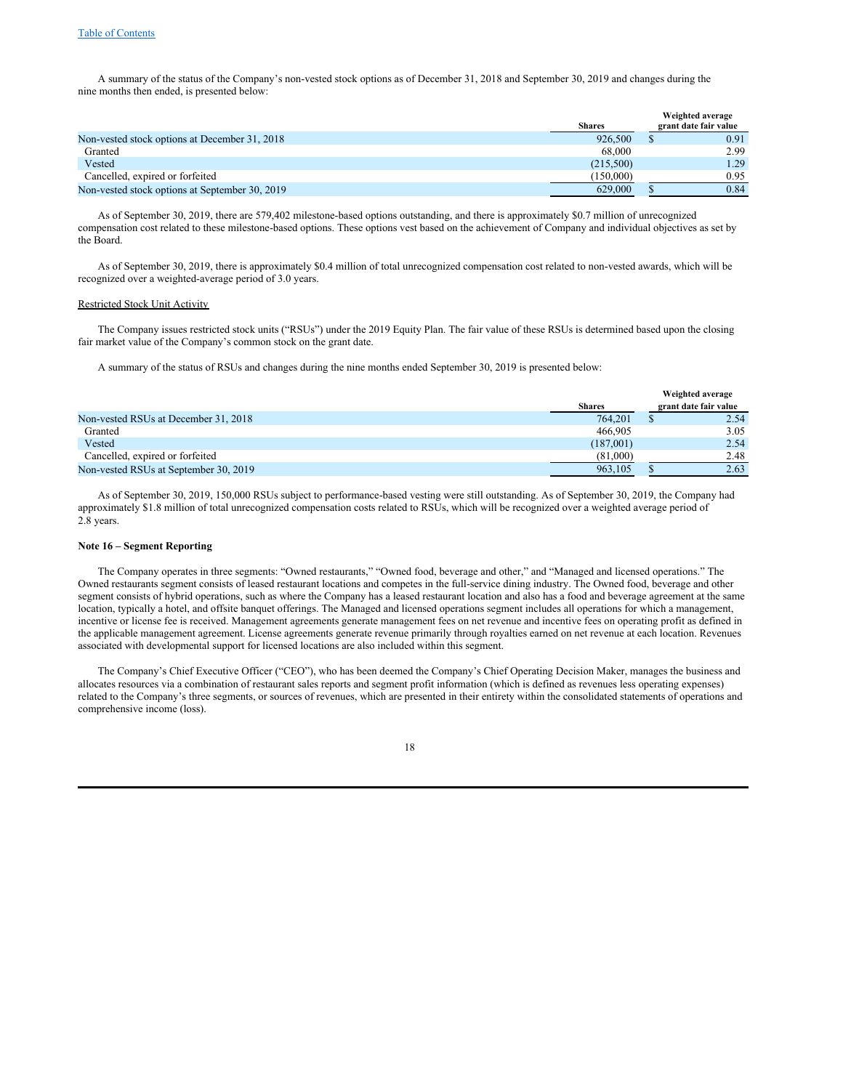A summary of the status of the Company's non-vested stock options as of December 31, 2018 and September 30, 2019 and changes during the nine months then ended, is presented below:

|                                                |               | Weighted average      |
|------------------------------------------------|---------------|-----------------------|
|                                                | <b>Shares</b> | grant date fair value |
| Non-vested stock options at December 31, 2018  | 926,500       | 0.91                  |
| Granted                                        | 68,000        | 2.99                  |
| Vested                                         | (215,500)     | 1.29                  |
| Cancelled, expired or forfeited                | (150,000)     | 0.95                  |
| Non-vested stock options at September 30, 2019 | 629,000       | 0.84                  |

As of September 30, 2019, there are 579,402 milestone-based options outstanding, and there is approximately \$0.7 million of unrecognized compensation cost related to these milestone-based options. These options vest based on the achievement of Company and individual objectives as set by the Board.

As of September 30, 2019, there is approximately \$0.4 million of total unrecognized compensation cost related to non-vested awards, which will be recognized over a weighted-average period of 3.0 years.

### Restricted Stock Unit Activity

The Company issues restricted stock units ("RSUs") under the 2019 Equity Plan. The fair value of these RSUs is determined based upon the closing fair market value of the Company's common stock on the grant date.

A summary of the status of RSUs and changes during the nine months ended September 30, 2019 is presented below:

|                                       |               | Weighted average      |
|---------------------------------------|---------------|-----------------------|
|                                       | <b>Shares</b> | grant date fair value |
| Non-vested RSUs at December 31, 2018  | 764,201       | 2.54                  |
| Granted                               | 466,905       | 3.05                  |
| Vested                                | (187.001)     | 2.54                  |
| Cancelled, expired or forfeited       | (81,000)      | 2.48                  |
| Non-vested RSUs at September 30, 2019 | 963.105       | 2.63                  |

As of September 30, 2019, 150,000 RSUs subject to performance-based vesting were still outstanding. As of September 30, 2019, the Company had approximately \$1.8 million of total unrecognized compensation costs related to RSUs, which will be recognized over a weighted average period of 2.8 years.

### **Note 16 – Segment Reporting**

The Company operates in three segments: "Owned restaurants," "Owned food, beverage and other," and "Managed and licensed operations." The Owned restaurants segment consists of leased restaurant locations and competes in the full-service dining industry. The Owned food, beverage and other segment consists of hybrid operations, such as where the Company has a leased restaurant location and also has a food and beverage agreement at the same location, typically a hotel, and offsite banquet offerings. The Managed and licensed operations segment includes all operations for which a management, incentive or license fee is received. Management agreements generate management fees on net revenue and incentive fees on operating profit as defined in the applicable management agreement. License agreements generate revenue primarily through royalties earned on net revenue at each location. Revenues associated with developmental support for licensed locations are also included within this segment.

The Company's Chief Executive Officer ("CEO"), who has been deemed the Company's Chief Operating Decision Maker, manages the business and allocates resources via a combination of restaurant sales reports and segment profit information (which is defined as revenues less operating expenses) related to the Company's three segments, or sources of revenues, which are presented in their entirety within the consolidated statements of operations and comprehensive income (loss).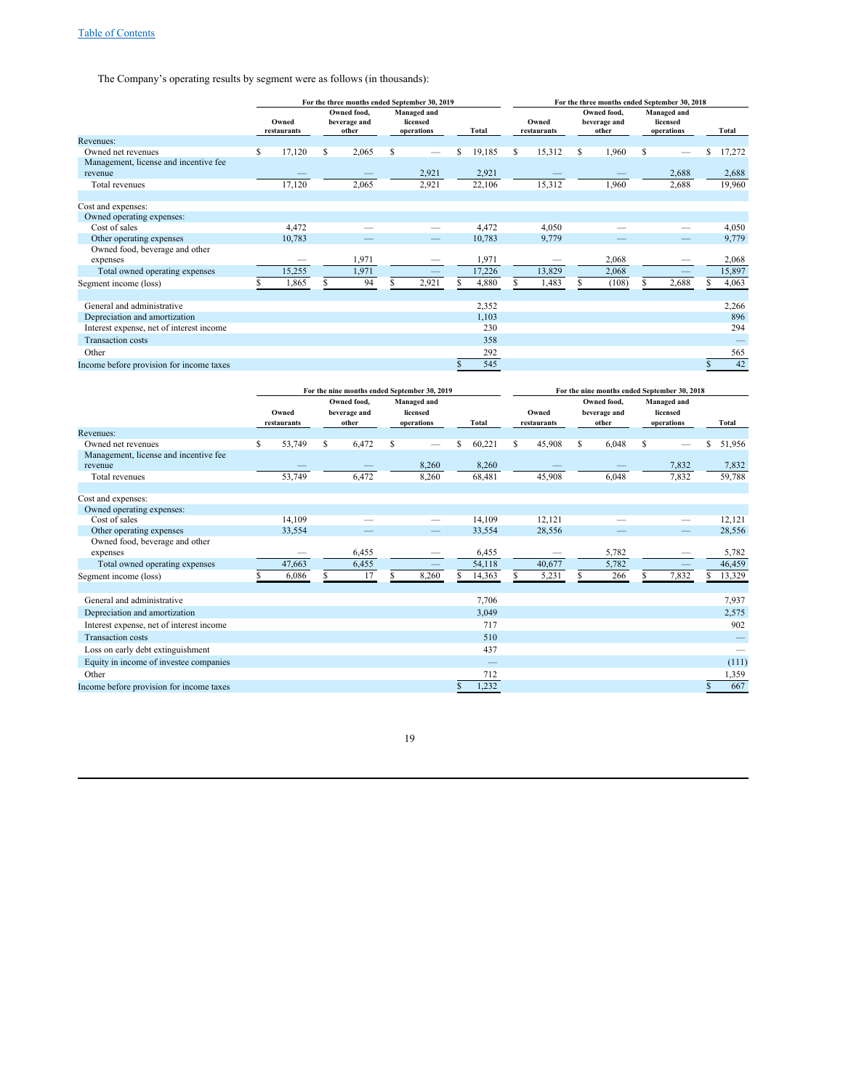The Company's operating results by segment were as follows (in thousands):

|                                          | For the three months ended September 30, 2019 |                      |   |                                      |   |                                       |    | For the three months ended September 30, 2018 |   |                      |   |                                      |                                       |       |   |        |
|------------------------------------------|-----------------------------------------------|----------------------|---|--------------------------------------|---|---------------------------------------|----|-----------------------------------------------|---|----------------------|---|--------------------------------------|---------------------------------------|-------|---|--------|
|                                          |                                               | Owned<br>restaurants |   | Owned food.<br>beverage and<br>other |   | Managed and<br>licensed<br>operations |    | Total                                         |   | Owned<br>restaurants |   | Owned food.<br>beverage and<br>other | Managed and<br>licensed<br>operations |       |   | Total  |
| Revenues:                                |                                               |                      |   |                                      |   |                                       |    |                                               |   |                      |   |                                      |                                       |       |   |        |
| Owned net revenues                       | S                                             | 17,120               | S | 2,065                                | S |                                       | \$ | 19,185                                        | S | 15,312               | S | 1,960                                | S                                     |       | S | 17,272 |
| Management, license and incentive fee    |                                               |                      |   |                                      |   |                                       |    |                                               |   |                      |   |                                      |                                       |       |   |        |
| revenue                                  |                                               |                      |   |                                      |   | 2,921                                 |    | 2,921                                         |   |                      |   |                                      |                                       | 2,688 |   | 2,688  |
| Total revenues                           |                                               | 17,120               |   | 2,065                                |   | 2,921                                 |    | 22,106                                        |   | 15,312               |   | 1,960                                |                                       | 2,688 |   | 19,960 |
|                                          |                                               |                      |   |                                      |   |                                       |    |                                               |   |                      |   |                                      |                                       |       |   |        |
| Cost and expenses:                       |                                               |                      |   |                                      |   |                                       |    |                                               |   |                      |   |                                      |                                       |       |   |        |
| Owned operating expenses:                |                                               |                      |   |                                      |   |                                       |    |                                               |   |                      |   |                                      |                                       |       |   |        |
| Cost of sales                            |                                               | 4,472                |   |                                      |   |                                       |    | 4,472                                         |   | 4,050                |   |                                      |                                       |       |   | 4,050  |
| Other operating expenses                 |                                               | 10,783               |   |                                      |   |                                       |    | 10,783                                        |   | 9,779                |   |                                      |                                       |       |   | 9,779  |
| Owned food, beverage and other           |                                               |                      |   |                                      |   |                                       |    |                                               |   |                      |   |                                      |                                       |       |   |        |
| expenses                                 |                                               |                      |   | 1,971                                |   |                                       |    | 1,971                                         |   |                      |   | 2,068                                |                                       |       |   | 2,068  |
| Total owned operating expenses           |                                               | 15,255               |   | 1,971                                |   |                                       |    | 17,226                                        |   | 13,829               |   | 2,068                                |                                       |       |   | 15,897 |
| Segment income (loss)                    |                                               | 1,865                |   | 94                                   |   | 2,921                                 |    | 4,880                                         |   | 1,483                |   | (108)                                |                                       | 2,688 |   | 4,063  |
|                                          |                                               |                      |   |                                      |   |                                       |    |                                               |   |                      |   |                                      |                                       |       |   |        |
| General and administrative               |                                               |                      |   |                                      |   |                                       |    | 2,352                                         |   |                      |   |                                      |                                       |       |   | 2,266  |
| Depreciation and amortization            |                                               |                      |   |                                      |   |                                       |    | 1,103                                         |   |                      |   |                                      |                                       |       |   | 896    |
| Interest expense, net of interest income |                                               |                      |   |                                      |   |                                       |    | 230                                           |   |                      |   |                                      |                                       |       |   | 294    |
| <b>Transaction costs</b>                 |                                               |                      |   |                                      |   |                                       |    | 358                                           |   |                      |   |                                      |                                       |       |   |        |
| Other                                    |                                               |                      |   |                                      |   |                                       |    | 292                                           |   |                      |   |                                      |                                       |       |   | 565    |
| Income before provision for income taxes |                                               |                      |   |                                      |   |                                       |    | 545                                           |   |                      |   |                                      |                                       |       |   | 42     |

|                                          |   | For the nine months ended September 30, 2019 |   |              |   |             |    |              | For the nine months ended September 30, 2018 |             |       |              |   |             |   |              |  |
|------------------------------------------|---|----------------------------------------------|---|--------------|---|-------------|----|--------------|----------------------------------------------|-------------|-------|--------------|---|-------------|---|--------------|--|
|                                          |   |                                              |   | Owned food,  |   | Managed and |    |              |                                              |             |       | Owned food,  |   | Managed and |   |              |  |
|                                          |   | Owned                                        |   | beverage and |   | licensed    |    |              |                                              | Owned       |       | beverage and |   | licensed    |   |              |  |
|                                          |   | restaurants                                  |   | other        |   | operations  |    | <b>Total</b> |                                              | restaurants | other |              |   | operations  |   | <b>Total</b> |  |
| Revenues:                                |   |                                              |   |              |   |             |    |              |                                              |             |       |              |   |             |   |              |  |
| Owned net revenues                       | S | 53,749                                       | S | 6,472        | S |             | \$ | 60,221       | S                                            | 45,908      | S     | 6,048        | S |             | S | 51,956       |  |
| Management, license and incentive fee    |   |                                              |   |              |   |             |    |              |                                              |             |       |              |   |             |   |              |  |
| revenue                                  |   |                                              |   |              |   | 8,260       |    | 8,260        |                                              |             |       |              |   | 7,832       |   | 7,832        |  |
| Total revenues                           |   | 53,749                                       |   | 6,472        |   | 8,260       |    | 68,481       |                                              | 45,908      |       | 6,048        |   | 7,832       |   | 59,788       |  |
|                                          |   |                                              |   |              |   |             |    |              |                                              |             |       |              |   |             |   |              |  |
| Cost and expenses:                       |   |                                              |   |              |   |             |    |              |                                              |             |       |              |   |             |   |              |  |
| Owned operating expenses:                |   |                                              |   |              |   |             |    |              |                                              |             |       |              |   |             |   |              |  |
| Cost of sales                            |   | 14,109                                       |   |              |   |             |    | 14.109       |                                              | 12,121      |       |              |   |             |   | 12,121       |  |
| Other operating expenses                 |   | 33,554                                       |   |              |   |             |    | 33,554       |                                              | 28,556      |       |              |   |             |   | 28,556       |  |
| Owned food, beverage and other           |   |                                              |   |              |   |             |    |              |                                              |             |       |              |   |             |   |              |  |
| expenses                                 |   |                                              |   | 6,455        |   |             |    | 6,455        |                                              |             |       | 5,782        |   |             |   | 5,782        |  |
| Total owned operating expenses           |   | 47,663                                       |   | 6,455        |   |             |    | 54,118       |                                              | 40,677      |       | 5,782        |   |             |   | 46,459       |  |
| Segment income (loss)                    |   | 6,086                                        |   | 17           |   | 8,260       | S. | 14,363       |                                              | 5,231       |       | 266          |   | 7,832       |   | 13,329       |  |
|                                          |   |                                              |   |              |   |             |    |              |                                              |             |       |              |   |             |   |              |  |
| General and administrative               |   |                                              |   |              |   |             |    | 7,706        |                                              |             |       |              |   |             |   | 7,937        |  |
| Depreciation and amortization            |   |                                              |   |              |   |             |    | 3.049        |                                              |             |       |              |   |             |   | 2,575        |  |
| Interest expense, net of interest income |   |                                              |   |              |   |             |    | 717          |                                              |             |       |              |   |             |   | 902          |  |
| <b>Transaction</b> costs                 |   |                                              |   |              |   |             |    | 510          |                                              |             |       |              |   |             |   |              |  |
| Loss on early debt extinguishment        |   |                                              |   |              |   |             |    | 437          |                                              |             |       |              |   |             |   |              |  |
| Equity in income of investee companies   |   |                                              |   |              |   |             |    |              |                                              |             |       |              |   |             |   | (111)        |  |
| Other                                    |   |                                              |   |              |   |             |    | 712          |                                              |             |       |              |   |             |   | 1,359        |  |
| Income before provision for income taxes |   |                                              |   |              |   |             |    | 1,232        |                                              |             |       |              |   |             |   | 667          |  |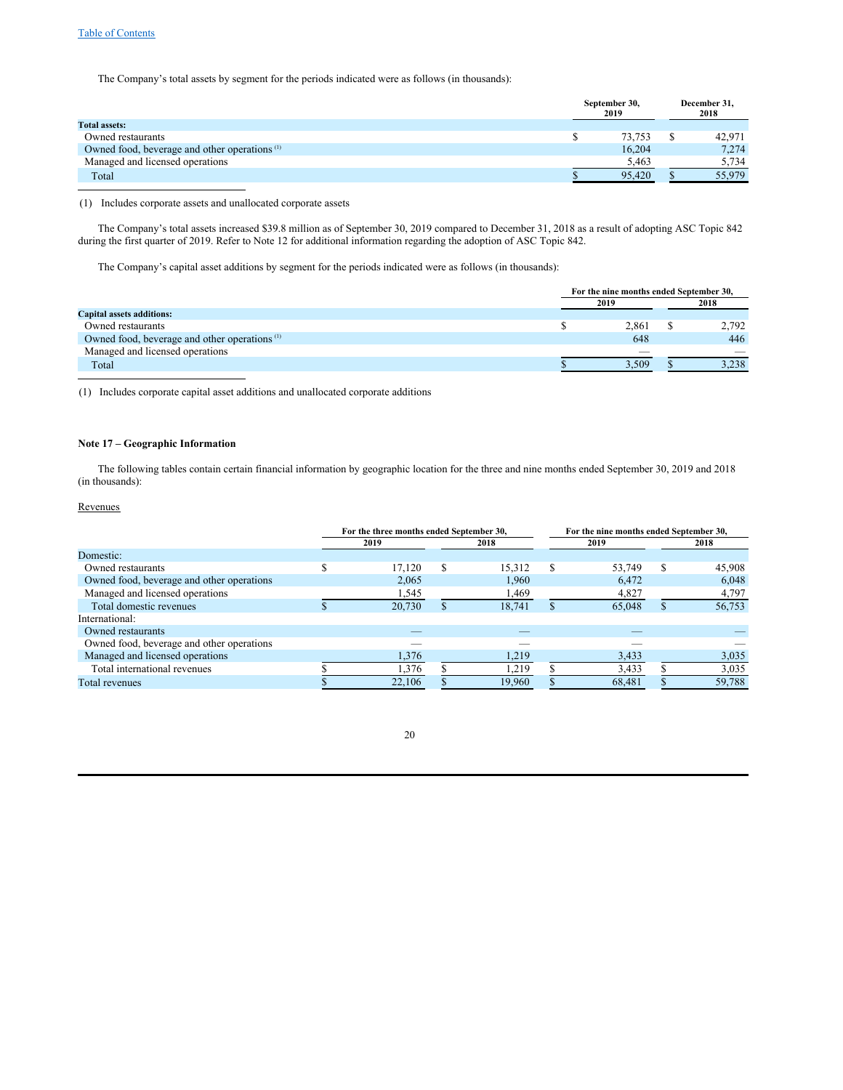The Company's total assets by segment for the periods indicated were as follows (in thousands):

|                                                          | September 30,<br>2019 |        | December 31,<br>2018 |  |
|----------------------------------------------------------|-----------------------|--------|----------------------|--|
| <b>Total assets:</b>                                     |                       |        |                      |  |
| Owned restaurants                                        |                       | 73.753 | 42.971               |  |
| Owned food, beverage and other operations <sup>(1)</sup> |                       | 16,204 | 7,274                |  |
| Managed and licensed operations                          |                       | 5.463  | 5.734                |  |
| Total                                                    |                       | 95,420 | 55,979               |  |
|                                                          |                       |        |                      |  |

### (1) Includes corporate assets and unallocated corporate assets

The Company's total assets increased \$39.8 million as of September 30, 2019 compared to December 31, 2018 as a result of adopting ASC Topic 842 during the first quarter of 2019. Refer to Note 12 for additional information regarding the adoption of ASC Topic 842.

The Company's capital asset additions by segment for the periods indicated were as follows (in thousands):

|                                                          | For the nine months ended September 30, |  |                          |  |  |  |  |
|----------------------------------------------------------|-----------------------------------------|--|--------------------------|--|--|--|--|
|                                                          | 2019                                    |  | 2018                     |  |  |  |  |
| <b>Capital assets additions:</b>                         |                                         |  |                          |  |  |  |  |
| Owned restaurants                                        | 2.861                                   |  | 2.792                    |  |  |  |  |
| Owned food, beverage and other operations <sup>(1)</sup> | 648                                     |  | 446                      |  |  |  |  |
| Managed and licensed operations                          |                                         |  | $\overline{\phantom{a}}$ |  |  |  |  |
| Total                                                    | 3.509                                   |  | 3.238                    |  |  |  |  |

(1) Includes corporate capital asset additions and unallocated corporate additions

# **Note 17 – Geographic Information**

The following tables contain certain financial information by geographic location for the three and nine months ended September 30, 2019 and 2018 (in thousands):

# Revenues

|                                           |   | For the three months ended September 30, |     | For the nine months ended September 30, |          |        |   |        |  |
|-------------------------------------------|---|------------------------------------------|-----|-----------------------------------------|----------|--------|---|--------|--|
|                                           |   | 2019                                     |     | 2018                                    |          | 2019   |   | 2018   |  |
| Domestic:                                 |   |                                          |     |                                         |          |        |   |        |  |
| Owned restaurants                         | ጦ | 17,120                                   | \$. | 15,312                                  | <b>S</b> | 53,749 | S | 45,908 |  |
| Owned food, beverage and other operations |   | 2,065                                    |     | 1,960                                   |          | 6,472  |   | 6,048  |  |
| Managed and licensed operations           |   | 1,545                                    |     | 1,469                                   |          | 4,827  |   | 4,797  |  |
| Total domestic revenues                   |   | 20,730                                   |     | 18.741                                  |          | 65,048 |   | 56,753 |  |
| International:                            |   |                                          |     |                                         |          |        |   |        |  |
| Owned restaurants                         |   |                                          |     |                                         |          |        |   |        |  |
| Owned food, beverage and other operations |   |                                          |     |                                         |          |        |   |        |  |
| Managed and licensed operations           |   | 1,376                                    |     | 1,219                                   |          | 3,433  |   | 3,035  |  |
| Total international revenues              |   | 1,376                                    |     | 1,219                                   |          | 3,433  |   | 3,035  |  |
| Total revenues                            |   | 22,106                                   |     | 19,960                                  |          | 68,481 |   | 59,788 |  |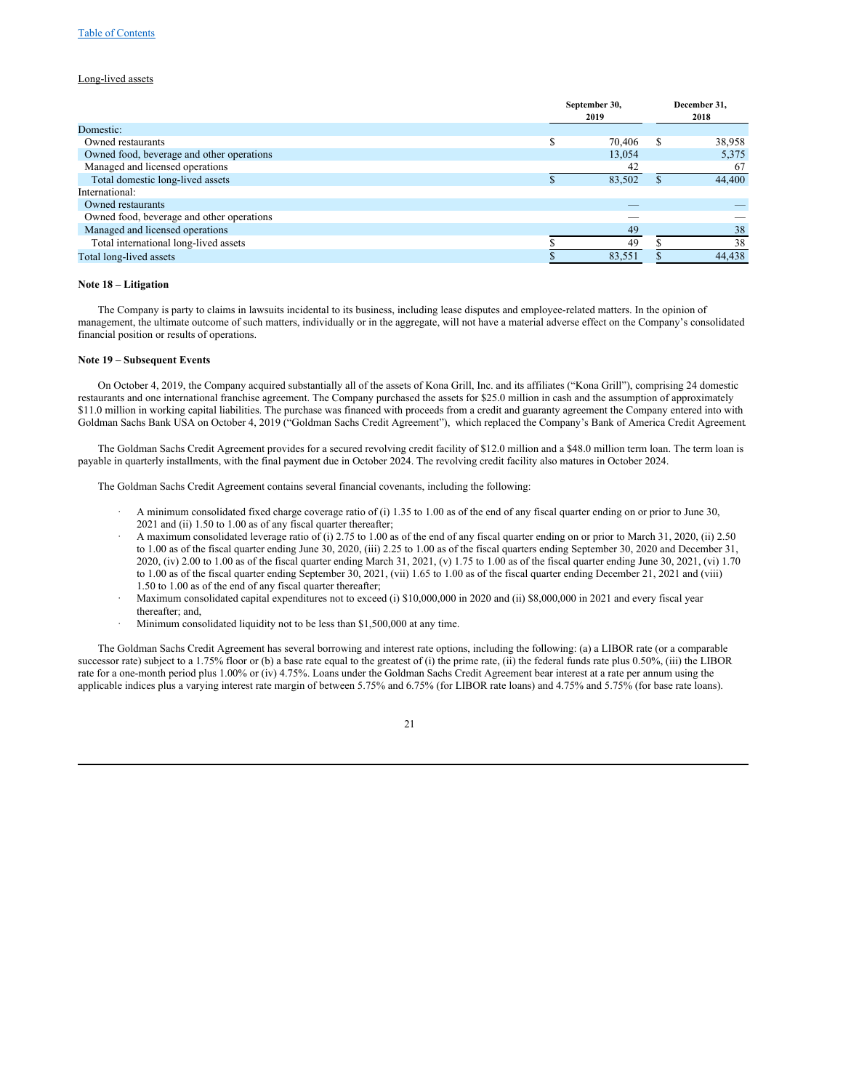### Table of [Contents](#page-1-0)

### Long-lived assets

|                                           | September 30, |   | December 31, |
|-------------------------------------------|---------------|---|--------------|
|                                           | 2019          |   | 2018         |
| Domestic:                                 |               |   |              |
| Owned restaurants                         | 70,406        | S | 38,958       |
| Owned food, beverage and other operations | 13,054        |   | 5,375        |
| Managed and licensed operations           | 42            |   | 67           |
| Total domestic long-lived assets          | 83,502        |   | 44,400       |
| International:                            |               |   |              |
| Owned restaurants                         |               |   |              |
| Owned food, beverage and other operations |               |   |              |
| Managed and licensed operations           | 49            |   | 38           |
| Total international long-lived assets     | 49            |   | 38           |
| Total long-lived assets                   | 83,551        |   | 44,438       |

#### **Note 18 – Litigation**

The Company is party to claims in lawsuits incidental to its business, including lease disputes and employee-related matters. In the opinion of management, the ultimate outcome of such matters, individually or in the aggregate, will not have a material adverse effect on the Company's consolidated financial position or results of operations.

#### **Note 19 – Subsequent Events**

On October 4, 2019, the Company acquired substantially all of the assets of Kona Grill, Inc. and its affiliates ("Kona Grill"), comprising 24 domestic restaurants and one international franchise agreement. The Company purchased the assets for \$25.0 million in cash and the assumption of approximately \$11.0 million in working capital liabilities. The purchase was financed with proceeds from a credit and guaranty agreement the Company entered into with Goldman Sachs Bank USA on October 4, 2019 ("Goldman Sachs Credit Agreement"), which replaced the Company's Bank of America Credit Agreement.

The Goldman Sachs Credit Agreement provides for a secured revolving credit facility of \$12.0 million and a \$48.0 million term loan. The term loan is payable in quarterly installments, with the final payment due in October 2024. The revolving credit facility also matures in October 2024.

The Goldman Sachs Credit Agreement contains several financial covenants, including the following:

- · A minimum consolidated fixed charge coverage ratio of (i) 1.35 to 1.00 as of the end of any fiscal quarter ending on or prior to June 30, 2021 and (ii) 1.50 to 1.00 as of any fiscal quarter thereafter;
- · A maximum consolidated leverage ratio of (i) 2.75 to 1.00 as of the end of any fiscal quarter ending on or prior to March 31, 2020, (ii) 2.50 to 1.00 as of the fiscal quarter ending June 30, 2020, (iii) 2.25 to 1.00 as of the fiscal quarters ending September 30, 2020 and December 31, 2020, (iv) 2.00 to 1.00 as of the fiscal quarter ending March 31, 2021, (v) 1.75 to 1.00 as of the fiscal quarter ending June 30, 2021, (vi) 1.70 to 1.00 as of the fiscal quarter ending September 30, 2021, (vii) 1.65 to 1.00 as of the fiscal quarter ending December 21, 2021 and (viii) 1.50 to 1.00 as of the end of any fiscal quarter thereafter;
- Maximum consolidated capital expenditures not to exceed (i) \$10,000,000 in 2020 and (ii) \$8,000,000 in 2021 and every fiscal year thereafter; and,
- Minimum consolidated liquidity not to be less than \$1,500,000 at any time.

The Goldman Sachs Credit Agreement has several borrowing and interest rate options, including the following: (a) a LIBOR rate (or a comparable successor rate) subject to a 1.75% floor or (b) a base rate equal to the greatest of (i) the prime rate, (ii) the federal funds rate plus 0.50%, (iii) the LIBOR rate for a one-month period plus 1.00% or (iv) 4.75%. Loans under the Goldman Sachs Credit Agreement bear interest at a rate per annum using the applicable indices plus a varying interest rate margin of between 5.75% and 6.75% (for LIBOR rate loans) and 4.75% and 5.75% (for base rate loans).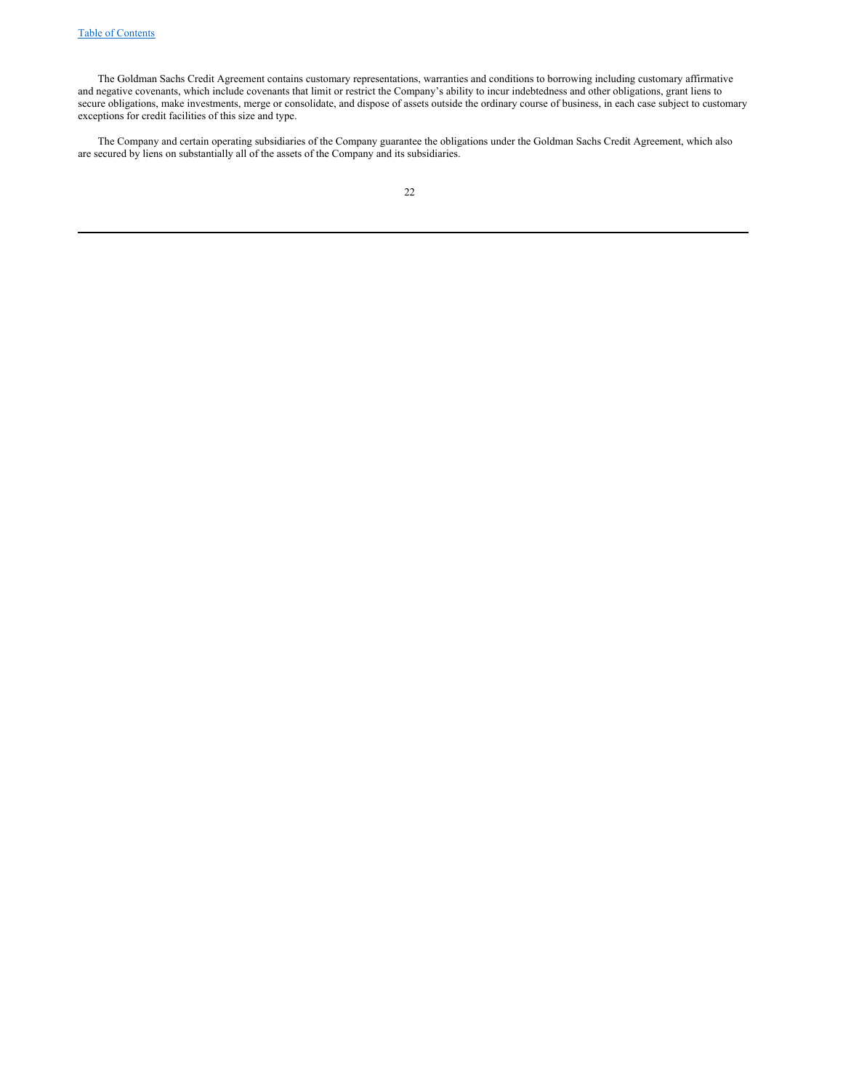The Goldman Sachs Credit Agreement contains customary representations, warranties and conditions to borrowing including customary affirmative and negative covenants, which include covenants that limit or restrict the Company's ability to incur indebtedness and other obligations, grant liens to secure obligations, make investments, merge or consolidate, and dispose of assets outside the ordinary course of business, in each case subject to customary exceptions for credit facilities of this size and type.

The Company and certain operating subsidiaries of the Company guarantee the obligations under the Goldman Sachs Credit Agreement, which also are secured by liens on substantially all of the assets of the Company and its subsidiaries.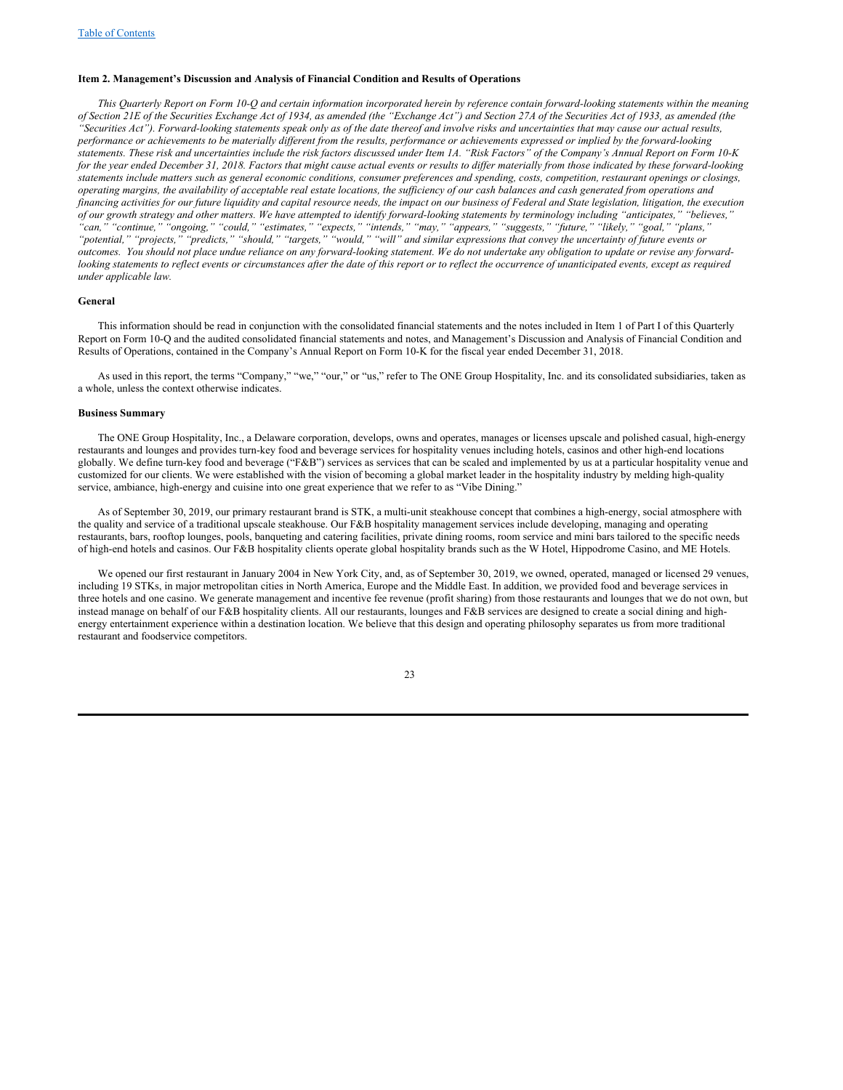### <span id="page-22-0"></span>**Item 2. Management's Discussion and Analysis of Financial Condition and Results of Operations**

This Quarterly Report on Form 10-Q and certain information incorporated herein by reference contain forward-looking statements within the meaning of Section 21E of the Securities Exchange Act of 1934, as amended (the "Exchange Act") and Section 27A of the Securities Act of 1933, as amended (the "Securities Act"). Forward-looking statements speak only as of the date thereof and involve risks and uncertainties that may cause our actual results, performance or achievements to be materially different from the results, performance or achievements expressed or implied by the forward-looking statements. These risk and uncertainties include the risk factors discussed under Item 1A. "Risk Factors" of the Company's Annual Report on Form 10-K for the year ended December 31, 2018. Factors that might cause actual events or results to differ materially from those indicated by these forward-looking statements include matters such as general economic conditions, consumer preferences and spending, costs, competition, restaurant openings or closings, operating margins, the availability of acceptable real estate locations, the sufficiency of our cash balances and cash generated from operations and financing activities for our future liquidity and capital resource needs, the impact on our business of Federal and State legislation, litigation, the execution of our growth strategy and other matters. We have attempted to identify forward-looking statements by terminology including "anticipates," "believes," "can," "continue," "ongoing," "could," "estimates," "expects," "intends," "may," "appears," "suggests," "future," "likely," "goal," "plans," "potential," "projects," "predicts," "should," "targets," "would," "will" and similar expressions that convey the uncertainty of future events or outcomes. You should not place undue reliance on any forward-looking statement. We do not undertake any obligation to update or revise any forwardlooking statements to reflect events or circumstances after the date of this report or to reflect the occurrence of unanticipated events, except as required *under applicable law.*

### **General**

This information should be read in conjunction with the consolidated financial statements and the notes included in Item 1 of Part I of this Quarterly Report on Form 10-Q and the audited consolidated financial statements and notes, and Management's Discussion and Analysis of Financial Condition and Results of Operations, contained in the Company's Annual Report on Form 10-K for the fiscal year ended December 31, 2018.

As used in this report, the terms "Company," "we," "our," or "us," refer to The ONE Group Hospitality, Inc. and its consolidated subsidiaries, taken as a whole, unless the context otherwise indicates.

#### **Business Summary**

The ONE Group Hospitality, Inc., a Delaware corporation, develops, owns and operates, manages or licenses upscale and polished casual, high-energy restaurants and lounges and provides turn-key food and beverage services for hospitality venues including hotels, casinos and other high-end locations globally. We define turn-key food and beverage ("F&B") services as services that can be scaled and implemented by us at a particular hospitality venue and customized for our clients. We were established with the vision of becoming a global market leader in the hospitality industry by melding high-quality service, ambiance, high-energy and cuisine into one great experience that we refer to as "Vibe Dining."

As of September 30, 2019, our primary restaurant brand is STK, a multi-unit steakhouse concept that combines a high-energy, social atmosphere with the quality and service of a traditional upscale steakhouse. Our F&B hospitality management services include developing, managing and operating restaurants, bars, rooftop lounges, pools, banqueting and catering facilities, private dining rooms, room service and mini bars tailored to the specific needs of high-end hotels and casinos. Our F&B hospitality clients operate global hospitality brands such as the W Hotel, Hippodrome Casino, and ME Hotels.

We opened our first restaurant in January 2004 in New York City, and, as of September 30, 2019, we owned, operated, managed or licensed 29 venues, including 19 STKs, in major metropolitan cities in North America, Europe and the Middle East. In addition, we provided food and beverage services in three hotels and one casino. We generate management and incentive fee revenue (profit sharing) from those restaurants and lounges that we do not own, but instead manage on behalf of our F&B hospitality clients. All our restaurants, lounges and F&B services are designed to create a social dining and highenergy entertainment experience within a destination location. We believe that this design and operating philosophy separates us from more traditional restaurant and foodservice competitors.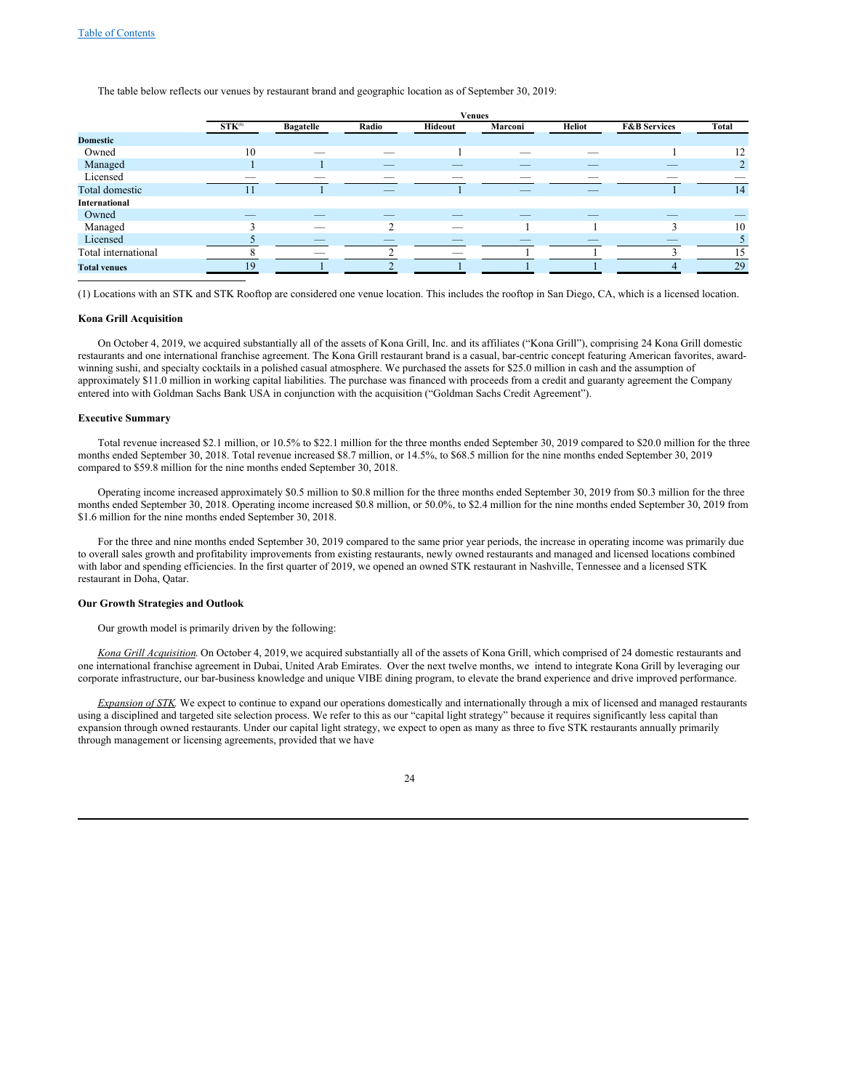The table below reflects our venues by restaurant brand and geographic location as of September 30, 2019:

|                     | <b>Venues</b>            |                          |       |                          |         |               |                         |                |  |  |  |  |
|---------------------|--------------------------|--------------------------|-------|--------------------------|---------|---------------|-------------------------|----------------|--|--|--|--|
|                     | $STK^{(1)}$              | <b>Bagatelle</b>         | Radio | Hideout                  | Marconi | <b>Heliot</b> | <b>F&amp;B Services</b> | Total          |  |  |  |  |
| <b>Domestic</b>     |                          |                          |       |                          |         |               |                         |                |  |  |  |  |
| Owned               | 10                       |                          | __    |                          |         |               |                         | 12             |  |  |  |  |
| Managed             |                          |                          | _     | __                       | __      | __            | __                      | $\overline{2}$ |  |  |  |  |
| Licensed            | __                       |                          |       |                          |         |               |                         |                |  |  |  |  |
| Total domestic      | 11                       |                          | _     |                          | __      | _             |                         | 14             |  |  |  |  |
| International       |                          |                          |       |                          |         |               |                         |                |  |  |  |  |
| Owned               | $\overline{\phantom{a}}$ | $\overline{\phantom{a}}$ | _     | _                        | _       | $-$           |                         |                |  |  |  |  |
| Managed             | $\sim$                   | _                        | ◠     | __                       |         |               | $\mathbf{a}$            | 10             |  |  |  |  |
| Licensed            |                          | $-$                      | _     | $-$                      | _       | _             | $-$                     |                |  |  |  |  |
| Total international |                          | $\overline{\phantom{a}}$ |       | $\overline{\phantom{a}}$ |         |               |                         | 15             |  |  |  |  |
| <b>Total venues</b> | 19                       |                          |       |                          |         |               | $\Lambda$               | 29             |  |  |  |  |

(1) Locations with an STK and STK Rooftop are considered one venue location. This includes the rooftop in San Diego, CA, which is a licensed location.

### **Kona Grill Acquisition**

On October 4, 2019, we acquired substantially all of the assets of Kona Grill, Inc. and its affiliates ("Kona Grill"), comprising 24 Kona Grill domestic restaurants and one international franchise agreement. The Kona Grill restaurant brand is a casual, bar-centric concept featuring American favorites, awardwinning sushi, and specialty cocktails in a polished casual atmosphere. We purchased the assets for \$25.0 million in cash and the assumption of approximately \$11.0 million in working capital liabilities. The purchase was financed with proceeds from a credit and guaranty agreement the Company entered into with Goldman Sachs Bank USA in conjunction with the acquisition ("Goldman Sachs Credit Agreement").

### **Executive Summary**

Total revenue increased \$2.1 million, or 10.5% to \$22.1 million for the three months ended September 30, 2019 compared to \$20.0 million for the three months ended September 30, 2018. Total revenue increased \$8.7 million, or 14.5%, to \$68.5 million for the nine months ended September 30, 2019 compared to \$59.8 million for the nine months ended September 30, 2018.

Operating income increased approximately \$0.5 million to \$0.8 million for the three months ended September 30, 2019 from \$0.3 million for the three months ended September 30, 2018. Operating income increased \$0.8 million, or 50.0%, to \$2.4 million for the nine months ended September 30, 2019 from \$1.6 million for the nine months ended September 30, 2018.

For the three and nine months ended September 30, 2019 compared to the same prior year periods, the increase in operating income was primarily due to overall sales growth and profitability improvements from existing restaurants, newly owned restaurants and managed and licensed locations combined with labor and spending efficiencies. In the first quarter of 2019, we opened an owned STK restaurant in Nashville, Tennessee and a licensed STK restaurant in Doha, Qatar.

## **Our Growth Strategies and Outlook**

Our growth model is primarily driven by the following:

*Kona Grill Acquisition*. On October 4, 2019, we acquired substantially all of the assets of Kona Grill, which comprised of 24 domestic restaurants and one international franchise agreement in Dubai, United Arab Emirates. Over the next twelve months, we intend to integrate Kona Grill by leveraging our corporate infrastructure, our bar-business knowledge and unique VIBE dining program, to elevate the brand experience and drive improved performance.

*Expansion of STK.* We expect to continue to expand our operations domestically and internationally through a mix of licensed and managed restaurants using a disciplined and targeted site selection process. We refer to this as our "capital light strategy" because it requires significantly less capital than expansion through owned restaurants. Under our capital light strategy, we expect to open as many as three to five STK restaurants annually primarily through management or licensing agreements, provided that we have

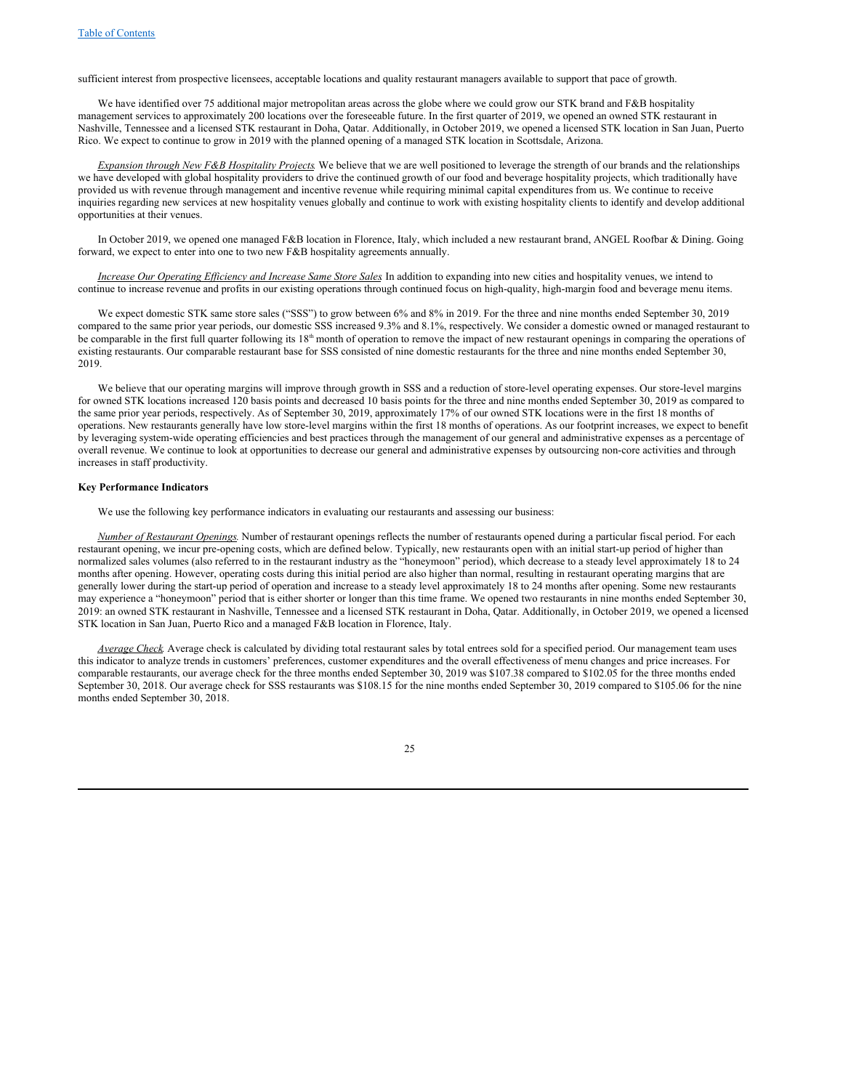sufficient interest from prospective licensees, acceptable locations and quality restaurant managers available to support that pace of growth.

We have identified over 75 additional major metropolitan areas across the globe where we could grow our STK brand and F&B hospitality management services to approximately 200 locations over the foreseeable future. In the first quarter of 2019, we opened an owned STK restaurant in Nashville, Tennessee and a licensed STK restaurant in Doha, Qatar. Additionally, in October 2019, we opened a licensed STK location in San Juan, Puerto Rico. We expect to continue to grow in 2019 with the planned opening of a managed STK location in Scottsdale, Arizona.

*Expansion through New F&B Hospitality Projects.* We believe that we are well positioned to leverage the strength of our brands and the relationships we have developed with global hospitality providers to drive the continued growth of our food and beverage hospitality projects, which traditionally have provided us with revenue through management and incentive revenue while requiring minimal capital expenditures from us. We continue to receive inquiries regarding new services at new hospitality venues globally and continue to work with existing hospitality clients to identify and develop additional opportunities at their venues.

In October 2019, we opened one managed F&B location in Florence, Italy, which included a new restaurant brand, ANGEL Roofbar & Dining. Going forward, we expect to enter into one to two new F&B hospitality agreements annually.

*Increase Our Operating Ef iciency and Increase Same Store Sales.* In addition to expanding into new cities and hospitality venues, we intend to continue to increase revenue and profits in our existing operations through continued focus on high-quality, high-margin food and beverage menu items.

We expect domestic STK same store sales ("SSS") to grow between 6% and 8% in 2019. For the three and nine months ended September 30, 2019 compared to the same prior year periods, our domestic SSS increased 9.3% and 8.1%, respectively. We consider a domestic owned or managed restaurant to be comparable in the first full quarter following its  $18<sup>th</sup>$  month of operation to remove the impact of new restaurant openings in comparing the operations of existing restaurants. Our comparable restaurant base for SSS consisted of nine domestic restaurants for the three and nine months ended September 30, 2019.

We believe that our operating margins will improve through growth in SSS and a reduction of store-level operating expenses. Our store-level margins for owned STK locations increased 120 basis points and decreased 10 basis points for the three and nine months ended September 30, 2019 as compared to the same prior year periods, respectively. As of September 30, 2019, approximately 17% of our owned STK locations were in the first 18 months of operations. New restaurants generally have low store-level margins within the first 18 months of operations. As our footprint increases, we expect to benefit by leveraging system-wide operating efficiencies and best practices through the management of our general and administrative expenses as a percentage of overall revenue. We continue to look at opportunities to decrease our general and administrative expenses by outsourcing non-core activities and through increases in staff productivity.

#### **Key Performance Indicators**

We use the following key performance indicators in evaluating our restaurants and assessing our business:

*Number of Restaurant Openings.* Number of restaurant openings reflects the number of restaurants opened during a particular fiscal period. For each restaurant opening, we incur pre-opening costs, which are defined below. Typically, new restaurants open with an initial start-up period of higher than normalized sales volumes (also referred to in the restaurant industry as the "honeymoon" period), which decrease to a steady level approximately 18 to 24 months after opening. However, operating costs during this initial period are also higher than normal, resulting in restaurant operating margins that are generally lower during the start-up period of operation and increase to a steady level approximately 18 to 24 months after opening. Some new restaurants may experience a "honeymoon" period that is either shorter or longer than this time frame. We opened two restaurants in nine months ended September 30, 2019: an owned STK restaurant in Nashville, Tennessee and a licensed STK restaurant in Doha, Qatar. Additionally, in October 2019, we opened a licensed STK location in San Juan, Puerto Rico and a managed F&B location in Florence, Italy.

*Average Check.* Average check is calculated by dividing total restaurant sales by total entrees sold for a specified period. Our management team uses this indicator to analyze trends in customers' preferences, customer expenditures and the overall effectiveness of menu changes and price increases. For comparable restaurants, our average check for the three months ended September 30, 2019 was \$107.38 compared to \$102.05 for the three months ended September 30, 2018. Our average check for SSS restaurants was \$108.15 for the nine months ended September 30, 2019 compared to \$105.06 for the nine months ended September 30, 2018.

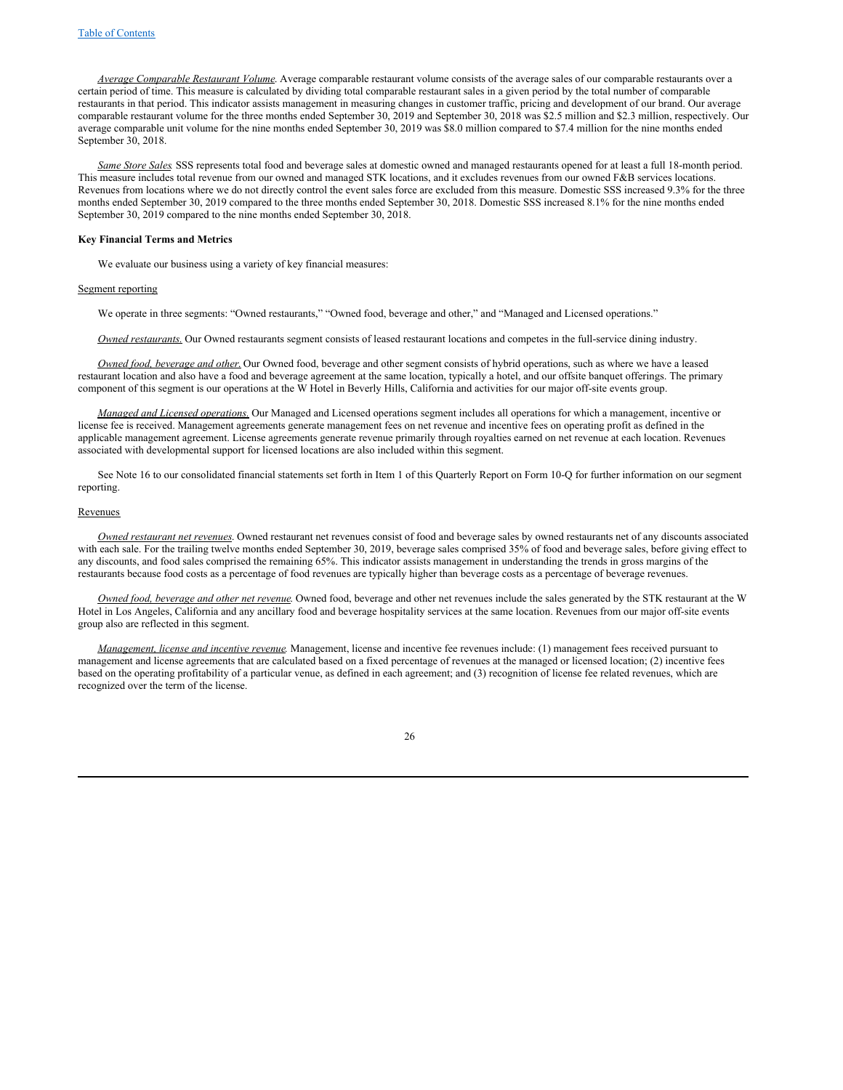*Average Comparable Restaurant Volume*. Average comparable restaurant volume consists of the average sales of our comparable restaurants over a certain period of time. This measure is calculated by dividing total comparable restaurant sales in a given period by the total number of comparable restaurants in that period. This indicator assists management in measuring changes in customer traffic, pricing and development of our brand. Our average comparable restaurant volume for the three months ended September 30, 2019 and September 30, 2018 was \$2.5 million and \$2.3 million, respectively. Our average comparable unit volume for the nine months ended September 30, 2019 was \$8.0 million compared to \$7.4 million for the nine months ended September 30, 2018.

*Same Store Sales.* SSS represents total food and beverage sales at domestic owned and managed restaurants opened for at least a full 18-month period. This measure includes total revenue from our owned and managed STK locations, and it excludes revenues from our owned F&B services locations. Revenues from locations where we do not directly control the event sales force are excluded from this measure. Domestic SSS increased 9.3% for the three months ended September 30, 2019 compared to the three months ended September 30, 2018. Domestic SSS increased 8.1% for the nine months ended September 30, 2019 compared to the nine months ended September 30, 2018.

### **Key Financial Terms and Metrics**

We evaluate our business using a variety of key financial measures:

#### Segment reporting

We operate in three segments: "Owned restaurants," "Owned food, beverage and other," and "Managed and Licensed operations."

*Owned restaurants.* Our Owned restaurants segment consists of leased restaurant locations and competes in the full-service dining industry.

*Owned food, beverage and other*. Our Owned food, beverage and other segment consists of hybrid operations, such as where we have a leased restaurant location and also have a food and beverage agreement at the same location, typically a hotel, and our offsite banquet offerings. The primary component of this segment is our operations at the W Hotel in Beverly Hills, California and activities for our major off-site events group.

*Managed and Licensed operations.* Our Managed and Licensed operations segment includes all operations for which a management, incentive or license fee is received. Management agreements generate management fees on net revenue and incentive fees on operating profit as defined in the applicable management agreement. License agreements generate revenue primarily through royalties earned on net revenue at each location. Revenues associated with developmental support for licensed locations are also included within this segment.

See Note 16 to our consolidated financial statements set forth in Item 1 of this Quarterly Report on Form 10-Q for further information on our segment reporting.

### Revenues

*Owned restaurant net revenues*. Owned restaurant net revenues consist of food and beverage sales by owned restaurants net of any discounts associated with each sale. For the trailing twelve months ended September 30, 2019, beverage sales comprised 35% of food and beverage sales, before giving effect to any discounts, and food sales comprised the remaining 65%. This indicator assists management in understanding the trends in gross margins of the restaurants because food costs as a percentage of food revenues are typically higher than beverage costs as a percentage of beverage revenues.

*Owned food, beverage and other net revenue*. Owned food, beverage and other net revenues include the sales generated by the STK restaurant at the W Hotel in Los Angeles, California and any ancillary food and beverage hospitality services at the same location. Revenues from our major off-site events group also are reflected in this segment.

*Management, license and incentive revenue.* Management, license and incentive fee revenues include: (1) management fees received pursuant to management and license agreements that are calculated based on a fixed percentage of revenues at the managed or licensed location; (2) incentive fees based on the operating profitability of a particular venue, as defined in each agreement; and (3) recognition of license fee related revenues, which are recognized over the term of the license.

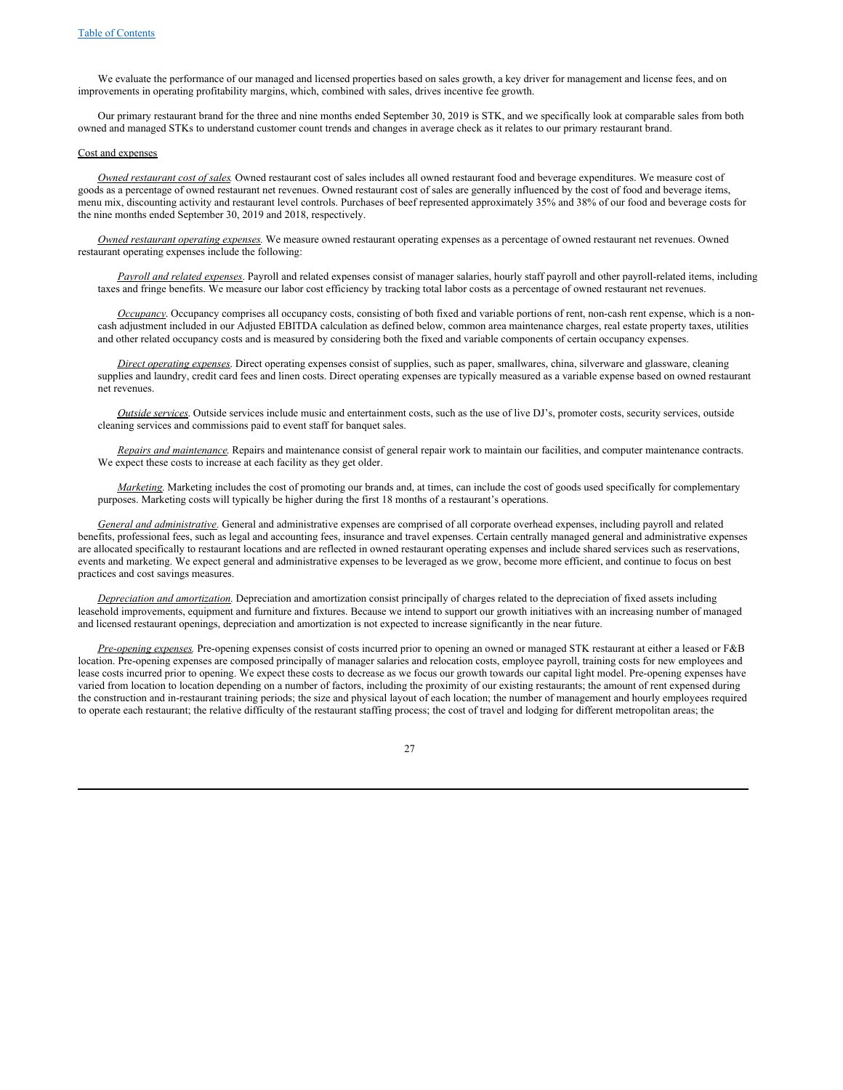We evaluate the performance of our managed and licensed properties based on sales growth, a key driver for management and license fees, and on improvements in operating profitability margins, which, combined with sales, drives incentive fee growth.

Our primary restaurant brand for the three and nine months ended September 30, 2019 is STK, and we specifically look at comparable sales from both owned and managed STKs to understand customer count trends and changes in average check as it relates to our primary restaurant brand.

#### Cost and expenses

*Owned restaurant cost of sales.* Owned restaurant cost of sales includes all owned restaurant food and beverage expenditures. We measure cost of goods as a percentage of owned restaurant net revenues. Owned restaurant cost of sales are generally influenced by the cost of food and beverage items, menu mix, discounting activity and restaurant level controls. Purchases of beef represented approximately 35% and 38% of our food and beverage costs for the nine months ended September 30, 2019 and 2018, respectively.

*Owned restaurant operating expenses.* We measure owned restaurant operating expenses as a percentage of owned restaurant net revenues. Owned restaurant operating expenses include the following:

*Payroll and related expenses*. Payroll and related expenses consist of manager salaries, hourly staff payroll and other payroll-related items, including taxes and fringe benefits. We measure our labor cost efficiency by tracking total labor costs as a percentage of owned restaurant net revenues.

*Occupancy*. Occupancy comprises all occupancy costs, consisting of both fixed and variable portions of rent, non-cash rent expense, which is a noncash adjustment included in our Adjusted EBITDA calculation as defined below, common area maintenance charges, real estate property taxes, utilities and other related occupancy costs and is measured by considering both the fixed and variable components of certain occupancy expenses.

*Direct operating expenses*. Direct operating expenses consist of supplies, such as paper, smallwares, china, silverware and glassware, cleaning supplies and laundry, credit card fees and linen costs. Direct operating expenses are typically measured as a variable expense based on owned restaurant net revenues.

*Outside services*. Outside services include music and entertainment costs, such as the use of live DJ's, promoter costs, security services, outside cleaning services and commissions paid to event staff for banquet sales.

*Repairs and maintenance*. Repairs and maintenance consist of general repair work to maintain our facilities, and computer maintenance contracts. We expect these costs to increase at each facility as they get older.

*Marketing.* Marketing includes the cost of promoting our brands and, at times, can include the cost of goods used specifically for complementary purposes. Marketing costs will typically be higher during the first 18 months of a restaurant's operations.

*General and administrative.* General and administrative expenses are comprised of all corporate overhead expenses, including payroll and related benefits, professional fees, such as legal and accounting fees, insurance and travel expenses. Certain centrally managed general and administrative expenses are allocated specifically to restaurant locations and are reflected in owned restaurant operating expenses and include shared services such as reservations, events and marketing. We expect general and administrative expenses to be leveraged as we grow, become more efficient, and continue to focus on best practices and cost savings measures.

*Depreciation and amortization.* Depreciation and amortization consist principally of charges related to the depreciation of fixed assets including leasehold improvements, equipment and furniture and fixtures. Because we intend to support our growth initiatives with an increasing number of managed and licensed restaurant openings, depreciation and amortization is not expected to increase significantly in the near future.

*Pre-opening expenses.* Pre-opening expenses consist of costs incurred prior to opening an owned or managed STK restaurant at either a leased or F&B location. Pre-opening expenses are composed principally of manager salaries and relocation costs, employee payroll, training costs for new employees and lease costs incurred prior to opening. We expect these costs to decrease as we focus our growth towards our capital light model. Pre-opening expenses have varied from location to location depending on a number of factors, including the proximity of our existing restaurants; the amount of rent expensed during the construction and in-restaurant training periods; the size and physical layout of each location; the number of management and hourly employees required to operate each restaurant; the relative difficulty of the restaurant staffing process; the cost of travel and lodging for different metropolitan areas; the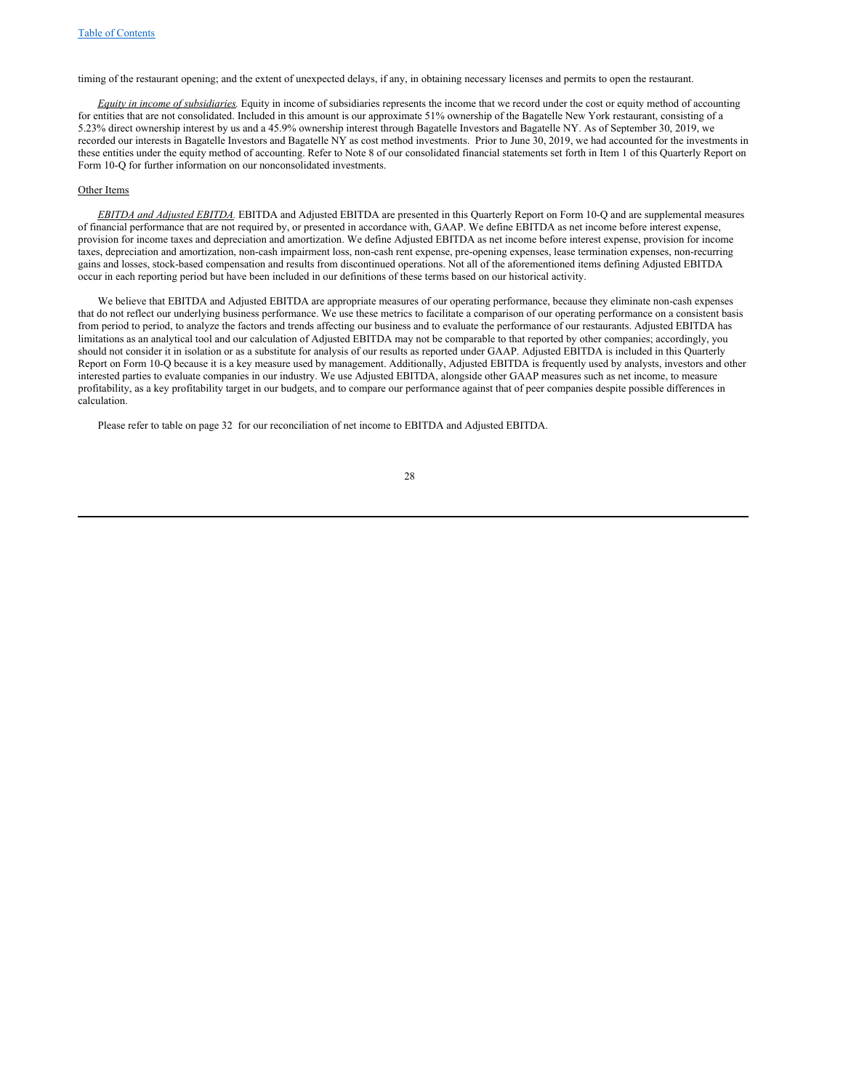timing of the restaurant opening; and the extent of unexpected delays, if any, in obtaining necessary licenses and permits to open the restaurant.

*Equity in income of subsidiaries.* Equity in income of subsidiaries represents the income that we record under the cost or equity method of accounting for entities that are not consolidated. Included in this amount is our approximate 51% ownership of the Bagatelle New York restaurant, consisting of a 5.23% direct ownership interest by us and a 45.9% ownership interest through Bagatelle Investors and Bagatelle NY. As of September 30, 2019, we recorded our interests in Bagatelle Investors and Bagatelle NY as cost method investments. Prior to June 30, 2019, we had accounted for the investments in these entities under the equity method of accounting. Refer to Note 8 of our consolidated financial statements set forth in Item 1 of this Quarterly Report on Form 10-Q for further information on our nonconsolidated investments.

#### Other Items

*EBITDA and Adjusted EBITDA.* EBITDA and Adjusted EBITDA are presented in this Quarterly Report on Form 10-Q and are supplemental measures of financial performance that are not required by, or presented in accordance with, GAAP. We define EBITDA as net income before interest expense, provision for income taxes and depreciation and amortization. We define Adjusted EBITDA as net income before interest expense, provision for income taxes, depreciation and amortization, non-cash impairment loss, non-cash rent expense, pre-opening expenses, lease termination expenses, non-recurring gains and losses, stock-based compensation and results from discontinued operations. Not all of the aforementioned items defining Adjusted EBITDA occur in each reporting period but have been included in our definitions of these terms based on our historical activity.

We believe that EBITDA and Adjusted EBITDA are appropriate measures of our operating performance, because they eliminate non-cash expenses that do not reflect our underlying business performance. We use these metrics to facilitate a comparison of our operating performance on a consistent basis from period to period, to analyze the factors and trends affecting our business and to evaluate the performance of our restaurants. Adjusted EBITDA has limitations as an analytical tool and our calculation of Adjusted EBITDA may not be comparable to that reported by other companies; accordingly, you should not consider it in isolation or as a substitute for analysis of our results as reported under GAAP. Adjusted EBITDA is included in this Quarterly Report on Form 10-Q because it is a key measure used by management. Additionally, Adjusted EBITDA is frequently used by analysts, investors and other interested parties to evaluate companies in our industry. We use Adjusted EBITDA, alongside other GAAP measures such as net income, to measure profitability, as a key profitability target in our budgets, and to compare our performance against that of peer companies despite possible differences in calculation.

Please refer to table on page 32 for our reconciliation of net income to EBITDA and Adjusted EBITDA.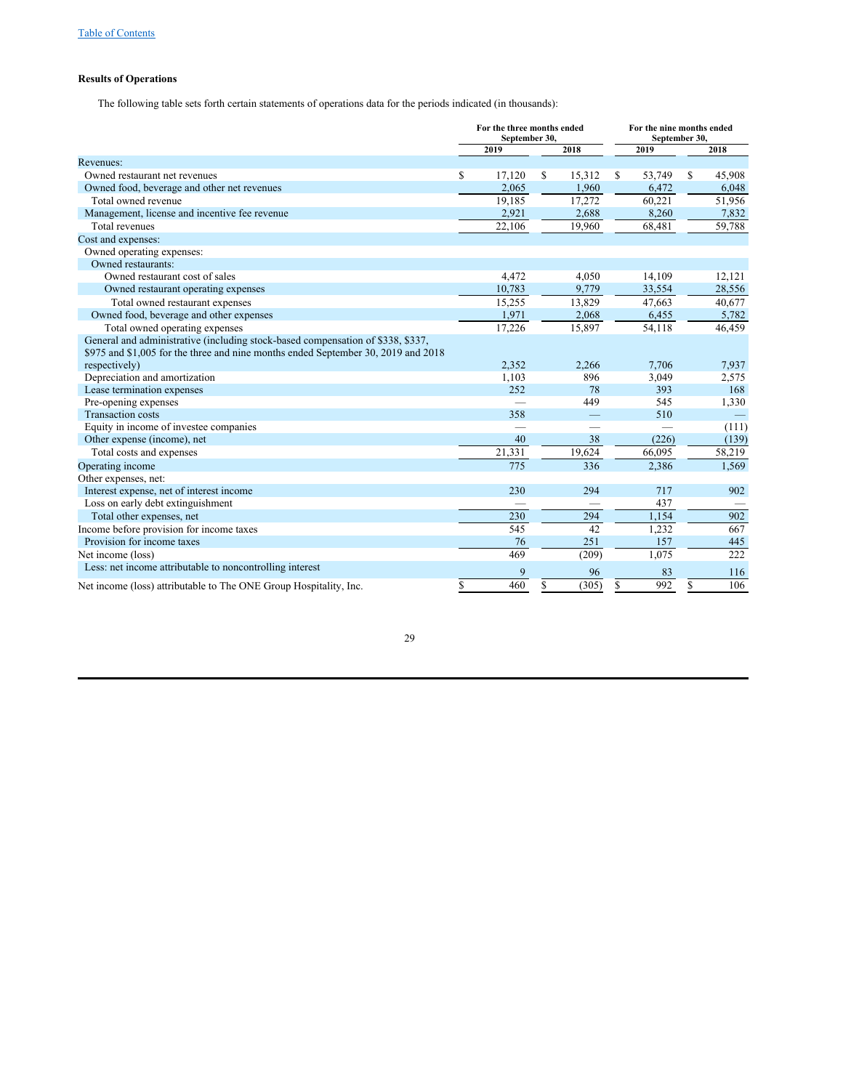# **Results of Operations**

The following table sets forth certain statements of operations data for the periods indicated (in thousands):

|                                                                                                                                                                      | For the three months ended<br>September 30, |        |     |                   |    | For the nine months ended<br>September 30, |              |        |  |
|----------------------------------------------------------------------------------------------------------------------------------------------------------------------|---------------------------------------------|--------|-----|-------------------|----|--------------------------------------------|--------------|--------|--|
|                                                                                                                                                                      | 2019<br>2018                                |        |     |                   |    | 2019                                       |              | 2018   |  |
| Revenues:                                                                                                                                                            |                                             |        |     |                   |    |                                            |              |        |  |
| Owned restaurant net revenues                                                                                                                                        | \$                                          | 17,120 | \$. | 15,312            | S. | 53,749                                     | S            | 45,908 |  |
| Owned food, beverage and other net revenues                                                                                                                          |                                             | 2,065  |     | 1,960             |    | 6,472                                      |              | 6,048  |  |
| Total owned revenue                                                                                                                                                  |                                             | 19,185 |     | 17,272            |    | 60,221                                     |              | 51,956 |  |
| Management, license and incentive fee revenue                                                                                                                        |                                             | 2,921  |     | 2,688             |    | 8,260                                      |              | 7,832  |  |
| Total revenues                                                                                                                                                       |                                             | 22,106 |     | 19,960            |    | 68,481                                     |              | 59,788 |  |
| Cost and expenses:                                                                                                                                                   |                                             |        |     |                   |    |                                            |              |        |  |
| Owned operating expenses:                                                                                                                                            |                                             |        |     |                   |    |                                            |              |        |  |
| Owned restaurants:                                                                                                                                                   |                                             |        |     |                   |    |                                            |              |        |  |
| Owned restaurant cost of sales                                                                                                                                       |                                             | 4,472  |     | 4,050             |    | 14,109                                     |              | 12,121 |  |
| Owned restaurant operating expenses                                                                                                                                  |                                             | 10,783 |     | 9,779             |    | 33,554                                     |              | 28,556 |  |
| Total owned restaurant expenses                                                                                                                                      |                                             | 15,255 |     | 13,829            |    | 47,663                                     |              | 40,677 |  |
| Owned food, beverage and other expenses                                                                                                                              |                                             | 1,971  |     | 2,068             |    | 6,455                                      |              | 5,782  |  |
| Total owned operating expenses                                                                                                                                       |                                             | 17,226 |     | 15,897            |    | 54,118                                     |              | 46,459 |  |
| General and administrative (including stock-based compensation of \$338, \$337,<br>\$975 and \$1,005 for the three and nine months ended September 30, 2019 and 2018 |                                             |        |     |                   |    |                                            |              |        |  |
| respectively)                                                                                                                                                        |                                             | 2,352  |     | 2,266             |    | 7,706                                      |              | 7,937  |  |
| Depreciation and amortization                                                                                                                                        |                                             | 1.103  |     | 896               |    | 3,049                                      |              | 2,575  |  |
| Lease termination expenses                                                                                                                                           |                                             | 252    |     | 78                |    | 393                                        |              | 168    |  |
| Pre-opening expenses                                                                                                                                                 |                                             |        |     | 449               |    | 545                                        |              | 1,330  |  |
| <b>Transaction costs</b>                                                                                                                                             |                                             | 358    |     | $\qquad \qquad -$ |    | 510                                        |              |        |  |
| Equity in income of investee companies                                                                                                                               |                                             |        |     |                   |    |                                            |              | (111)  |  |
| Other expense (income), net                                                                                                                                          |                                             | 40     |     | 38                |    | (226)                                      |              | (139)  |  |
| Total costs and expenses                                                                                                                                             |                                             | 21,331 |     | 19,624            |    | 66,095                                     |              | 58,219 |  |
| Operating income                                                                                                                                                     |                                             | 775    |     | 336               |    | 2,386                                      |              | 1,569  |  |
| Other expenses, net:                                                                                                                                                 |                                             |        |     |                   |    |                                            |              |        |  |
| Interest expense, net of interest income                                                                                                                             |                                             | 230    |     | 294               |    | 717                                        |              | 902    |  |
| Loss on early debt extinguishment                                                                                                                                    |                                             |        |     |                   |    | 437                                        |              |        |  |
| Total other expenses, net                                                                                                                                            |                                             | 230    |     | 294               |    | 1,154                                      |              | 902    |  |
| Income before provision for income taxes                                                                                                                             |                                             | 545    |     | 42                |    | 1,232                                      |              | 667    |  |
| Provision for income taxes                                                                                                                                           |                                             | 76     |     | 251               |    | 157                                        |              | 445    |  |
| Net income (loss)                                                                                                                                                    |                                             | 469    |     | (209)             |    | 1,075                                      |              | 222    |  |
| Less: net income attributable to noncontrolling interest                                                                                                             |                                             | 9      |     | 96                |    | 83                                         |              | 116    |  |
| Net income (loss) attributable to The ONE Group Hospitality, Inc.                                                                                                    | \$                                          | 460    | \$  | (305)             | S. | 992                                        | $\mathbb{S}$ | 106    |  |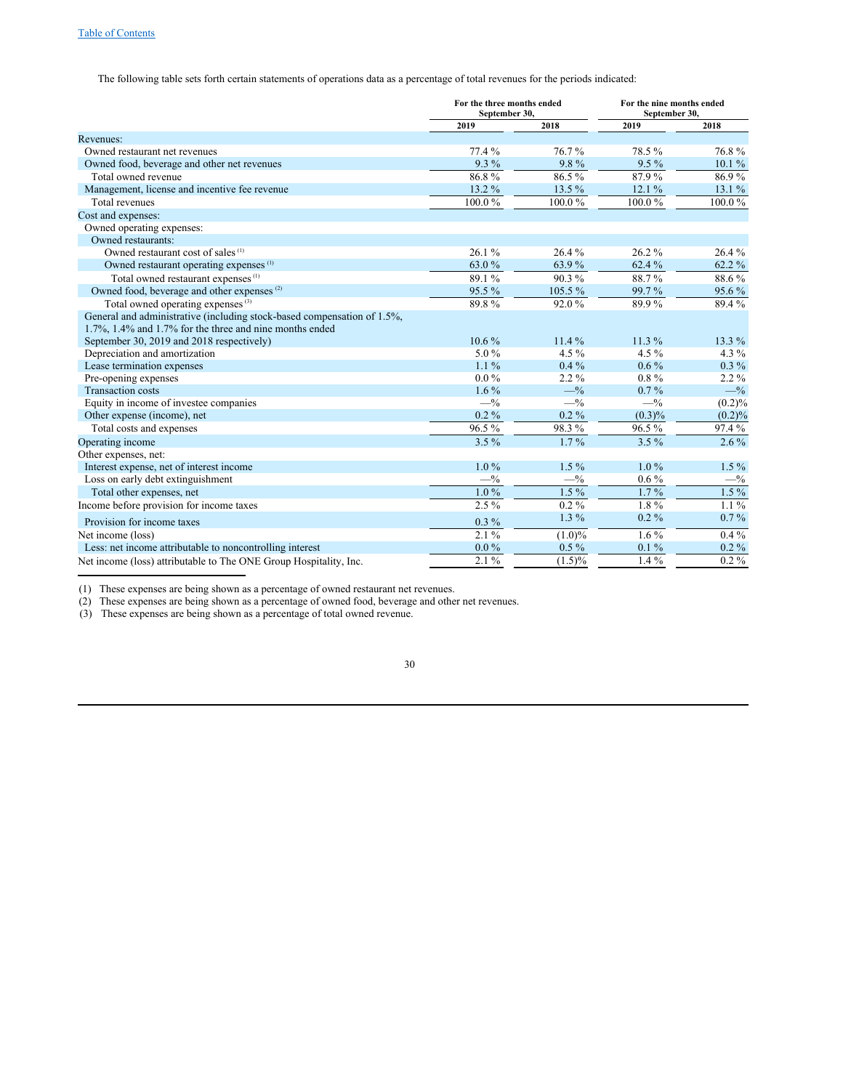The following table sets forth certain statements of operations data as a percentage of total revenues for the periods indicated:

|                                                                                                                                    | For the three months ended<br>September 30, |           | For the nine months ended<br>September 30, |           |
|------------------------------------------------------------------------------------------------------------------------------------|---------------------------------------------|-----------|--------------------------------------------|-----------|
|                                                                                                                                    | 2019                                        | 2018      | 2019                                       | 2018      |
| Revenues:                                                                                                                          |                                             |           |                                            |           |
| Owned restaurant net revenues                                                                                                      | 77.4 %                                      | 76.7%     | 78.5%                                      | 76.8%     |
| Owned food, beverage and other net revenues                                                                                        | 9.3 %                                       | 9.8%      | $9.5\%$                                    | $10.1\%$  |
| Total owned revenue                                                                                                                | 86.8%                                       | 86.5%     | 87.9%                                      | 86.9%     |
| Management, license and incentive fee revenue                                                                                      | 13.2 %                                      | 13.5 %    | 12.1 %                                     | 13.1 %    |
| Total revenues                                                                                                                     | 100.0%                                      | 100.0%    | 100.0%                                     | 100.0%    |
| Cost and expenses:                                                                                                                 |                                             |           |                                            |           |
| Owned operating expenses:                                                                                                          |                                             |           |                                            |           |
| Owned restaurants:                                                                                                                 |                                             |           |                                            |           |
| Owned restaurant cost of sales <sup>(1)</sup>                                                                                      | 26.1%                                       | 26.4%     | 26.2%                                      | 26.4%     |
| Owned restaurant operating expenses <sup>(1)</sup>                                                                                 | 63.0%                                       | 63.9%     | 62.4 %                                     | 62.2 %    |
| Total owned restaurant expenses <sup>(1)</sup>                                                                                     | 89.1%                                       | $90.3\%$  | 88.7%                                      | 88.6%     |
| Owned food, beverage and other expenses <sup>(2)</sup>                                                                             | 95.5%                                       | 105.5%    | 99.7%                                      | 95.6 %    |
| Total owned operating expenses <sup>(3)</sup>                                                                                      | 89.8%                                       | 92.0%     | 89.9%                                      | 89.4%     |
| General and administrative (including stock-based compensation of 1.5%,<br>1.7%, 1.4% and 1.7% for the three and nine months ended |                                             |           |                                            |           |
| September 30, 2019 and 2018 respectively)                                                                                          | $10.6\%$                                    | $11.4\%$  | $11.3\%$                                   | 13.3 %    |
| Depreciation and amortization                                                                                                      | 5.0%                                        | 4.5 $%$   | 4.5 $%$                                    | 4.3 $%$   |
| Lease termination expenses                                                                                                         | $1.1\%$                                     | $0.4\%$   | $0.6\%$                                    | $0.3\%$   |
| Pre-opening expenses                                                                                                               | $0.0\,\%$                                   | $2.2\%$   | $0.8\%$                                    | $2.2\%$   |
| <b>Transaction costs</b>                                                                                                           | $1.6\%$                                     | $-$ %     | $0.7\%$                                    | $-$ %     |
| Equity in income of investee companies                                                                                             | $-$ %                                       | $-$ %     | $-$ %                                      | $(0.2)\%$ |
| Other expense (income), net                                                                                                        | $0.2\%$                                     | $0.2\%$   | $(0.3)\%$                                  | $(0.2)\%$ |
| Total costs and expenses                                                                                                           | 96.5%                                       | 98.3%     | 96.5%                                      | 97.4 %    |
| Operating income                                                                                                                   | $3.5\%$                                     | $1.7\%$   | $3.5\%$                                    | $2.6\%$   |
| Other expenses, net:                                                                                                               |                                             |           |                                            |           |
| Interest expense, net of interest income                                                                                           | $1.0\%$                                     | $1.5\%$   | $1.0\%$                                    | $1.5\%$   |
| Loss on early debt extinguishment                                                                                                  | $-$ %                                       | $-$ %     | $0.6\%$                                    | $-$ %     |
| Total other expenses, net                                                                                                          | $1.0\%$                                     | $1.5\%$   | $1.7\%$                                    | $1.5\%$   |
| Income before provision for income taxes                                                                                           | $2.5\%$                                     | $0.2\%$   | 1.8%                                       | $1.1\%$   |
| Provision for income taxes                                                                                                         | $0.3\%$                                     | $1.3\%$   | $0.2\%$                                    | $0.7\%$   |
| Net income (loss)                                                                                                                  | $2.1\%$                                     | $(1.0)\%$ | $1.6\%$                                    | $0.4\%$   |
| Less: net income attributable to noncontrolling interest                                                                           | $0.0\%$                                     | $0.5\%$   | $0.1\%$                                    | $0.2\%$   |
| Net income (loss) attributable to The ONE Group Hospitality, Inc.                                                                  | $2.1\%$                                     | $(1.5)\%$ | $1.4\%$                                    | $0.2\%$   |

(1) These expenses are being shown as a percentage of owned restaurant net revenues.

(2) These expenses are being shown as a percentage of owned food, beverage and other net revenues.

(3) These expenses are being shown as a percentage of total owned revenue.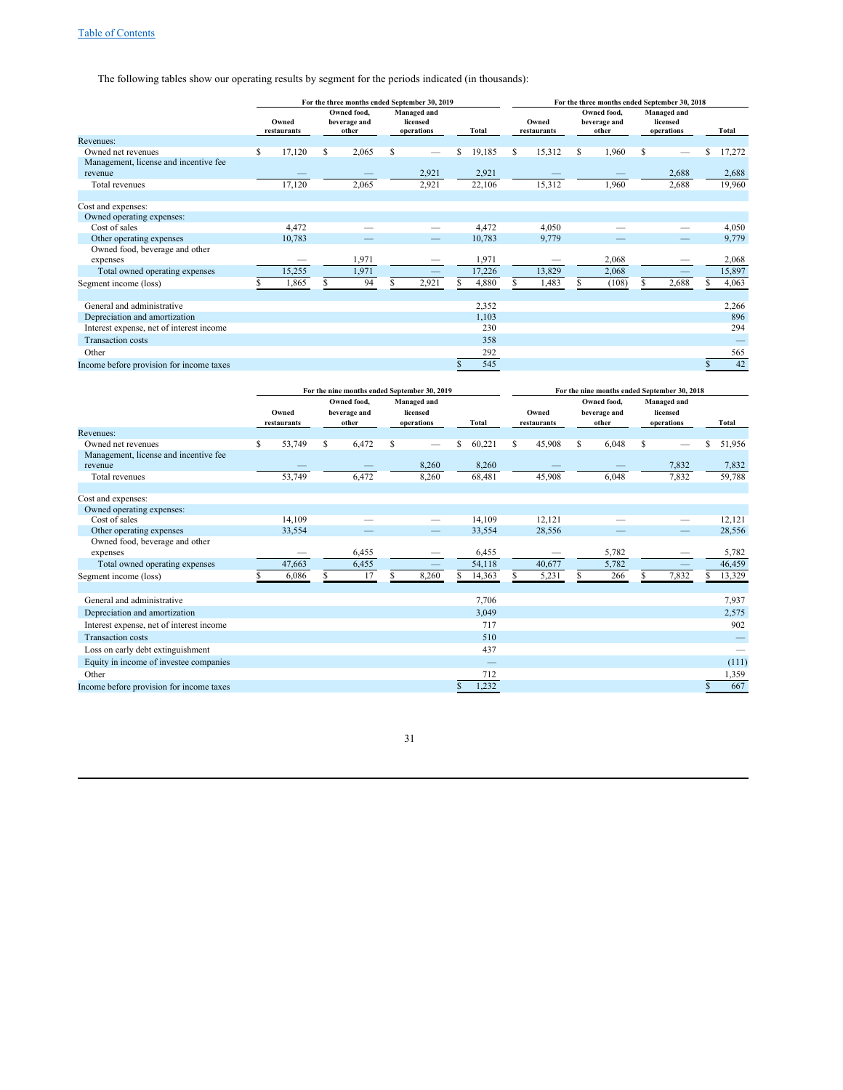The following tables show our operating results by segment for the periods indicated (in thousands):

|                                          | For the three months ended September 30, 2019 |                      |   |                                      |   |                                       |   | For the three months ended September 30, 2018 |   |                      |   |                                      |   |                                       |  |        |  |
|------------------------------------------|-----------------------------------------------|----------------------|---|--------------------------------------|---|---------------------------------------|---|-----------------------------------------------|---|----------------------|---|--------------------------------------|---|---------------------------------------|--|--------|--|
|                                          |                                               | Owned<br>restaurants |   | Owned food.<br>beverage and<br>other |   | Managed and<br>licensed<br>operations |   | Total                                         |   | Owned<br>restaurants |   | Owned food.<br>beverage and<br>other |   | Managed and<br>licensed<br>operations |  | Total  |  |
| Revenues:                                |                                               |                      |   |                                      |   |                                       |   |                                               |   |                      |   |                                      |   |                                       |  |        |  |
| Owned net revenues                       | S                                             | 17,120               | S | 2,065                                | S |                                       | S | 19,185                                        | S | 15,312               | S | 1,960                                | S |                                       |  | 17,272 |  |
| Management, license and incentive fee    |                                               |                      |   |                                      |   |                                       |   |                                               |   |                      |   |                                      |   |                                       |  |        |  |
| revenue                                  |                                               |                      |   |                                      |   | 2,921                                 |   | 2,921                                         |   |                      |   |                                      |   | 2,688                                 |  | 2,688  |  |
| Total revenues                           |                                               | 17,120               |   | 2,065                                |   | 2,921                                 |   | 22,106                                        |   | 15,312               |   | 1,960                                |   | 2,688                                 |  | 19,960 |  |
|                                          |                                               |                      |   |                                      |   |                                       |   |                                               |   |                      |   |                                      |   |                                       |  |        |  |
| Cost and expenses:                       |                                               |                      |   |                                      |   |                                       |   |                                               |   |                      |   |                                      |   |                                       |  |        |  |
| Owned operating expenses:                |                                               |                      |   |                                      |   |                                       |   |                                               |   |                      |   |                                      |   |                                       |  |        |  |
| Cost of sales                            |                                               | 4,472                |   | --                                   |   |                                       |   | 4,472                                         |   | 4,050                |   |                                      |   |                                       |  | 4,050  |  |
| Other operating expenses                 |                                               | 10,783               |   |                                      |   |                                       |   | 10,783                                        |   | 9,779                |   |                                      |   |                                       |  | 9,779  |  |
| Owned food, beverage and other           |                                               |                      |   |                                      |   |                                       |   |                                               |   |                      |   |                                      |   |                                       |  |        |  |
| expenses                                 |                                               |                      |   | 1,971                                |   |                                       |   | 1,971                                         |   |                      |   | 2,068                                |   |                                       |  | 2,068  |  |
| Total owned operating expenses           |                                               | 15,255               |   | 1,971                                |   |                                       |   | 17,226                                        |   | 13,829               |   | 2,068                                |   |                                       |  | 15,897 |  |
| Segment income (loss)                    |                                               | 1,865                |   | 94                                   |   | 2,921                                 |   | 4,880                                         |   | 1,483                |   | (108)                                |   | 2,688                                 |  | 4,063  |  |
|                                          |                                               |                      |   |                                      |   |                                       |   |                                               |   |                      |   |                                      |   |                                       |  |        |  |
| General and administrative               |                                               |                      |   |                                      |   |                                       |   | 2,352                                         |   |                      |   |                                      |   |                                       |  | 2,266  |  |
| Depreciation and amortization            |                                               |                      |   |                                      |   |                                       |   | 1,103                                         |   |                      |   |                                      |   |                                       |  | 896    |  |
| Interest expense, net of interest income |                                               |                      |   |                                      |   |                                       |   | 230                                           |   |                      |   |                                      |   |                                       |  | 294    |  |
| <b>Transaction</b> costs                 |                                               |                      |   |                                      |   |                                       |   | 358                                           |   |                      |   |                                      |   |                                       |  |        |  |
| Other                                    |                                               |                      |   |                                      |   |                                       |   | 292                                           |   |                      |   |                                      |   |                                       |  | 565    |  |
| Income before provision for income taxes |                                               |                      |   |                                      |   |                                       |   | 545                                           |   |                      |   |                                      |   |                                       |  | 42     |  |

|                                          | For the nine months ended September 30, 2019 |             |       |              |            |                    | For the nine months ended September 30, 2018 |              |   |             |       |              |            |             |   |              |
|------------------------------------------|----------------------------------------------|-------------|-------|--------------|------------|--------------------|----------------------------------------------|--------------|---|-------------|-------|--------------|------------|-------------|---|--------------|
|                                          |                                              |             |       | Owned food.  |            | <b>Managed</b> and |                                              |              |   |             |       | Owned food,  |            | Managed and |   |              |
|                                          |                                              | Owned       |       | beverage and |            | licensed           |                                              |              |   | Owned       |       | beverage and |            | licensed    |   |              |
|                                          |                                              | restaurants | other |              | operations |                    |                                              | <b>Total</b> |   | restaurants | other |              | operations |             |   | <b>Total</b> |
| Revenues:                                |                                              |             |       |              |            |                    |                                              |              |   |             |       |              |            |             |   |              |
| Owned net revenues                       | S                                            | 53,749      | S     | 6,472        | S          |                    | \$                                           | 60,221       | S | 45,908      | S     | 6,048        | S          |             | S | 51,956       |
| Management, license and incentive fee    |                                              |             |       |              |            |                    |                                              |              |   |             |       |              |            |             |   |              |
| revenue                                  |                                              |             |       |              |            | 8,260              |                                              | 8,260        |   |             |       |              |            | 7,832       |   | 7,832        |
| Total revenues                           |                                              | 53,749      |       | 6,472        |            | 8,260              |                                              | 68,481       |   | 45,908      |       | 6,048        |            | 7,832       |   | 59,788       |
|                                          |                                              |             |       |              |            |                    |                                              |              |   |             |       |              |            |             |   |              |
| Cost and expenses:                       |                                              |             |       |              |            |                    |                                              |              |   |             |       |              |            |             |   |              |
| Owned operating expenses:                |                                              |             |       |              |            |                    |                                              |              |   |             |       |              |            |             |   |              |
| Cost of sales                            |                                              | 14,109      |       |              |            |                    |                                              | 14,109       |   | 12,121      |       |              |            |             |   | 12,121       |
| Other operating expenses                 |                                              | 33,554      |       |              |            |                    |                                              | 33,554       |   | 28,556      |       |              |            |             |   | 28,556       |
| Owned food, beverage and other           |                                              |             |       |              |            |                    |                                              |              |   |             |       |              |            |             |   |              |
| expenses                                 |                                              |             |       | 6,455        |            |                    |                                              | 6,455        |   |             |       | 5,782        |            |             |   | 5,782        |
| Total owned operating expenses           |                                              | 47,663      |       | 6,455        |            |                    |                                              | 54,118       |   | 40,677      |       | 5,782        |            |             |   | 46,459       |
| Segment income (loss)                    |                                              | 6,086       |       | 17           |            | 8,260              | S.                                           | 14,363       |   | 5,231       |       | 266          |            | 7,832       |   | 13,329       |
|                                          |                                              |             |       |              |            |                    |                                              |              |   |             |       |              |            |             |   |              |
| General and administrative               |                                              |             |       |              |            |                    |                                              | 7,706        |   |             |       |              |            |             |   | 7,937        |
| Depreciation and amortization            |                                              |             |       |              |            |                    |                                              | 3,049        |   |             |       |              |            |             |   | 2,575        |
| Interest expense, net of interest income |                                              |             |       |              |            |                    |                                              | 717          |   |             |       |              |            |             |   | 902          |
| <b>Transaction costs</b>                 |                                              |             |       |              |            |                    |                                              | 510          |   |             |       |              |            |             |   |              |
| Loss on early debt extinguishment        |                                              |             |       |              |            |                    |                                              | 437          |   |             |       |              |            |             |   |              |
| Equity in income of investee companies   |                                              |             |       |              |            |                    |                                              |              |   |             |       |              |            |             |   | (111)        |
| Other                                    |                                              |             |       |              |            |                    |                                              | 712          |   |             |       |              |            |             |   | 1,359        |
| Income before provision for income taxes |                                              |             |       |              |            |                    |                                              | 1,232        |   |             |       |              |            |             |   | 667          |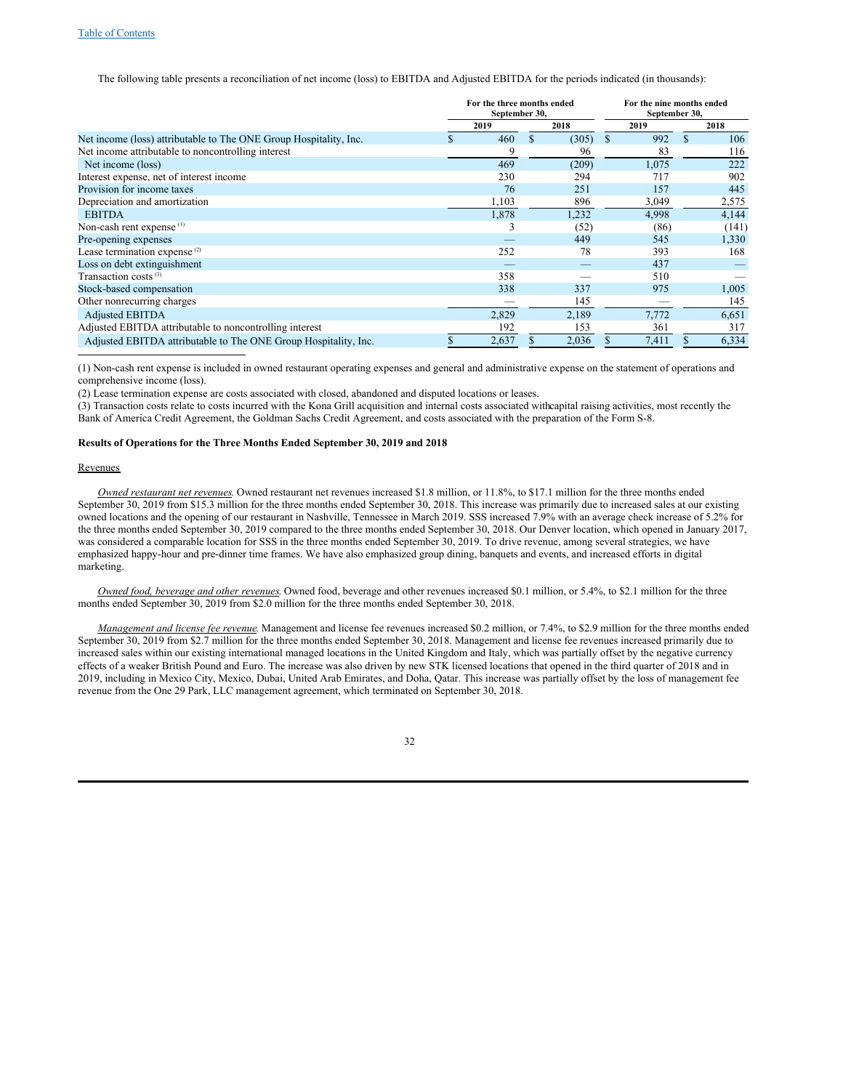The following table presents a reconciliation of net income (loss) to EBITDA and Adjusted EBITDA for the periods indicated (in thousands):

|                                                                   | For the three months ended<br>September 30, |    | For the nine months ended<br>September 30, |          |       |     |       |
|-------------------------------------------------------------------|---------------------------------------------|----|--------------------------------------------|----------|-------|-----|-------|
|                                                                   | 2019                                        |    | 2018                                       |          | 2019  |     | 2018  |
| Net income (loss) attributable to The ONE Group Hospitality, Inc. | 460                                         | \$ | (305)                                      | <b>S</b> | 992   | S   | 106   |
| Net income attributable to noncontrolling interest                | 9                                           |    | 96                                         |          | 83    |     | 116   |
| Net income (loss)                                                 | 469                                         |    | (209)                                      |          | 1,075 |     | 222   |
| Interest expense, net of interest income                          | 230                                         |    | 294                                        |          | 717   |     | 902   |
| Provision for income taxes                                        | 76                                          |    | 251                                        |          | 157   |     | 445   |
| Depreciation and amortization                                     | 1,103                                       |    | 896                                        |          | 3,049 |     | 2,575 |
| <b>EBITDA</b>                                                     | 1,878                                       |    | 1,232                                      |          | 4,998 |     | 4,144 |
| Non-cash rent expense <sup>(1)</sup>                              | 3                                           |    | (52)                                       |          | (86)  |     | (141) |
| Pre-opening expenses                                              |                                             |    | 449                                        |          | 545   |     | 1,330 |
| Lease termination expense <sup>(2)</sup>                          | 252                                         |    | 78                                         |          | 393   |     | 168   |
| Loss on debt extinguishment                                       |                                             |    | --                                         |          | 437   |     |       |
| Transaction costs <sup>(3)</sup>                                  | 358                                         |    |                                            |          | 510   |     |       |
| Stock-based compensation                                          | 338                                         |    | 337                                        |          | 975   |     | 1,005 |
| Other nonrecurring charges                                        |                                             |    | 145                                        |          |       |     | 145   |
| <b>Adjusted EBITDA</b>                                            | 2,829                                       |    | 2,189                                      |          | 7,772 |     | 6,651 |
| Adjusted EBITDA attributable to noncontrolling interest           | 192                                         |    | 153                                        |          | 361   |     | 317   |
| Adjusted EBITDA attributable to The ONE Group Hospitality, Inc.   | 2,637                                       | \$ | 2,036                                      |          | 7,411 | \$. | 6,334 |

(1) Non-cash rent expense is included in owned restaurant operating expenses and general and administrative expense on the statement of operations and comprehensive income (loss).

(2) Lease termination expense are costs associated with closed, abandoned and disputed locations or leases.

(3) Transaction costs relate to costs incurred with the Kona Grill acquisition and internal costs associated withcapital raising activities, most recently the Bank of America Credit Agreement, the Goldman Sachs Credit Agreement, and costs associated with the preparation of the Form S-8.

#### **Results of Operations for the Three Months Ended September 30, 2019 and 2018**

### **Revenues**

*Owned restaurant net revenues.* Owned restaurant net revenues increased \$1.8 million, or 11.8%, to \$17.1 million for the three months ended September 30, 2019 from \$15.3 million for the three months ended September 30, 2018. This increase was primarily due to increased sales at our existing owned locations and the opening of our restaurant in Nashville, Tennessee in March 2019. SSS increased 7.9% with an average check increase of 5.2% for the three months ended September 30, 2019 compared to the three months ended September 30, 2018. Our Denver location, which opened in January 2017, was considered a comparable location for SSS in the three months ended September 30, 2019. To drive revenue, among several strategies, we have emphasized happy-hour and pre-dinner time frames. We have also emphasized group dining, banquets and events, and increased efforts in digital marketing.

*Owned food, beverage and other revenues*. Owned food, beverage and other revenues increased \$0.1 million, or 5.4%, to \$2.1 million for the three months ended September 30, 2019 from \$2.0 million for the three months ended September 30, 2018.

*Management and license fee revenue.* Management and license fee revenues increased \$0.2 million, or 7.4%, to \$2.9 million for the three months ended September 30, 2019 from \$2.7 million for the three months ended September 30, 2018. Management and license fee revenues increased primarily due to increased sales within our existing international managed locations in the United Kingdom and Italy, which was partially offset by the negative currency effects of a weaker British Pound and Euro. The increase was also driven by new STK licensed locations that opened in the third quarter of 2018 and in 2019, including in Mexico City, Mexico, Dubai, United Arab Emirates, and Doha, Qatar. This increase was partially offset by the loss of management fee revenue from the One 29 Park, LLC management agreement, which terminated on September 30, 2018.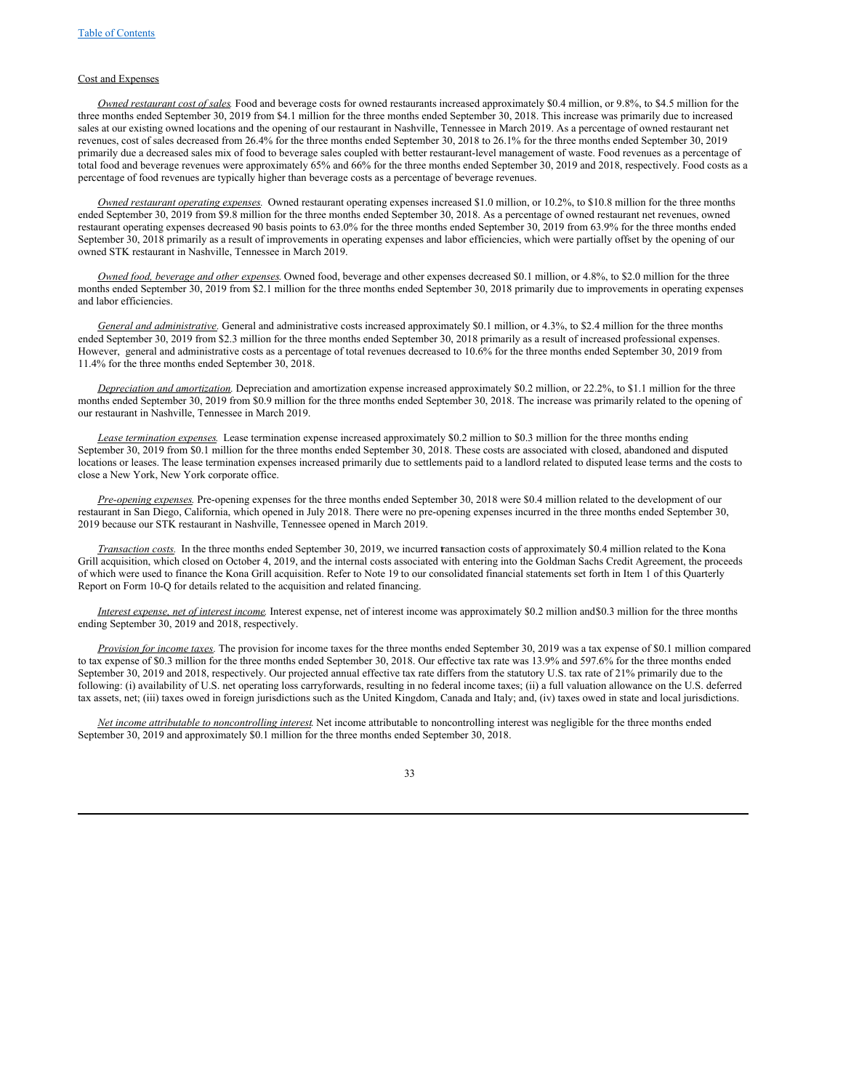#### Cost and Expenses

*Owned restaurant cost of sales.* Food and beverage costs for owned restaurants increased approximately \$0.4 million, or 9.8%, to \$4.5 million for the three months ended September 30, 2019 from \$4.1 million for the three months ended September 30, 2018. This increase was primarily due to increased sales at our existing owned locations and the opening of our restaurant in Nashville, Tennessee in March 2019. As a percentage of owned restaurant net revenues, cost of sales decreased from 26.4% for the three months ended September 30, 2018 to 26.1% for the three months ended September 30, 2019 primarily due a decreased sales mix of food to beverage sales coupled with better restaurant-level management of waste. Food revenues as a percentage of total food and beverage revenues were approximately 65% and 66% for the three months ended September 30, 2019 and 2018, respectively. Food costs as a percentage of food revenues are typically higher than beverage costs as a percentage of beverage revenues.

*Owned restaurant operating expenses.* Owned restaurant operating expenses increased \$1.0 million, or 10.2%, to \$10.8 million for the three months ended September 30, 2019 from \$9.8 million for the three months ended September 30, 2018. As a percentage of owned restaurant net revenues, owned restaurant operating expenses decreased 90 basis points to 63.0% for the three months ended September 30, 2019 from 63.9% for the three months ended September 30, 2018 primarily as a result of improvements in operating expenses and labor efficiencies, which were partially offset by the opening of our owned STK restaurant in Nashville, Tennessee in March 2019.

*Owned food, beverage and other expenses*. Owned food, beverage and other expenses decreased \$0.1 million, or 4.8%, to \$2.0 million for the three months ended September 30, 2019 from \$2.1 million for the three months ended September 30, 2018 primarily due to improvements in operating expenses and labor efficiencies.

*General and administrative.* General and administrative costs increased approximately \$0.1 million, or 4.3%, to \$2.4 million for the three months ended September 30, 2019 from \$2.3 million for the three months ended September 30, 2018 primarily as a result of increased professional expenses. However, general and administrative costs as a percentage of total revenues decreased to 10.6% for the three months ended September 30, 2019 from 11.4% for the three months ended September 30, 2018.

*Depreciation and amortization.* Depreciation and amortization expense increased approximately \$0.2 million, or 22.2%, to \$1.1 million for the three months ended September 30, 2019 from \$0.9 million for the three months ended September 30, 2018. The increase was primarily related to the opening of our restaurant in Nashville, Tennessee in March 2019.

*Lease termination expenses.* Lease termination expense increased approximately \$0.2 million to \$0.3 million for the three months ending September 30, 2019 from \$0.1 million for the three months ended September 30, 2018. These costs are associated with closed, abandoned and disputed locations or leases. The lease termination expenses increased primarily due to settlements paid to a landlord related to disputed lease terms and the costs to close a New York, New York corporate office.

*Pre-opening expenses.* Pre-opening expenses for the three months ended September 30, 2018 were \$0.4 million related to the development of our restaurant in San Diego, California, which opened in July 2018. There were no pre-opening expenses incurred in the three months ended September 30, 2019 because our STK restaurant in Nashville, Tennessee opened in March 2019.

*Transaction costs.* In the three months ended September 30, 2019, we incurred transaction costs of approximately \$0.4 million related to the Kona Grill acquisition, which closed on October 4, 2019, and the internal costs associated with entering into the Goldman Sachs Credit Agreement, the proceeds of which were used to finance the Kona Grill acquisition. Refer to Note 19 to our consolidated financial statements set forth in Item 1 of this Quarterly Report on Form 10-Q for details related to the acquisition and related financing.

*Interest expense, net of interest income.* Interest expense, net of interest income was approximately \$0.2 million and\$0.3 million for the three months ending September 30, 2019 and 2018, respectively.

*Provision for income taxes.* The provision for income taxes for the three months ended September 30, 2019 was a tax expense of \$0.1 million compared to tax expense of \$0.3 million for the three months ended September 30, 2018. Our effective tax rate was 13.9% and 597.6% for the three months ended September 30, 2019 and 2018, respectively. Our projected annual effective tax rate differs from the statutory U.S. tax rate of 21% primarily due to the following: (i) availability of U.S. net operating loss carryforwards, resulting in no federal income taxes; (ii) a full valuation allowance on the U.S. deferred tax assets, net; (iii) taxes owed in foreign jurisdictions such as the United Kingdom, Canada and Italy; and, (iv) taxes owed in state and local jurisdictions.

*Net income attributable to noncontrolling interest*. Net income attributable to noncontrolling interest was negligible for the three months ended September 30, 2019 and approximately \$0.1 million for the three months ended September 30, 2018.

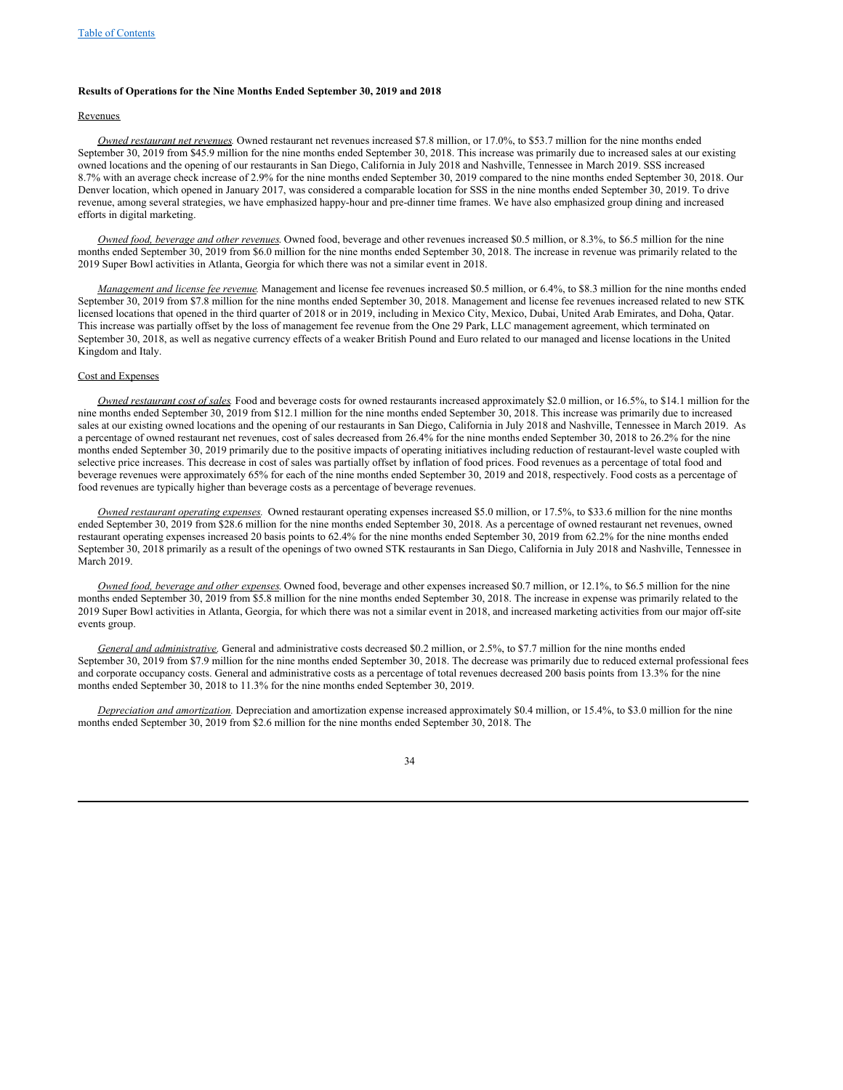# **Results of Operations for the Nine Months Ended September 30, 2019 and 2018**

# **Revenues**

*Owned restaurant net revenues.* Owned restaurant net revenues increased \$7.8 million, or 17.0%, to \$53.7 million for the nine months ended September 30, 2019 from \$45.9 million for the nine months ended September 30, 2018. This increase was primarily due to increased sales at our existing owned locations and the opening of our restaurants in San Diego, California in July 2018 and Nashville, Tennessee in March 2019. SSS increased 8.7% with an average check increase of 2.9% for the nine months ended September 30, 2019 compared to the nine months ended September 30, 2018. Our Denver location, which opened in January 2017, was considered a comparable location for SSS in the nine months ended September 30, 2019. To drive revenue, among several strategies, we have emphasized happy-hour and pre-dinner time frames. We have also emphasized group dining and increased efforts in digital marketing.

*Owned food, beverage and other revenues*. Owned food, beverage and other revenues increased \$0.5 million, or 8.3%, to \$6.5 million for the nine months ended September 30, 2019 from \$6.0 million for the nine months ended September 30, 2018. The increase in revenue was primarily related to the 2019 Super Bowl activities in Atlanta, Georgia for which there was not a similar event in 2018.

*Management and license fee revenue.* Management and license fee revenues increased \$0.5 million, or 6.4%, to \$8.3 million for the nine months ended September 30, 2019 from \$7.8 million for the nine months ended September 30, 2018. Management and license fee revenues increased related to new STK licensed locations that opened in the third quarter of 2018 or in 2019, including in Mexico City, Mexico, Dubai, United Arab Emirates, and Doha, Qatar. This increase was partially offset by the loss of management fee revenue from the One 29 Park, LLC management agreement, which terminated on September 30, 2018, as well as negative currency effects of a weaker British Pound and Euro related to our managed and license locations in the United Kingdom and Italy.

### Cost and Expenses

*Owned restaurant cost of sales.* Food and beverage costs for owned restaurants increased approximately \$2.0 million, or 16.5%, to \$14.1 million for the nine months ended September 30, 2019 from \$12.1 million for the nine months ended September 30, 2018. This increase was primarily due to increased sales at our existing owned locations and the opening of our restaurants in San Diego, California in July 2018 and Nashville, Tennessee in March 2019. As a percentage of owned restaurant net revenues, cost of sales decreased from 26.4% for the nine months ended September 30, 2018 to 26.2% for the nine months ended September 30, 2019 primarily due to the positive impacts of operating initiatives including reduction of restaurant-level waste coupled with selective price increases. This decrease in cost of sales was partially offset by inflation of food prices. Food revenues as a percentage of total food and beverage revenues were approximately 65% for each of the nine months ended September 30, 2019 and 2018, respectively. Food costs as a percentage of food revenues are typically higher than beverage costs as a percentage of beverage revenues.

*Owned restaurant operating expenses.* Owned restaurant operating expenses increased \$5.0 million, or 17.5%, to \$33.6 million for the nine months ended September 30, 2019 from \$28.6 million for the nine months ended September 30, 2018. As a percentage of owned restaurant net revenues, owned restaurant operating expenses increased 20 basis points to 62.4% for the nine months ended September 30, 2019 from 62.2% for the nine months ended September 30, 2018 primarily as a result of the openings of two owned STK restaurants in San Diego, California in July 2018 and Nashville, Tennessee in March 2019.

*Owned food, beverage and other expenses*. Owned food, beverage and other expenses increased \$0.7 million, or 12.1%, to \$6.5 million for the nine months ended September 30, 2019 from \$5.8 million for the nine months ended September 30, 2018. The increase in expense was primarily related to the 2019 Super Bowl activities in Atlanta, Georgia, for which there was not a similar event in 2018, and increased marketing activities from our major off-site events group.

*General and administrative.* General and administrative costs decreased \$0.2 million, or 2.5%, to \$7.7 million for the nine months ended September 30, 2019 from \$7.9 million for the nine months ended September 30, 2018. The decrease was primarily due to reduced external professional fees and corporate occupancy costs. General and administrative costs as a percentage of total revenues decreased 200 basis points from 13.3% for the nine months ended September 30, 2018 to 11.3% for the nine months ended September 30, 2019.

*Depreciation and amortization.* Depreciation and amortization expense increased approximately \$0.4 million, or 15.4%, to \$3.0 million for the nine months ended September 30, 2019 from \$2.6 million for the nine months ended September 30, 2018. The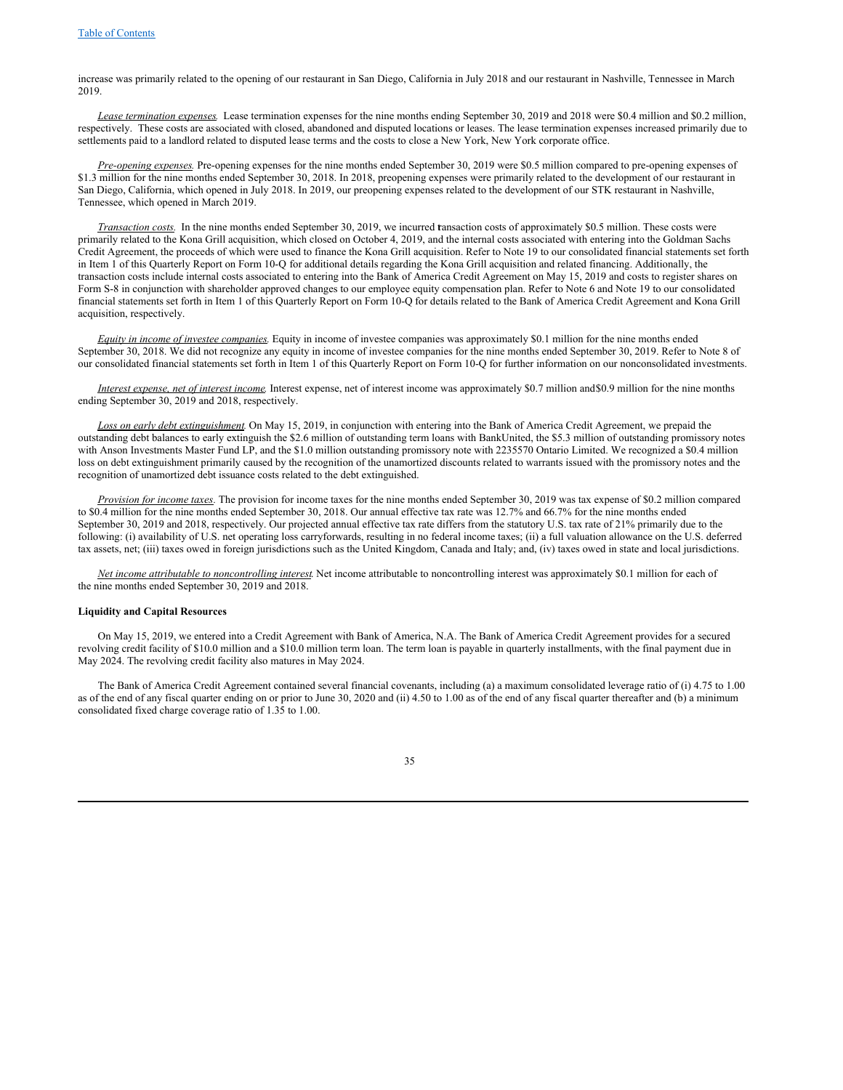increase was primarily related to the opening of our restaurant in San Diego, California in July 2018 and our restaurant in Nashville, Tennessee in March 2019.

*Lease termination expenses.* Lease termination expenses for the nine months ending September 30, 2019 and 2018 were \$0.4 million and \$0.2 million, respectively. These costs are associated with closed, abandoned and disputed locations or leases. The lease termination expenses increased primarily due to settlements paid to a landlord related to disputed lease terms and the costs to close a New York, New York corporate office.

*Pre-opening expenses.* Pre-opening expenses for the nine months ended September 30, 2019 were \$0.5 million compared to pre-opening expenses of \$1.3 million for the nine months ended September 30, 2018. In 2018, preopening expenses were primarily related to the development of our restaurant in San Diego, California, which opened in July 2018. In 2019, our preopening expenses related to the development of our STK restaurant in Nashville, Tennessee, which opened in March 2019.

*Transaction costs.* In the nine months ended September 30, 2019, we incurred transaction costs of approximately \$0.5 million. These costs were primarily related to the Kona Grill acquisition, which closed on October 4, 2019, and the internal costs associated with entering into the Goldman Sachs Credit Agreement, the proceeds of which were used to finance the Kona Grill acquisition. Refer to Note 19 to our consolidated financial statements set forth in Item 1 of this Quarterly Report on Form 10-Q for additional details regarding the Kona Grill acquisition and related financing. Additionally, the transaction costs include internal costs associated to entering into the Bank of America Credit Agreement on May 15, 2019 and costs to register shares on Form S-8 in conjunction with shareholder approved changes to our employee equity compensation plan. Refer to Note 6 and Note 19 to our consolidated financial statements set forth in Item 1 of this Quarterly Report on Form 10-Q for details related to the Bank of America Credit Agreement and Kona Grill acquisition, respectively.

*Equity in income of investee companies.* Equity in income of investee companies was approximately \$0.1 million for the nine months ended September 30, 2018. We did not recognize any equity in income of investee companies for the nine months ended September 30, 2019. Refer to Note 8 of our consolidated financial statements set forth in Item 1 of this Quarterly Report on Form 10-Q for further information on our nonconsolidated investments.

*Interest expense, net of interest income.* Interest expense, net of interest income was approximately \$0.7 million and\$0.9 million for the nine months ending September 30, 2019 and 2018, respectively.

*Loss on early debt extinguishment.* On May 15, 2019, in conjunction with entering into the Bank of America Credit Agreement, we prepaid the outstanding debt balances to early extinguish the \$2.6 million of outstanding term loans with BankUnited, the \$5.3 million of outstanding promissory notes with Anson Investments Master Fund LP, and the \$1.0 million outstanding promissory note with 2235570 Ontario Limited. We recognized a \$0.4 million loss on debt extinguishment primarily caused by the recognition of the unamortized discounts related to warrants issued with the promissory notes and the recognition of unamortized debt issuance costs related to the debt extinguished.

*Provision for income taxes.* The provision for income taxes for the nine months ended September 30, 2019 was tax expense of \$0.2 million compared to \$0.4 million for the nine months ended September 30, 2018. Our annual effective tax rate was 12.7% and 66.7% for the nine months ended September 30, 2019 and 2018, respectively. Our projected annual effective tax rate differs from the statutory U.S. tax rate of 21% primarily due to the following: (i) availability of U.S. net operating loss carryforwards, resulting in no federal income taxes; (ii) a full valuation allowance on the U.S. deferred tax assets, net; (iii) taxes owed in foreign jurisdictions such as the United Kingdom, Canada and Italy; and, (iv) taxes owed in state and local jurisdictions.

*Net income attributable to noncontrolling interest*. Net income attributable to noncontrolling interest was approximately \$0.1 million for each of the nine months ended September 30, 2019 and 2018.

### **Liquidity and Capital Resources**

On May 15, 2019, we entered into a Credit Agreement with Bank of America, N.A. The Bank of America Credit Agreement provides for a secured revolving credit facility of \$10.0 million and a \$10.0 million term loan. The term loan is payable in quarterly installments, with the final payment due in May 2024. The revolving credit facility also matures in May 2024.

The Bank of America Credit Agreement contained several financial covenants, including (a) a maximum consolidated leverage ratio of (i) 4.75 to 1.00 as of the end of any fiscal quarter ending on or prior to June 30, 2020 and (ii) 4.50 to 1.00 as of the end of any fiscal quarter thereafter and (b) a minimum consolidated fixed charge coverage ratio of 1.35 to 1.00.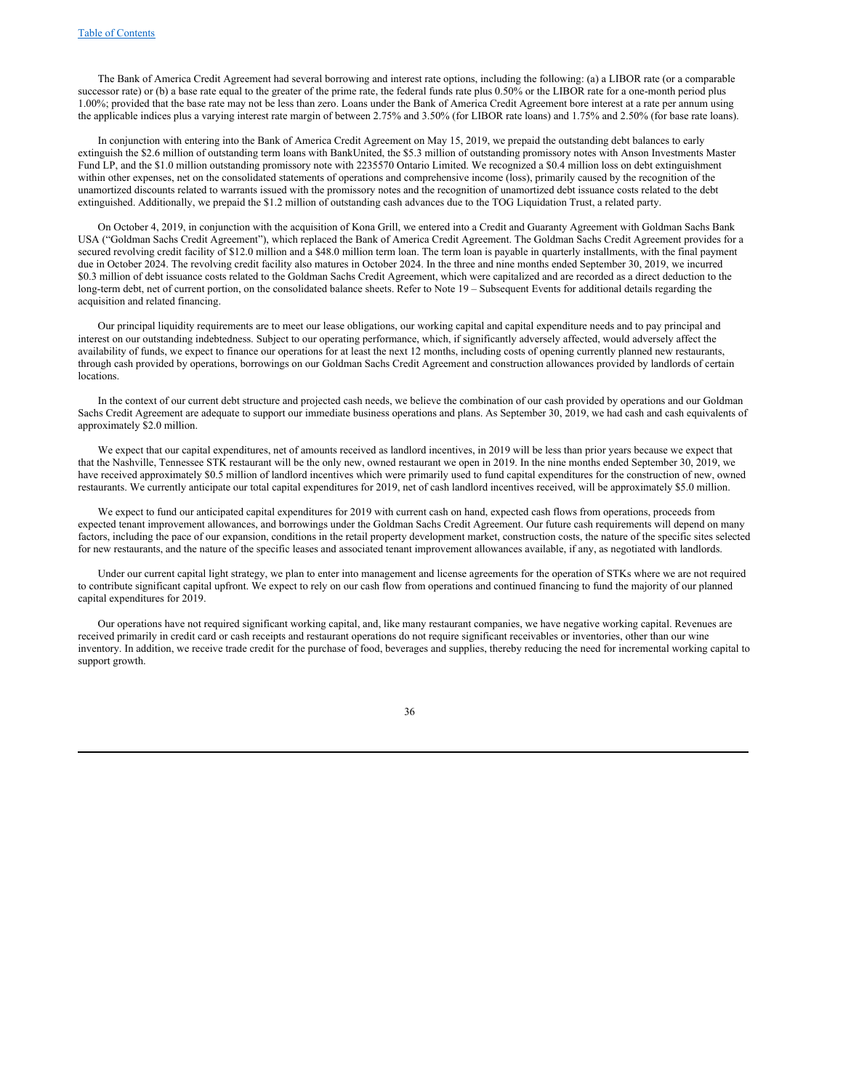The Bank of America Credit Agreement had several borrowing and interest rate options, including the following: (a) a LIBOR rate (or a comparable successor rate) or (b) a base rate equal to the greater of the prime rate, the federal funds rate plus 0.50% or the LIBOR rate for a one-month period plus 1.00%; provided that the base rate may not be less than zero. Loans under the Bank of America Credit Agreement bore interest at a rate per annum using the applicable indices plus a varying interest rate margin of between 2.75% and 3.50% (for LIBOR rate loans) and 1.75% and 2.50% (for base rate loans).

In conjunction with entering into the Bank of America Credit Agreement on May 15, 2019, we prepaid the outstanding debt balances to early extinguish the \$2.6 million of outstanding term loans with BankUnited, the \$5.3 million of outstanding promissory notes with Anson Investments Master Fund LP, and the \$1.0 million outstanding promissory note with 2235570 Ontario Limited. We recognized a \$0.4 million loss on debt extinguishment within other expenses, net on the consolidated statements of operations and comprehensive income (loss), primarily caused by the recognition of the unamortized discounts related to warrants issued with the promissory notes and the recognition of unamortized debt issuance costs related to the debt extinguished. Additionally, we prepaid the \$1.2 million of outstanding cash advances due to the TOG Liquidation Trust, a related party.

On October 4, 2019, in conjunction with the acquisition of Kona Grill, we entered into a Credit and Guaranty Agreement with Goldman Sachs Bank USA ("Goldman Sachs Credit Agreement"), which replaced the Bank of America Credit Agreement. The Goldman Sachs Credit Agreement provides for a secured revolving credit facility of \$12.0 million and a \$48.0 million term loan. The term loan is payable in quarterly installments, with the final payment due in October 2024. The revolving credit facility also matures in October 2024. In the three and nine months ended September 30, 2019, we incurred \$0.3 million of debt issuance costs related to the Goldman Sachs Credit Agreement, which were capitalized and are recorded as a direct deduction to the long-term debt, net of current portion, on the consolidated balance sheets. Refer to Note 19 – Subsequent Events for additional details regarding the acquisition and related financing.

Our principal liquidity requirements are to meet our lease obligations, our working capital and capital expenditure needs and to pay principal and interest on our outstanding indebtedness. Subject to our operating performance, which, if significantly adversely affected, would adversely affect the availability of funds, we expect to finance our operations for at least the next 12 months, including costs of opening currently planned new restaurants, through cash provided by operations, borrowings on our Goldman Sachs Credit Agreement and construction allowances provided by landlords of certain locations.

In the context of our current debt structure and projected cash needs, we believe the combination of our cash provided by operations and our Goldman Sachs Credit Agreement are adequate to support our immediate business operations and plans. As September 30, 2019, we had cash and cash equivalents of approximately \$2.0 million.

We expect that our capital expenditures, net of amounts received as landlord incentives, in 2019 will be less than prior years because we expect that that the Nashville, Tennessee STK restaurant will be the only new, owned restaurant we open in 2019. In the nine months ended September 30, 2019, we have received approximately \$0.5 million of landlord incentives which were primarily used to fund capital expenditures for the construction of new, owned restaurants. We currently anticipate our total capital expenditures for 2019, net of cash landlord incentives received, will be approximately \$5.0 million.

We expect to fund our anticipated capital expenditures for 2019 with current cash on hand, expected cash flows from operations, proceeds from expected tenant improvement allowances, and borrowings under the Goldman Sachs Credit Agreement. Our future cash requirements will depend on many factors, including the pace of our expansion, conditions in the retail property development market, construction costs, the nature of the specific sites selected for new restaurants, and the nature of the specific leases and associated tenant improvement allowances available, if any, as negotiated with landlords.

Under our current capital light strategy, we plan to enter into management and license agreements for the operation of STKs where we are not required to contribute significant capital upfront. We expect to rely on our cash flow from operations and continued financing to fund the majority of our planned capital expenditures for 2019.

Our operations have not required significant working capital, and, like many restaurant companies, we have negative working capital. Revenues are received primarily in credit card or cash receipts and restaurant operations do not require significant receivables or inventories, other than our wine inventory. In addition, we receive trade credit for the purchase of food, beverages and supplies, thereby reducing the need for incremental working capital to support growth.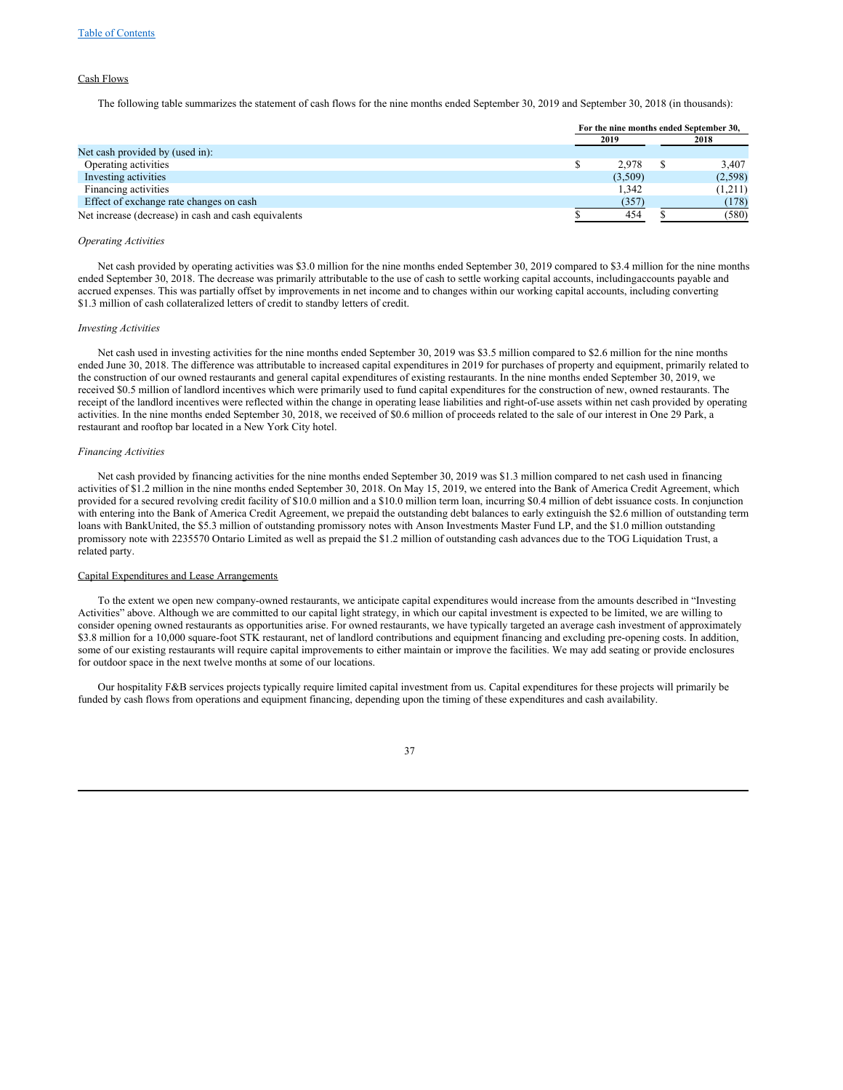#### Cash Flows

The following table summarizes the statement of cash flows for the nine months ended September 30, 2019 and September 30, 2018 (in thousands):

|                                                      |         | For the nine months ended September 30, |         |  |  |  |  |
|------------------------------------------------------|---------|-----------------------------------------|---------|--|--|--|--|
|                                                      | 2019    |                                         | 2018    |  |  |  |  |
| Net cash provided by (used in):                      |         |                                         |         |  |  |  |  |
| Operating activities                                 | 2.978   |                                         | 3,407   |  |  |  |  |
| Investing activities                                 | (3,509) |                                         | (2,598) |  |  |  |  |
| Financing activities                                 | 1.342   |                                         | (1,211) |  |  |  |  |
| Effect of exchange rate changes on cash              | (357)   |                                         | (178)   |  |  |  |  |
| Net increase (decrease) in cash and cash equivalents | 454     |                                         | (580)   |  |  |  |  |

## *Operating Activities*

Net cash provided by operating activities was \$3.0 million for the nine months ended September 30, 2019 compared to \$3.4 million for the nine months ended September 30, 2018. The decrease was primarily attributable to the use of cash to settle working capital accounts, includingaccounts payable and accrued expenses. This was partially offset by improvements in net income and to changes within our working capital accounts, including converting \$1.3 million of cash collateralized letters of credit to standby letters of credit.

#### *Investing Activities*

Net cash used in investing activities for the nine months ended September 30, 2019 was \$3.5 million compared to \$2.6 million for the nine months ended June 30, 2018. The difference was attributable to increased capital expenditures in 2019 for purchases of property and equipment, primarily related to the construction of our owned restaurants and general capital expenditures of existing restaurants. In the nine months ended September 30, 2019, we received \$0.5 million of landlord incentives which were primarily used to fund capital expenditures for the construction of new, owned restaurants. The receipt of the landlord incentives were reflected within the change in operating lease liabilities and right-of-use assets within net cash provided by operating activities. In the nine months ended September 30, 2018, we received of \$0.6 million of proceeds related to the sale of our interest in One 29 Park, a restaurant and rooftop bar located in a New York City hotel.

## *Financing Activities*

Net cash provided by financing activities for the nine months ended September 30, 2019 was \$1.3 million compared to net cash used in financing activities of \$1.2 million in the nine months ended September 30, 2018. On May 15, 2019, we entered into the Bank of America Credit Agreement, which provided for a secured revolving credit facility of \$10.0 million and a \$10.0 million term loan, incurring \$0.4 million of debt issuance costs. In conjunction with entering into the Bank of America Credit Agreement, we prepaid the outstanding debt balances to early extinguish the \$2.6 million of outstanding term loans with BankUnited, the \$5.3 million of outstanding promissory notes with Anson Investments Master Fund LP, and the \$1.0 million outstanding promissory note with 2235570 Ontario Limited as well as prepaid the \$1.2 million of outstanding cash advances due to the TOG Liquidation Trust, a related party.

### Capital Expenditures and Lease Arrangements

To the extent we open new company-owned restaurants, we anticipate capital expenditures would increase from the amounts described in "Investing Activities" above. Although we are committed to our capital light strategy, in which our capital investment is expected to be limited, we are willing to consider opening owned restaurants as opportunities arise. For owned restaurants, we have typically targeted an average cash investment of approximately \$3.8 million for a 10,000 square-foot STK restaurant, net of landlord contributions and equipment financing and excluding pre-opening costs. In addition, some of our existing restaurants will require capital improvements to either maintain or improve the facilities. We may add seating or provide enclosures for outdoor space in the next twelve months at some of our locations.

Our hospitality F&B services projects typically require limited capital investment from us. Capital expenditures for these projects will primarily be funded by cash flows from operations and equipment financing, depending upon the timing of these expenditures and cash availability.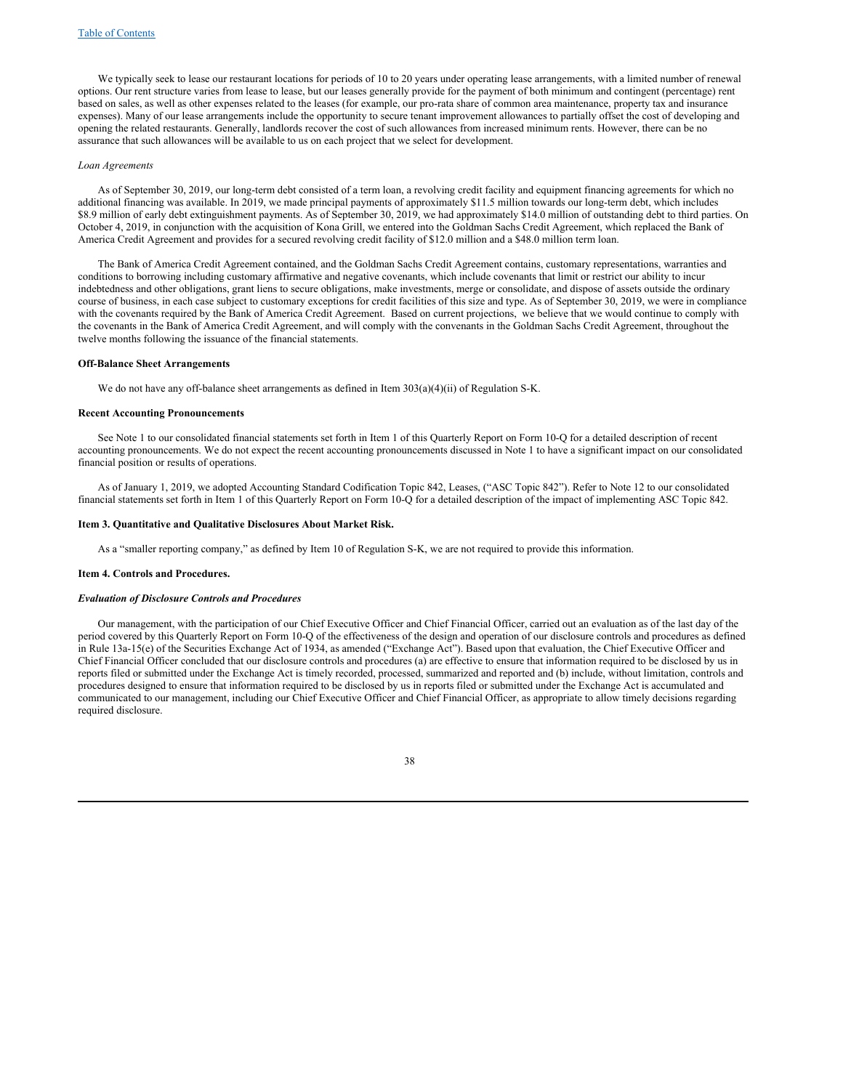We typically seek to lease our restaurant locations for periods of 10 to 20 years under operating lease arrangements, with a limited number of renewal options. Our rent structure varies from lease to lease, but our leases generally provide for the payment of both minimum and contingent (percentage) rent based on sales, as well as other expenses related to the leases (for example, our pro-rata share of common area maintenance, property tax and insurance expenses). Many of our lease arrangements include the opportunity to secure tenant improvement allowances to partially offset the cost of developing and opening the related restaurants. Generally, landlords recover the cost of such allowances from increased minimum rents. However, there can be no assurance that such allowances will be available to us on each project that we select for development.

#### *Loan Agreements*

As of September 30, 2019, our long-term debt consisted of a term loan, a revolving credit facility and equipment financing agreements for which no additional financing was available. In 2019, we made principal payments of approximately \$11.5 million towards our long-term debt, which includes \$8.9 million of early debt extinguishment payments. As of September 30, 2019, we had approximately \$14.0 million of outstanding debt to third parties. On October 4, 2019, in conjunction with the acquisition of Kona Grill, we entered into the Goldman Sachs Credit Agreement, which replaced the Bank of America Credit Agreement and provides for a secured revolving credit facility of \$12.0 million and a \$48.0 million term loan.

The Bank of America Credit Agreement contained, and the Goldman Sachs Credit Agreement contains, customary representations, warranties and conditions to borrowing including customary affirmative and negative covenants, which include covenants that limit or restrict our ability to incur indebtedness and other obligations, grant liens to secure obligations, make investments, merge or consolidate, and dispose of assets outside the ordinary course of business, in each case subject to customary exceptions for credit facilities of this size and type. As of September 30, 2019, we were in compliance with the covenants required by the Bank of America Credit Agreement. Based on current projections, we believe that we would continue to comply with the covenants in the Bank of America Credit Agreement, and will comply with the convenants in the Goldman Sachs Credit Agreement, throughout the twelve months following the issuance of the financial statements.

### **Off-Balance Sheet Arrangements**

We do not have any off-balance sheet arrangements as defined in Item 303(a)(4)(ii) of Regulation S-K.

### **Recent Accounting Pronouncements**

See Note 1 to our consolidated financial statements set forth in Item 1 of this Quarterly Report on Form 10-Q for a detailed description of recent accounting pronouncements. We do not expect the recent accounting pronouncements discussed in Note 1 to have a significant impact on our consolidated financial position or results of operations.

As of January 1, 2019, we adopted Accounting Standard Codification Topic 842, Leases, ("ASC Topic 842"). Refer to Note 12 to our consolidated financial statements set forth in Item 1 of this Quarterly Report on Form 10-Q for a detailed description of the impact of implementing ASC Topic 842.

#### **Item 3. Quantitative and Qualitative Disclosures About Market Risk.**

<span id="page-37-1"></span><span id="page-37-0"></span>As a "smaller reporting company," as defined by Item 10 of Regulation S-K, we are not required to provide this information.

#### **Item 4. Controls and Procedures.**

#### *Evaluation of Disclosure Controls and Procedures*

Our management, with the participation of our Chief Executive Officer and Chief Financial Officer, carried out an evaluation as of the last day of the period covered by this Quarterly Report on Form 10-Q of the effectiveness of the design and operation of our disclosure controls and procedures as defined in Rule 13a-15(e) of the Securities Exchange Act of 1934, as amended ("Exchange Act"). Based upon that evaluation, the Chief Executive Officer and Chief Financial Officer concluded that our disclosure controls and procedures (a) are effective to ensure that information required to be disclosed by us in reports filed or submitted under the Exchange Act is timely recorded, processed, summarized and reported and (b) include, without limitation, controls and procedures designed to ensure that information required to be disclosed by us in reports filed or submitted under the Exchange Act is accumulated and communicated to our management, including our Chief Executive Officer and Chief Financial Officer, as appropriate to allow timely decisions regarding required disclosure.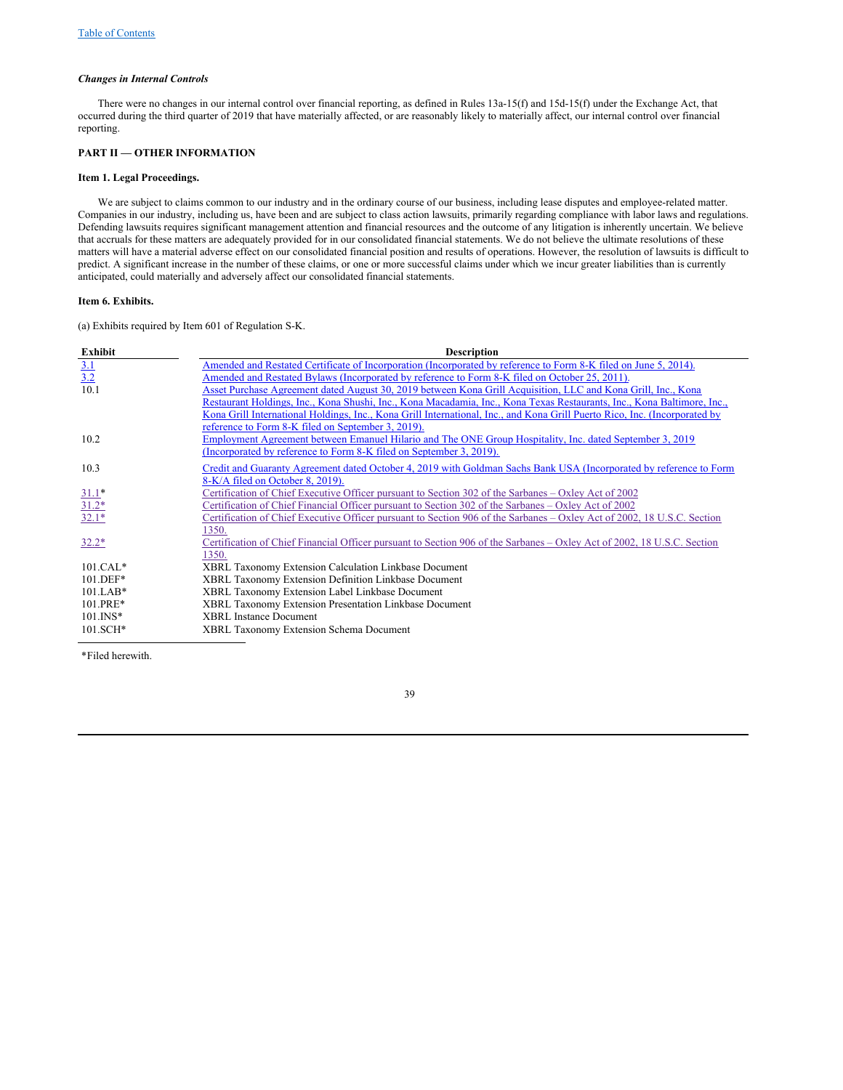#### *Changes in Internal Controls*

There were no changes in our internal control over financial reporting, as defined in Rules 13a-15(f) and 15d-15(f) under the Exchange Act, that occurred during the third quarter of 2019 that have materially affected, or are reasonably likely to materially affect, our internal control over financial reporting.

# <span id="page-38-0"></span>**PART II — OTHER INFORMATION**

## <span id="page-38-1"></span>**Item 1. Legal Proceedings.**

We are subject to claims common to our industry and in the ordinary course of our business, including lease disputes and employee-related matter. Companies in our industry, including us, have been and are subject to class action lawsuits, primarily regarding compliance with labor laws and regulations. Defending lawsuits requires significant management attention and financial resources and the outcome of any litigation is inherently uncertain. We believe that accruals for these matters are adequately provided for in our consolidated financial statements. We do not believe the ultimate resolutions of these matters will have a material adverse effect on our consolidated financial position and results of operations. However, the resolution of lawsuits is difficult to predict. A significant increase in the number of these claims, or one or more successful claims under which we incur greater liabilities than is currently anticipated, could materially and adversely affect our consolidated financial statements.

# <span id="page-38-2"></span>**Item 6. Exhibits.**

(a) Exhibits required by Item 601 of Regulation S-K.

| <b>Exhibit</b>                                     | <b>Description</b>                                                                                                         |
|----------------------------------------------------|----------------------------------------------------------------------------------------------------------------------------|
| $\frac{3.1}{3.2}$                                  | Amended and Restated Certificate of Incorporation (Incorporated by reference to Form 8-K filed on June 5, 2014).           |
|                                                    | Amended and Restated Bylaws (Incorporated by reference to Form 8-K filed on October 25, 2011).                             |
| 10.1                                               | Asset Purchase Agreement dated August 30, 2019 between Kona Grill Acquisition, LLC and Kona Grill, Inc., Kona              |
|                                                    | Restaurant Holdings, Inc., Kona Shushi, Inc., Kona Macadamia, Inc., Kona Texas Restaurants, Inc., Kona Baltimore, Inc.,    |
|                                                    | Kona Grill International Holdings, Inc., Kona Grill International, Inc., and Kona Grill Puerto Rico, Inc. (Incorporated by |
|                                                    | reference to Form 8-K filed on September 3, 2019).                                                                         |
| 10.2                                               | Employment Agreement between Emanuel Hilario and The ONE Group Hospitality, Inc. dated September 3, 2019                   |
|                                                    | (Incorporated by reference to Form 8-K filed on September 3, 2019).                                                        |
| 10.3                                               | Credit and Guaranty Agreement dated October 4, 2019 with Goldman Sachs Bank USA (Incorporated by reference to Form         |
|                                                    | 8-K/A filed on October 8, 2019).                                                                                           |
| $\frac{31.1^*}{31.2^*}$<br>$\frac{32.1^*}{32.1^*}$ | Certification of Chief Executive Officer pursuant to Section 302 of the Sarbanes – Oxley Act of 2002                       |
|                                                    | Certification of Chief Financial Officer pursuant to Section 302 of the Sarbanes – Oxley Act of 2002                       |
|                                                    | Certification of Chief Executive Officer pursuant to Section 906 of the Sarbanes – Oxley Act of 2002, 18 U.S.C. Section    |
|                                                    | 1350.                                                                                                                      |
| $32.2*$                                            | Certification of Chief Financial Officer pursuant to Section 906 of the Sarbanes – Oxley Act of 2002, 18 U.S.C. Section    |
|                                                    | 1350.                                                                                                                      |
| $101.CAL*$                                         | XBRL Taxonomy Extension Calculation Linkbase Document                                                                      |
| $101.$ DEF*                                        | XBRL Taxonomy Extension Definition Linkbase Document                                                                       |
| $101.LAB*$                                         | XBRL Taxonomy Extension Label Linkbase Document                                                                            |
| 101.PRE*                                           | XBRL Taxonomy Extension Presentation Linkbase Document                                                                     |
| 101.INS*                                           | <b>XBRL</b> Instance Document                                                                                              |
| 101.SCH*                                           | <b>XBRL Taxonomy Extension Schema Document</b>                                                                             |

\*Filed herewith.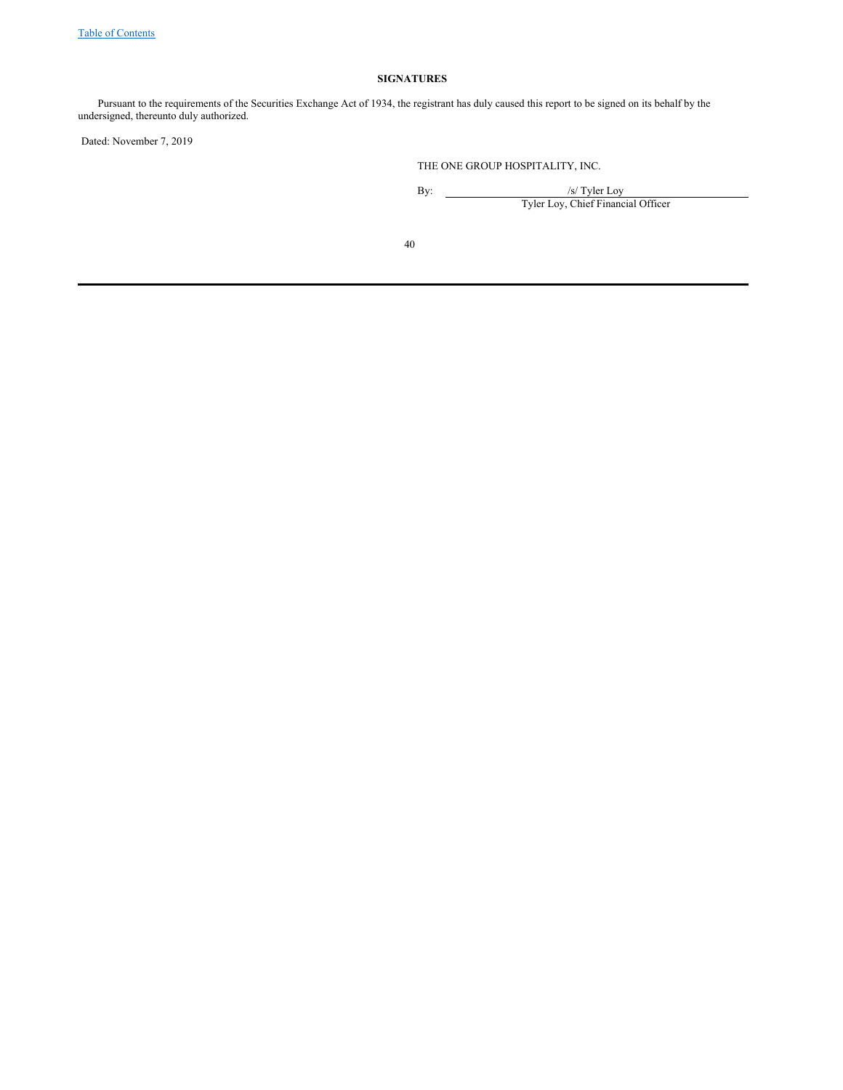# <span id="page-39-0"></span>**SIGNATURES**

Pursuant to the requirements of the Securities Exchange Act of 1934, the registrant has duly caused this report to be signed on its behalf by the undersigned, thereunto duly authorized.

Dated: November 7, 2019

THE ONE GROUP HOSPITALITY, INC.

By:  $\frac{1}{s}$  /s/ Tyler Loy

Tyler Loy, Chief Financial Officer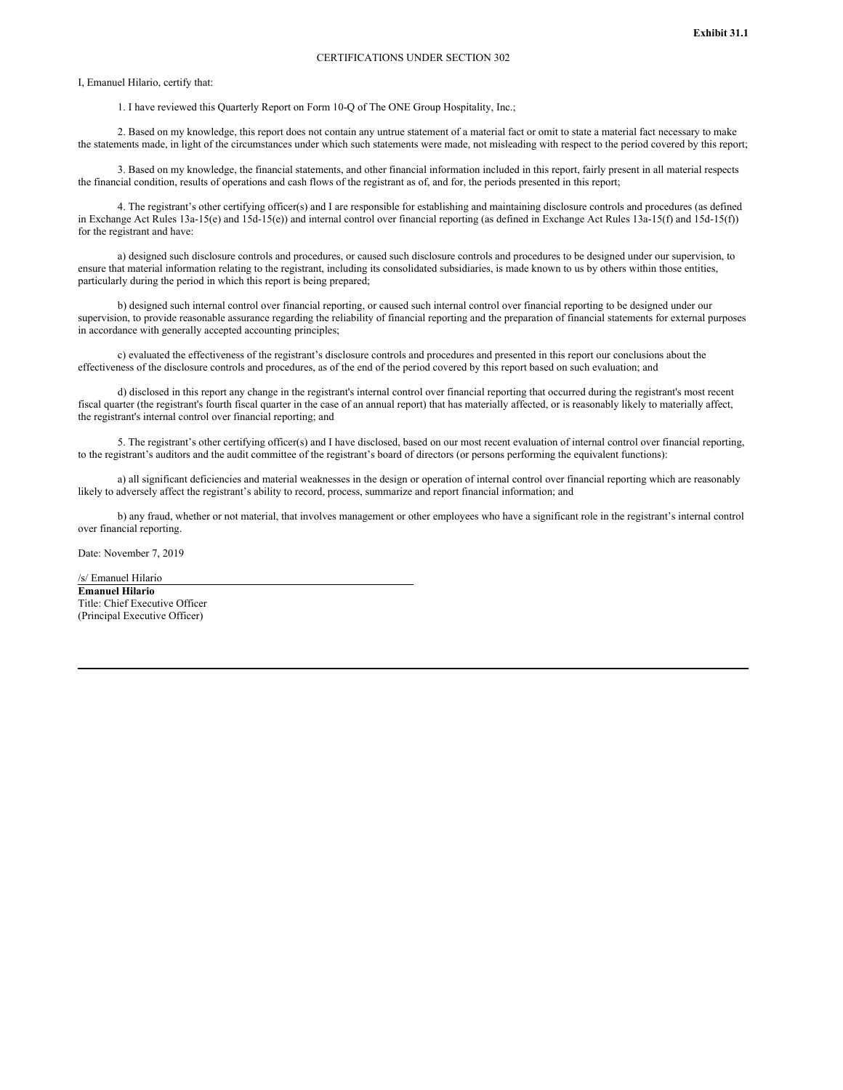<span id="page-40-0"></span>I, Emanuel Hilario, certify that:

1. I have reviewed this Quarterly Report on Form 10-Q of The ONE Group Hospitality, Inc.;

2. Based on my knowledge, this report does not contain any untrue statement of a material fact or omit to state a material fact necessary to make the statements made, in light of the circumstances under which such statements were made, not misleading with respect to the period covered by this report;

3. Based on my knowledge, the financial statements, and other financial information included in this report, fairly present in all material respects the financial condition, results of operations and cash flows of the registrant as of, and for, the periods presented in this report;

4. The registrant's other certifying officer(s) and I are responsible for establishing and maintaining disclosure controls and procedures (as defined in Exchange Act Rules 13a-15(e) and 15d-15(e)) and internal control over financial reporting (as defined in Exchange Act Rules 13a-15(f) and 15d-15(f)) for the registrant and have:

a) designed such disclosure controls and procedures, or caused such disclosure controls and procedures to be designed under our supervision, to ensure that material information relating to the registrant, including its consolidated subsidiaries, is made known to us by others within those entities, particularly during the period in which this report is being prepared;

b) designed such internal control over financial reporting, or caused such internal control over financial reporting to be designed under our supervision, to provide reasonable assurance regarding the reliability of financial reporting and the preparation of financial statements for external purposes in accordance with generally accepted accounting principles;

c) evaluated the effectiveness of the registrant's disclosure controls and procedures and presented in this report our conclusions about the effectiveness of the disclosure controls and procedures, as of the end of the period covered by this report based on such evaluation; and

d) disclosed in this report any change in the registrant's internal control over financial reporting that occurred during the registrant's most recent fiscal quarter (the registrant's fourth fiscal quarter in the case of an annual report) that has materially affected, or is reasonably likely to materially affect, the registrant's internal control over financial reporting; and

5. The registrant's other certifying officer(s) and I have disclosed, based on our most recent evaluation of internal control over financial reporting, to the registrant's auditors and the audit committee of the registrant's board of directors (or persons performing the equivalent functions):

a) all significant deficiencies and material weaknesses in the design or operation of internal control over financial reporting which are reasonably likely to adversely affect the registrant's ability to record, process, summarize and report financial information; and

b) any fraud, whether or not material, that involves management or other employees who have a significant role in the registrant's internal control over financial reporting.

Date: November 7, 2019

/s/ Emanuel Hilario **Emanuel Hilario** Title: Chief Executive Officer (Principal Executive Officer)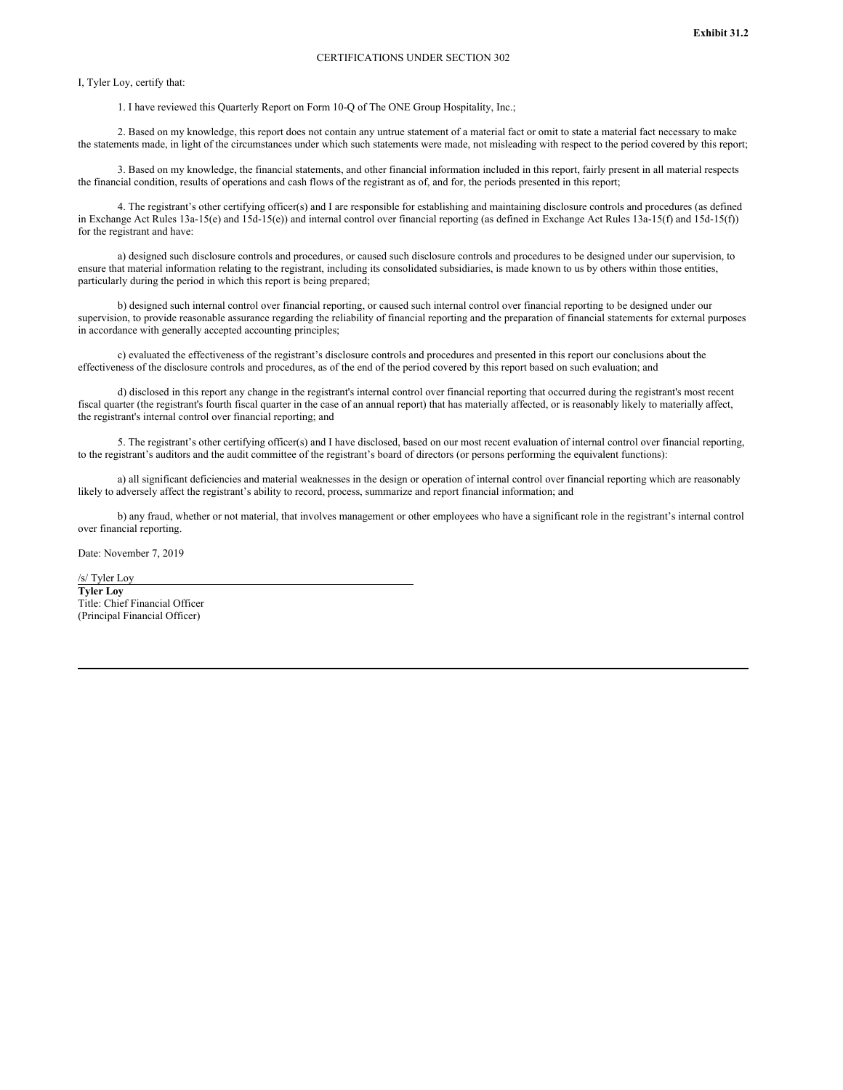<span id="page-41-0"></span>I, Tyler Loy, certify that:

1. I have reviewed this Quarterly Report on Form 10-Q of The ONE Group Hospitality, Inc.;

2. Based on my knowledge, this report does not contain any untrue statement of a material fact or omit to state a material fact necessary to make the statements made, in light of the circumstances under which such statements were made, not misleading with respect to the period covered by this report;

3. Based on my knowledge, the financial statements, and other financial information included in this report, fairly present in all material respects the financial condition, results of operations and cash flows of the registrant as of, and for, the periods presented in this report;

4. The registrant's other certifying officer(s) and I are responsible for establishing and maintaining disclosure controls and procedures (as defined in Exchange Act Rules 13a-15(e) and 15d-15(e)) and internal control over financial reporting (as defined in Exchange Act Rules 13a-15(f) and 15d-15(f)) for the registrant and have:

a) designed such disclosure controls and procedures, or caused such disclosure controls and procedures to be designed under our supervision, to ensure that material information relating to the registrant, including its consolidated subsidiaries, is made known to us by others within those entities, particularly during the period in which this report is being prepared;

b) designed such internal control over financial reporting, or caused such internal control over financial reporting to be designed under our supervision, to provide reasonable assurance regarding the reliability of financial reporting and the preparation of financial statements for external purposes in accordance with generally accepted accounting principles;

c) evaluated the effectiveness of the registrant's disclosure controls and procedures and presented in this report our conclusions about the effectiveness of the disclosure controls and procedures, as of the end of the period covered by this report based on such evaluation; and

d) disclosed in this report any change in the registrant's internal control over financial reporting that occurred during the registrant's most recent fiscal quarter (the registrant's fourth fiscal quarter in the case of an annual report) that has materially affected, or is reasonably likely to materially affect, the registrant's internal control over financial reporting; and

5. The registrant's other certifying officer(s) and I have disclosed, based on our most recent evaluation of internal control over financial reporting, to the registrant's auditors and the audit committee of the registrant's board of directors (or persons performing the equivalent functions):

a) all significant deficiencies and material weaknesses in the design or operation of internal control over financial reporting which are reasonably likely to adversely affect the registrant's ability to record, process, summarize and report financial information; and

b) any fraud, whether or not material, that involves management or other employees who have a significant role in the registrant's internal control over financial reporting.

Date: November 7, 2019

/s/ Tyler Loy **Tyler Loy** Title: Chief Financial Officer (Principal Financial Officer)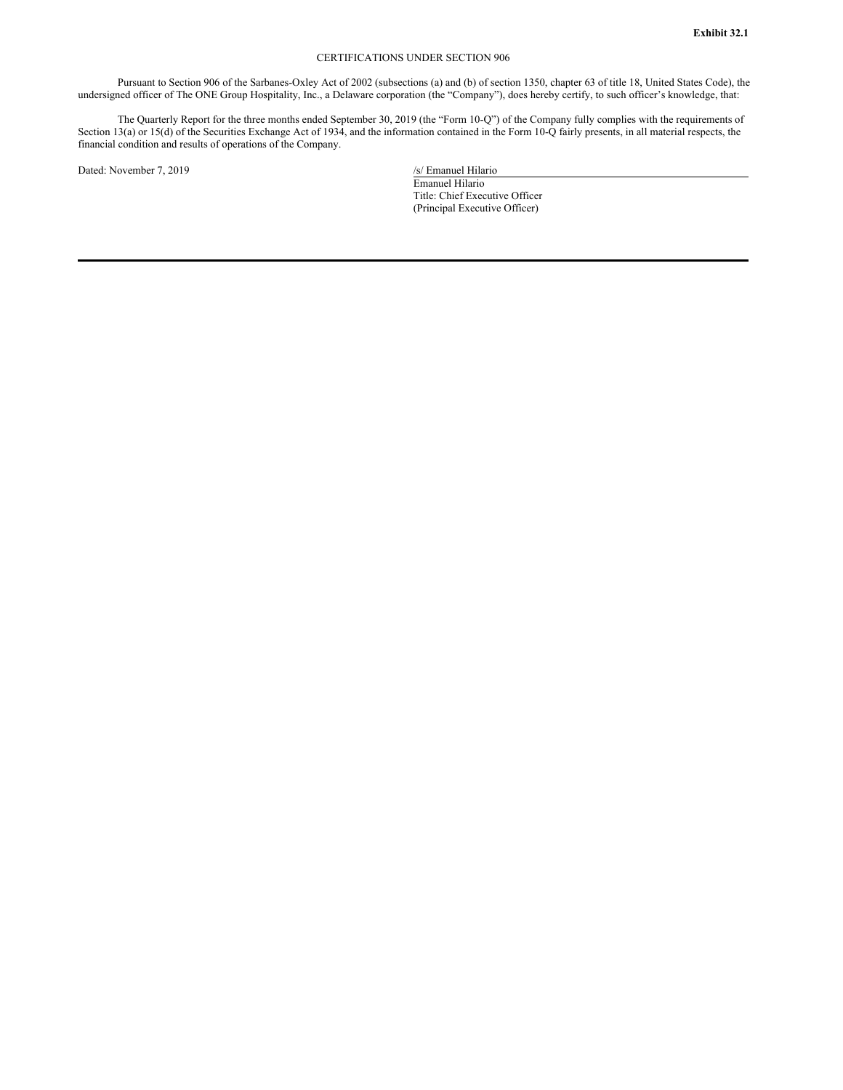# CERTIFICATIONS UNDER SECTION 906

<span id="page-42-0"></span>Pursuant to Section 906 of the Sarbanes-Oxley Act of 2002 (subsections (a) and (b) of section 1350, chapter 63 of title 18, United States Code), the undersigned officer of The ONE Group Hospitality, Inc., a Delaware corporation (the "Company"), does hereby certify, to such officer's knowledge, that:

The Quarterly Report for the three months ended September 30, 2019 (the "Form 10-Q") of the Company fully complies with the requirements of Section 13(a) or 15(d) of the Securities Exchange Act of 1934, and the information contained in the Form 10-Q fairly presents, in all material respects, the financial condition and results of operations of the Company.

Dated: November 7, 2019 /s/ Emanuel Hilario

Emanuel Hilario

Title: Chief Executive Officer (Principal Executive Officer)